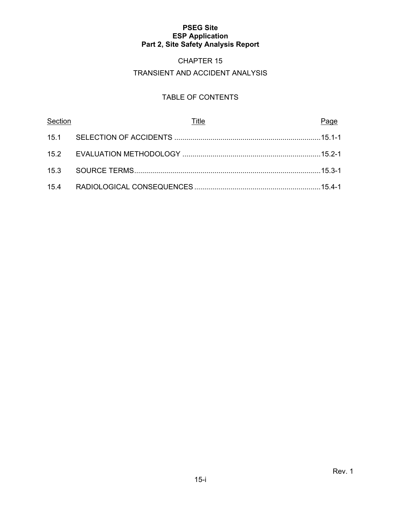# CHAPTER 15

# TRANSIENT AND ACCIDENT ANALYSIS

# TABLE OF CONTENTS

| Section | Title | Page |
|---------|-------|------|
|         |       |      |
|         |       |      |
|         |       |      |
|         |       |      |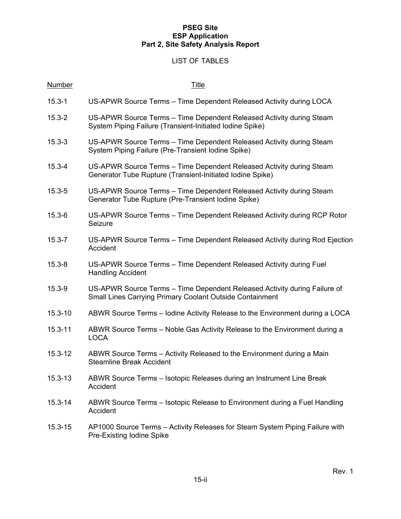# LIST OF TABLES

| <b>Number</b> | <b>Title</b>                                                                                                                                 |
|---------------|----------------------------------------------------------------------------------------------------------------------------------------------|
| $15.3 - 1$    | US-APWR Source Terms - Time Dependent Released Activity during LOCA                                                                          |
| $15.3 - 2$    | US-APWR Source Terms - Time Dependent Released Activity during Steam<br>System Piping Failure (Transient-Initiated Iodine Spike)             |
| $15.3 - 3$    | US-APWR Source Terms - Time Dependent Released Activity during Steam<br>System Piping Failure (Pre-Transient Iodine Spike)                   |
| $15.3 - 4$    | US-APWR Source Terms - Time Dependent Released Activity during Steam<br>Generator Tube Rupture (Transient-Initiated Iodine Spike)            |
| $15.3 - 5$    | US-APWR Source Terms - Time Dependent Released Activity during Steam<br>Generator Tube Rupture (Pre-Transient Iodine Spike)                  |
| $15.3 - 6$    | US-APWR Source Terms – Time Dependent Released Activity during RCP Rotor<br>Seizure                                                          |
| $15.3 - 7$    | US-APWR Source Terms – Time Dependent Released Activity during Rod Ejection<br>Accident                                                      |
| $15.3 - 8$    | US-APWR Source Terms - Time Dependent Released Activity during Fuel<br><b>Handling Accident</b>                                              |
| $15.3 - 9$    | US-APWR Source Terms – Time Dependent Released Activity during Failure of<br><b>Small Lines Carrying Primary Coolant Outside Containment</b> |
| $15.3 - 10$   | ABWR Source Terms – Iodine Activity Release to the Environment during a LOCA                                                                 |
| $15.3 - 11$   | ABWR Source Terms – Noble Gas Activity Release to the Environment during a<br><b>LOCA</b>                                                    |
| $15.3 - 12$   | ABWR Source Terms – Activity Released to the Environment during a Main<br><b>Steamline Break Accident</b>                                    |
| $15.3 - 13$   | ABWR Source Terms - Isotopic Releases during an Instrument Line Break<br>Accident                                                            |
| $15.3 - 14$   | ABWR Source Terms – Isotopic Release to Environment during a Fuel Handling<br>Accident                                                       |
| $15.3 - 15$   | AP1000 Source Terms – Activity Releases for Steam System Piping Failure with<br>Pre-Existing Iodine Spike                                    |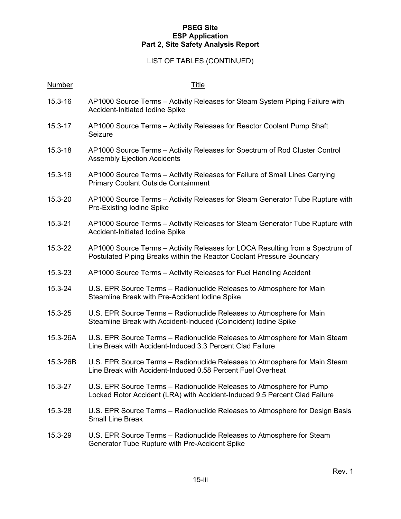#### LIST OF TABLES (CONTINUED)

# Number Title 15.3-16 AP1000 Source Terms – Activity Releases for Steam System Piping Failure with Accident-Initiated Iodine Spike 15.3-17 AP1000 Source Terms – Activity Releases for Reactor Coolant Pump Shaft Seizure 15.3-18 AP1000 Source Terms – Activity Releases for Spectrum of Rod Cluster Control Assembly Ejection Accidents 15.3-19 AP1000 Source Terms – Activity Releases for Failure of Small Lines Carrying Primary Coolant Outside Containment 15.3-20 AP1000 Source Terms – Activity Releases for Steam Generator Tube Rupture with Pre-Existing Iodine Spike 15.3-21 AP1000 Source Terms – Activity Releases for Steam Generator Tube Rupture with Accident-Initiated Iodine Spike 15.3-22 AP1000 Source Terms – Activity Releases for LOCA Resulting from a Spectrum of Postulated Piping Breaks within the Reactor Coolant Pressure Boundary 15.3-23 AP1000 Source Terms – Activity Releases for Fuel Handling Accident 15.3-24 U.S. EPR Source Terms – Radionuclide Releases to Atmosphere for Main Steamline Break with Pre-Accident Iodine Spike 15.3-25 U.S. EPR Source Terms – Radionuclide Releases to Atmosphere for Main Steamline Break with Accident-Induced (Coincident) Iodine Spike 15.3-26A U.S. EPR Source Terms – Radionuclide Releases to Atmosphere for Main Steam Line Break with Accident-Induced 3.3 Percent Clad Failure 15.3-26B U.S. EPR Source Terms – Radionuclide Releases to Atmosphere for Main Steam Line Break with Accident-Induced 0.58 Percent Fuel Overheat 15.3-27 U.S. EPR Source Terms – Radionuclide Releases to Atmosphere for Pump Locked Rotor Accident (LRA) with Accident-Induced 9.5 Percent Clad Failure 15.3-28 U.S. EPR Source Terms – Radionuclide Releases to Atmosphere for Design Basis Small Line Break 15.3-29 U.S. EPR Source Terms – Radionuclide Releases to Atmosphere for Steam

Generator Tube Rupture with Pre-Accident Spike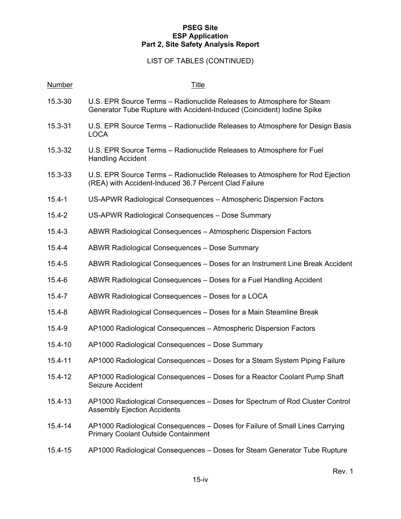# LIST OF TABLES (CONTINUED)

| <b>Number</b> | <b>Title</b>                                                                                                                                    |
|---------------|-------------------------------------------------------------------------------------------------------------------------------------------------|
| 15.3-30       | U.S. EPR Source Terms - Radionuclide Releases to Atmosphere for Steam<br>Generator Tube Rupture with Accident-Induced (Coincident) Iodine Spike |
| 15.3-31       | U.S. EPR Source Terms – Radionuclide Releases to Atmosphere for Design Basis<br><b>LOCA</b>                                                     |
| 15.3-32       | U.S. EPR Source Terms – Radionuclide Releases to Atmosphere for Fuel<br><b>Handling Accident</b>                                                |
| 15.3-33       | U.S. EPR Source Terms – Radionuclide Releases to Atmosphere for Rod Ejection<br>(REA) with Accident-Induced 36.7 Percent Clad Failure           |
| $15.4 - 1$    | US-APWR Radiological Consequences - Atmospheric Dispersion Factors                                                                              |
| $15.4 - 2$    | US-APWR Radiological Consequences - Dose Summary                                                                                                |
| $15.4 - 3$    | ABWR Radiological Consequences - Atmospheric Dispersion Factors                                                                                 |
| $15.4 - 4$    | ABWR Radiological Consequences - Dose Summary                                                                                                   |
| $15.4 - 5$    | ABWR Radiological Consequences - Doses for an Instrument Line Break Accident                                                                    |
| $15.4 - 6$    | ABWR Radiological Consequences - Doses for a Fuel Handling Accident                                                                             |
| $15.4 - 7$    | ABWR Radiological Consequences - Doses for a LOCA                                                                                               |
| $15.4 - 8$    | ABWR Radiological Consequences – Doses for a Main Steamline Break                                                                               |
| $15.4 - 9$    | AP1000 Radiological Consequences - Atmospheric Dispersion Factors                                                                               |
| 15.4-10       | AP1000 Radiological Consequences - Dose Summary                                                                                                 |
| 15.4-11       | AP1000 Radiological Consequences – Doses for a Steam System Piping Failure                                                                      |
| 15.4-12       | AP1000 Radiological Consequences - Doses for a Reactor Coolant Pump Shaft<br>Seizure Accident                                                   |
| $15.4 - 13$   | AP1000 Radiological Consequences - Doses for Spectrum of Rod Cluster Control<br><b>Assembly Ejection Accidents</b>                              |
| $15.4 - 14$   | AP1000 Radiological Consequences - Doses for Failure of Small Lines Carrying<br><b>Primary Coolant Outside Containment</b>                      |
| 15.4-15       | AP1000 Radiological Consequences - Doses for Steam Generator Tube Rupture                                                                       |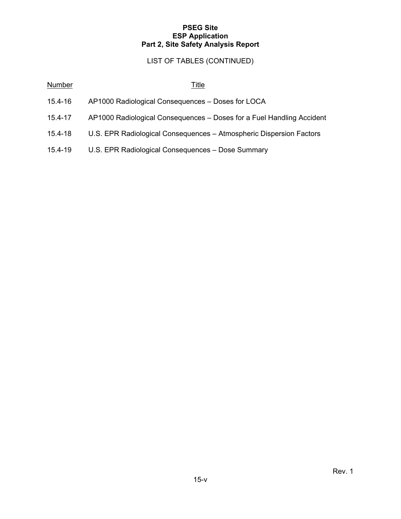# LIST OF TABLES (CONTINUED)

| <b>Number</b> | <u>Title</u>                                                          |
|---------------|-----------------------------------------------------------------------|
| 15.4-16       | AP1000 Radiological Consequences - Doses for LOCA                     |
| $15.4 - 17$   | AP1000 Radiological Consequences - Doses for a Fuel Handling Accident |
| $15.4 - 18$   | U.S. EPR Radiological Consequences - Atmospheric Dispersion Factors   |
| 15.4-19       | U.S. EPR Radiological Consequences - Dose Summary                     |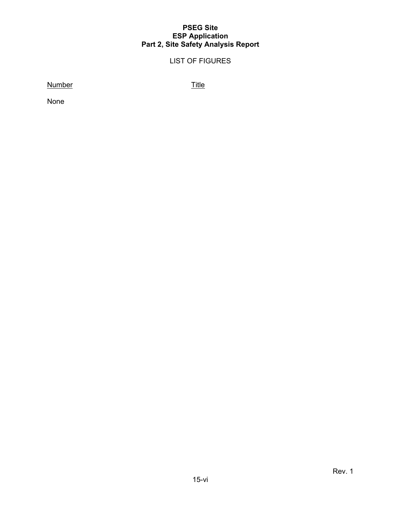# LIST OF FIGURES

Number Title

None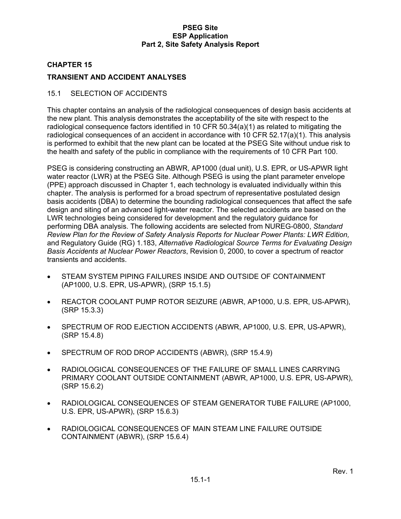#### **CHAPTER 15**

## **TRANSIENT AND ACCIDENT ANALYSES**

#### 15.1 SELECTION OF ACCIDENTS

This chapter contains an analysis of the radiological consequences of design basis accidents at the new plant. This analysis demonstrates the acceptability of the site with respect to the radiological consequence factors identified in 10 CFR 50.34(a)(1) as related to mitigating the radiological consequences of an accident in accordance with 10 CFR 52.17(a)(1). This analysis is performed to exhibit that the new plant can be located at the PSEG Site without undue risk to the health and safety of the public in compliance with the requirements of 10 CFR Part 100.

PSEG is considering constructing an ABWR, AP1000 (dual unit), U.S. EPR, or US-APWR light water reactor (LWR) at the PSEG Site. Although PSEG is using the plant parameter envelope (PPE) approach discussed in Chapter 1, each technology is evaluated individually within this chapter. The analysis is performed for a broad spectrum of representative postulated design basis accidents (DBA) to determine the bounding radiological consequences that affect the safe design and siting of an advanced light-water reactor. The selected accidents are based on the LWR technologies being considered for development and the regulatory guidance for performing DBA analysis. The following accidents are selected from NUREG-0800, *Standard Review Plan for the Review of Safety Analysis Reports for Nuclear Power Plants: LWR Edition,* and Regulatory Guide (RG) 1.183, *Alternative Radiological Source Terms for Evaluating Design Basis Accidents at Nuclear Power Reactors*, Revision 0, 2000, to cover a spectrum of reactor transients and accidents.

- STEAM SYSTEM PIPING FAILURES INSIDE AND OUTSIDE OF CONTAINMENT (AP1000, U.S. EPR, US-APWR), (SRP 15.1.5)
- REACTOR COOLANT PUMP ROTOR SEIZURE (ABWR, AP1000, U.S. EPR, US-APWR), (SRP 15.3.3)
- SPECTRUM OF ROD EJECTION ACCIDENTS (ABWR, AP1000, U.S. EPR, US-APWR), (SRP 15.4.8)
- SPECTRUM OF ROD DROP ACCIDENTS (ABWR), (SRP 15.4.9)
- RADIOLOGICAL CONSEQUENCES OF THE FAILURE OF SMALL LINES CARRYING PRIMARY COOLANT OUTSIDE CONTAINMENT (ABWR, AP1000, U.S. EPR, US-APWR), (SRP 15.6.2)
- RADIOLOGICAL CONSEQUENCES OF STEAM GENERATOR TUBE FAILURE (AP1000, U.S. EPR, US-APWR), (SRP 15.6.3)
- RADIOLOGICAL CONSEQUENCES OF MAIN STEAM LINE FAILURE OUTSIDE CONTAINMENT (ABWR), (SRP 15.6.4)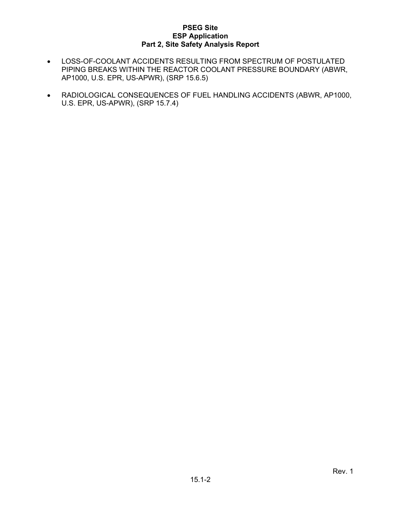- LOSS-OF-COOLANT ACCIDENTS RESULTING FROM SPECTRUM OF POSTULATED PIPING BREAKS WITHIN THE REACTOR COOLANT PRESSURE BOUNDARY (ABWR, AP1000, U.S. EPR, US-APWR), (SRP 15.6.5)
- RADIOLOGICAL CONSEQUENCES OF FUEL HANDLING ACCIDENTS (ABWR, AP1000, U.S. EPR, US-APWR), (SRP 15.7.4)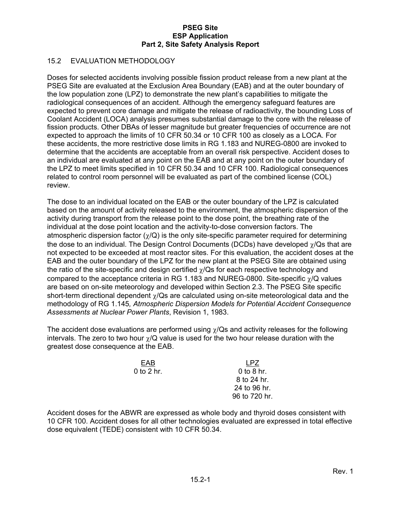# 15.2 EVALUATION METHODOLOGY

Doses for selected accidents involving possible fission product release from a new plant at the PSEG Site are evaluated at the Exclusion Area Boundary (EAB) and at the outer boundary of the low population zone (LPZ) to demonstrate the new plant's capabilities to mitigate the radiological consequences of an accident. Although the emergency safeguard features are expected to prevent core damage and mitigate the release of radioactivity, the bounding Loss of Coolant Accident (LOCA) analysis presumes substantial damage to the core with the release of fission products. Other DBAs of lesser magnitude but greater frequencies of occurrence are not expected to approach the limits of 10 CFR 50.34 or 10 CFR 100 as closely as a LOCA. For these accidents, the more restrictive dose limits in RG 1.183 and NUREG-0800 are invoked to determine that the accidents are acceptable from an overall risk perspective. Accident doses to an individual are evaluated at any point on the EAB and at any point on the outer boundary of the LPZ to meet limits specified in 10 CFR 50.34 and 10 CFR 100. Radiological consequences related to control room personnel will be evaluated as part of the combined license (COL) review.

The dose to an individual located on the EAB or the outer boundary of the LPZ is calculated based on the amount of activity released to the environment, the atmospheric dispersion of the activity during transport from the release point to the dose point, the breathing rate of the individual at the dose point location and the activity-to-dose conversion factors. The atmospheric dispersion factor  $(\gamma/Q)$  is the only site-specific parameter required for determining the dose to an individual. The Design Control Documents (DCDs) have developed  $\gamma$ /Qs that are not expected to be exceeded at most reactor sites. For this evaluation, the accident doses at the EAB and the outer boundary of the LPZ for the new plant at the PSEG Site are obtained using the ratio of the site-specific and design certified  $\gamma$ /Qs for each respective technology and compared to the acceptance criteria in RG 1.183 and NUREG-0800. Site-specific  $\gamma$ /Q values are based on on-site meteorology and developed within Section 2.3. The PSEG Site specific short-term directional dependent  $\chi$ /Qs are calculated using on-site meteorological data and the methodology of RG 1.145*, Atmospheric Dispersion Models for Potential Accident Consequence Assessments at Nuclear Power Plants*, Revision 1, 1983.

The accident dose evaluations are performed using  $\chi$ /Qs and activity releases for the following intervals. The zero to two hour  $\gamma$ /Q value is used for the two hour release duration with the greatest dose consequence at the EAB.

> EAB LPZ 0 to 2 hr. 0 to 8 hr.

 8 to 24 hr. 24 to 96 hr. 96 to 720 hr.

Accident doses for the ABWR are expressed as whole body and thyroid doses consistent with 10 CFR 100. Accident doses for all other technologies evaluated are expressed in total effective dose equivalent (TEDE) consistent with 10 CFR 50.34.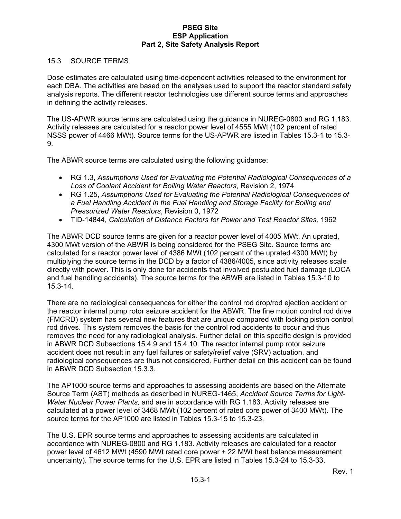#### 15.3 SOURCE TERMS

Dose estimates are calculated using time-dependent activities released to the environment for each DBA. The activities are based on the analyses used to support the reactor standard safety analysis reports. The different reactor technologies use different source terms and approaches in defining the activity releases.

The US-APWR source terms are calculated using the guidance in NUREG-0800 and RG 1.183. Activity releases are calculated for a reactor power level of 4555 MWt (102 percent of rated NSSS power of 4466 MWt). Source terms for the US-APWR are listed in Tables 15.3-1 to 15.3- 9.

The ABWR source terms are calculated using the following guidance:

- RG 1.3, *Assumptions Used for Evaluating the Potential Radiological Consequences of a Loss of Coolant Accident for Boiling Water Reactors*, Revision 2, 1974
- RG 1.25, *Assumptions Used for Evaluating the Potential Radiological Consequences of a Fuel Handling Accident in the Fuel Handling and Storage Facility for Boiling and Pressurized Water Reactors*, Revision 0, 1972
- TID-14844, *Calculation of Distance Factors for Power and Test Reactor Sites,* 1962

The ABWR DCD source terms are given for a reactor power level of 4005 MWt. An uprated, 4300 MWt version of the ABWR is being considered for the PSEG Site. Source terms are calculated for a reactor power level of 4386 MWt (102 percent of the uprated 4300 MWt) by multiplying the source terms in the DCD by a factor of 4386/4005, since activity releases scale directly with power. This is only done for accidents that involved postulated fuel damage (LOCA and fuel handling accidents). The source terms for the ABWR are listed in Tables 15.3-10 to 15.3-14.

There are no radiological consequences for either the control rod drop/rod ejection accident or the reactor internal pump rotor seizure accident for the ABWR. The fine motion control rod drive (FMCRD) system has several new features that are unique compared with locking piston control rod drives. This system removes the basis for the control rod accidents to occur and thus removes the need for any radiological analysis. Further detail on this specific design is provided in ABWR DCD Subsections 15.4.9 and 15.4.10. The reactor internal pump rotor seizure accident does not result in any fuel failures or safety/relief valve (SRV) actuation, and radiological consequences are thus not considered. Further detail on this accident can be found in ABWR DCD Subsection 15.3.3.

The AP1000 source terms and approaches to assessing accidents are based on the Alternate Source Term (AST) methods as described in NUREG-1465, *Accident Source Terms for Light-Water Nuclear Power Plants,* and are in accordance with RG 1.183. Activity releases are calculated at a power level of 3468 MWt (102 percent of rated core power of 3400 MWt). The source terms for the AP1000 are listed in Tables 15.3-15 to 15.3-23.

The U.S. EPR source terms and approaches to assessing accidents are calculated in accordance with NUREG-0800 and RG 1.183. Activity releases are calculated for a reactor power level of 4612 MWt (4590 MWt rated core power + 22 MWt heat balance measurement uncertainty). The source terms for the U.S. EPR are listed in Tables 15.3-24 to 15.3-33.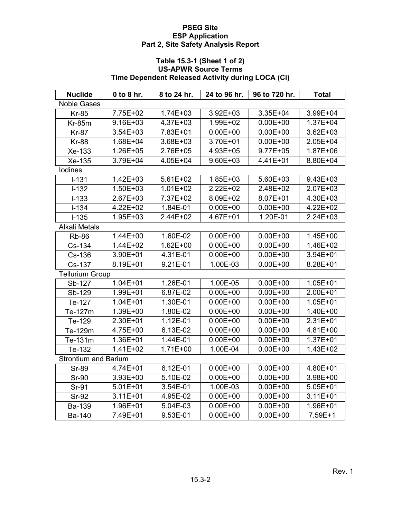# **Table 15.3-1 (Sheet 1 of 2) US-APWR Source Terms Time Dependent Released Activity during LOCA (Ci)**

| <b>Nuclide</b>              | 0 to 8 hr.   | 8 to 24 hr.  | 24 to 96 hr. | 96 to 720 hr. | Total        |  |  |  |
|-----------------------------|--------------|--------------|--------------|---------------|--------------|--|--|--|
| <b>Noble Gases</b>          |              |              |              |               |              |  |  |  |
| <b>Kr-85</b>                | 7.75E+02     | $1.74E + 03$ | $3.92E + 03$ | 3.35E+04      | 3.99E+04     |  |  |  |
| <b>Kr-85m</b>               | $9.16E + 03$ | 4.37E+03     | 1.99E+02     | $0.00E + 00$  | $1.37E + 04$ |  |  |  |
| <b>Kr-87</b>                | 3.54E+03     | 7.83E+01     | $0.00E + 00$ | $0.00E + 00$  | $3.62E + 03$ |  |  |  |
| <b>Kr-88</b>                | 1.68E+04     | 3.68E+03     | 3.70E+01     | $0.00E + 00$  | 2.05E+04     |  |  |  |
| Xe-133                      | 1.26E+05     | 2.76E+05     | 4.93E+05     | 9.77E+05      | 1.87E+06     |  |  |  |
| Xe-135                      | 3.79E+04     | 4.05E+04     | 9.60E+03     | 4.41E+01      | 8.80E+04     |  |  |  |
| lodines                     |              |              |              |               |              |  |  |  |
| $I-131$                     | $1.42E + 03$ | $5.61E + 02$ | 1.85E+03     | 5.60E+03      | $9.43E + 03$ |  |  |  |
| $I-132$                     | $1.50E + 03$ | $1.01E + 02$ | 2.22E+02     | 2.48E+02      | $2.07E + 03$ |  |  |  |
| $I-133$                     | 2.67E+03     | 7.37E+02     | 8.09E+02     | 8.07E+01      | 4.30E+03     |  |  |  |
| $I - 134$                   | 4.22E+02     | 1.84E-01     | $0.00E + 00$ | $0.00E + 00$  | 4.22E+02     |  |  |  |
| $I - 135$                   | 1.95E+03     | 2.44E+02     | 4.67E+01     | 1.20E-01      | $2.24E + 03$ |  |  |  |
| <b>Alkali Metals</b>        |              |              |              |               |              |  |  |  |
| <b>Rb-86</b>                | 1.44E+00     | 1.60E-02     | $0.00E + 00$ | $0.00E + 00$  | 1.45E+00     |  |  |  |
| Cs-134                      | 1.44E+02     | $1.62E + 00$ | $0.00E + 00$ | $0.00E + 00$  | 1.46E+02     |  |  |  |
| Cs-136                      | 3.90E+01     | 4.31E-01     | $0.00E + 00$ | $0.00E + 00$  | $3.94E + 01$ |  |  |  |
| Cs-137                      | 8.19E+01     | 9.21E-01     | 1.00E-03     | $0.00E + 00$  | 8.28E+01     |  |  |  |
| <b>Tellurium Group</b>      |              |              |              |               |              |  |  |  |
| Sb-127                      | $1.04E + 01$ | 1.26E-01     | 1.00E-05     | $0.00E + 00$  | 1.05E+01     |  |  |  |
| Sb-129                      | 1.99E+01     | 6.87E-02     | $0.00E + 00$ | $0.00E + 00$  | 2.00E+01     |  |  |  |
| Te-127                      | $1.04E + 01$ | 1.30E-01     | $0.00E + 00$ | $0.00E + 00$  | $1.05E + 01$ |  |  |  |
| Te-127m                     | 1.39E+00     | 1.80E-02     | $0.00E + 00$ | $0.00E + 00$  | 1.40E+00     |  |  |  |
| Te-129                      | 2.30E+01     | 1.12E-01     | $0.00E + 00$ | $0.00E + 00$  | $2.31E+01$   |  |  |  |
| Te-129m                     | 4.75E+00     | 6.13E-02     | $0.00E + 00$ | $0.00E + 00$  | 4.81E+00     |  |  |  |
| Te-131m                     | 1.36E+01     | 1.44E-01     | $0.00E + 00$ | $0.00E + 00$  | $1.37E + 01$ |  |  |  |
| Te-132                      | 1.41E+02     | 1.71E+00     | 1.00E-04     | $0.00E + 00$  | $1.43E + 02$ |  |  |  |
| <b>Strontium and Barium</b> |              |              |              |               |              |  |  |  |
| <b>Sr-89</b>                | 4.74E+01     | 6.12E-01     | $0.00E + 00$ | $0.00E + 00$  | 4.80E+01     |  |  |  |
| <b>Sr-90</b>                | 3.93E+00     | 5.10E-02     | $0.00E + 00$ | $0.00E + 00$  | 3.98E+00     |  |  |  |
| Sr-91                       | $5.01E + 01$ | 3.54E-01     | 1.00E-03     | $0.00E + 00$  | $5.05E + 01$ |  |  |  |
| <b>Sr-92</b>                | $3.11E + 01$ | 4.95E-02     | $0.00E + 00$ | $0.00E + 00$  | $3.11E + 01$ |  |  |  |
| Ba-139                      | 1.96E+01     | 5.04E-03     | $0.00E + 00$ | $0.00E + 00$  | 1.96E+01     |  |  |  |
| <b>Ba-140</b>               | 7.49E+01     | 9.53E-01     | $0.00E + 00$ | $0.00E + 00$  | 7.59E+1      |  |  |  |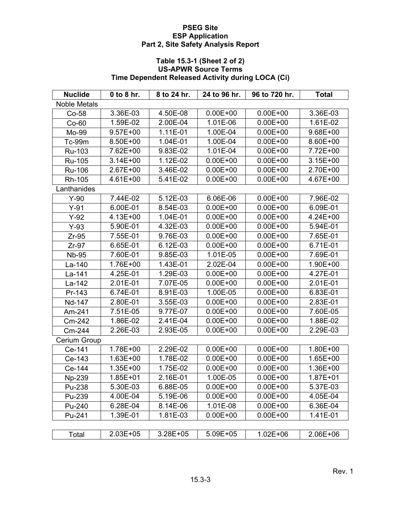# **Table 15.3-1 (Sheet 2 of 2) US-APWR Source Terms Time Dependent Released Activity during LOCA (Ci)**

| <b>Nuclide</b>      | $0$ to $8$ hr. | 8 to 24 hr. | 24 to 96 hr. | 96 to 720 hr. | <b>Total</b> |
|---------------------|----------------|-------------|--------------|---------------|--------------|
| <b>Noble Metals</b> |                |             |              |               |              |
| $Co-58$             | 3.36E-03       | 4.50E-08    | $0.00E + 00$ | $0.00E + 00$  | 3.36E-03     |
| $Co-60$             | 1.59E-02       | 2.00E-04    | 1.01E-06     | $0.00E + 00$  | 1.61E-02     |
| Mo-99               | $9.57E + 00$   | 1.11E-01    | 1.00E-04     | $0.00E + 00$  | 9.68E+00     |
| Tc-99m              | 8.50E+00       | 1.04E-01    | 1.00E-04     | $0.00E + 00$  | 8.60E+00     |
| Ru-103              | 7.62E+00       | 9.83E-02    | 1.01E-04     | $0.00E + 00$  | 7.72E+00     |
| Ru-105              | $3.14E + 00$   | 1.12E-02    | $0.00E + 00$ | $0.00E + 00$  | $3.15E + 00$ |
| Ru-106              | 2.67E+00       | 3.46E-02    | $0.00E + 00$ | $0.00E + 00$  | 2.70E+00     |
| Rh-105              | 4.61E+00       | 5.41E-02    | $0.00E + 00$ | $0.00E + 00$  | 4.67E+00     |
| Lanthanides         |                |             |              |               |              |
| $Y-90$              | 7.44E-02       | 5.12E-03    | 6.06E-06     | $0.00E + 00$  | 7.96E-02     |
| $Y-91$              | 6.00E-01       | 8.54E-03    | $0.00E + 00$ | $0.00E + 00$  | 6.09E-01     |
| $Y-92$              | 4.13E+00       | 1.04E-01    | $0.00E + 00$ | $0.00E + 00$  | 4.24E+00     |
| $Y-93$              | 5.90E-01       | 4.32E-03    | $0.00E + 00$ | $0.00E + 00$  | 5.94E-01     |
| $Zr-95$             | 7.55E-01       | 9.76E-03    | $0.00E + 00$ | $0.00E + 00$  | 7.65E-01     |
| $Zr-97$             | 6.65E-01       | 6.12E-03    | $0.00E + 00$ | $0.00E + 00$  | 6.71E-01     |
| <b>Nb-95</b>        | 7.60E-01       | 9.85E-03    | 1.01E-05     | $0.00E + 00$  | 7.69E-01     |
| La-140              | 1.76E+00       | 1.43E-01    | 2.02E-04     | $0.00E + 00$  | 1.90E+00     |
| La-141              | 4.25E-01       | 1.29E-03    | $0.00E + 00$ | $0.00E + 00$  | 4.27E-01     |
| La-142              | 2.01E-01       | 7.07E-05    | $0.00E + 00$ | $0.00E + 00$  | 2.01E-01     |
| Pr-143              | 6.74E-01       | 8.91E-03    | 1.00E-05     | $0.00E + 00$  | 6.83E-01     |
| Nd-147              | 2.80E-01       | 3.55E-03    | $0.00E + 00$ | $0.00E + 00$  | 2.83E-01     |
| Am-241              | 7.51E-05       | 9.77E-07    | $0.00E + 00$ | $0.00E + 00$  | 7.60E-05     |
| Cm-242              | 1.86E-02       | 2.41E-04    | $0.00E + 00$ | $0.00E + 00$  | 1.88E-02     |
| Cm-244              | 2.26E-03       | 2.93E-05    | $0.00E + 00$ | $0.00E + 00$  | 2.29E-03     |
| Cerium Group        |                |             |              |               |              |
| Ce-141              | 1.78E+00       | 2.29E-02    | $0.00E + 00$ | $0.00E + 00$  | 1.80E+00     |
| Ce-143              | $1.63E + 00$   | 1.78E-02    | $0.00E + 00$ | $0.00E + 00$  | 1.65E+00     |
| Ce-144              | 1.35E+00       | 1.75E-02    | $0.00E + 00$ | $0.00E + 00$  | 1.36E+00     |
| Np-239              | $1.85E + 01$   | 2.16E-01    | 1.00E-05     | $0.00E + 00$  | 1.87E+01     |
| Pu-238              | 5.30E-03       | 6.88E-05    | $0.00E + 00$ | $0.00E + 00$  | 5.37E-03     |
| Pu-239              | 4.00E-04       | 5.19E-06    | $0.00E + 00$ | $0.00E + 00$  | 4.05E-04     |
| Pu-240              | 6.28E-04       | 8.14E-06    | 1.01E-08     | $0.00E + 00$  | 6.36E-04     |
| Pu-241              | 1.39E-01       | 1.81E-03    | $0.00E + 00$ | $0.00E + 00$  | 1.41E-01     |
|                     |                |             |              |               |              |
| Total               | 2.03E+05       | 3.28E+05    | 5.09E+05     | $1.02E + 06$  | 2.06E+06     |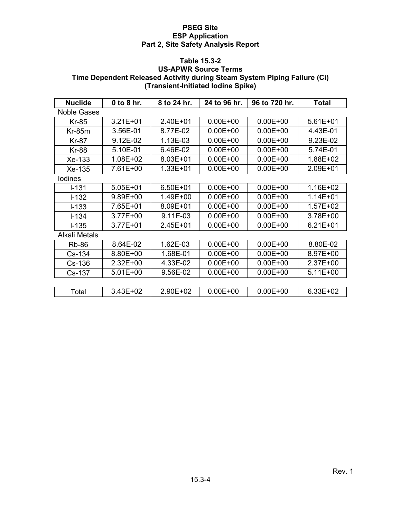#### **Table 15.3-2**

# **US-APWR Source Terms Time Dependent Released Activity during Steam System Piping Failure (Ci) (Transient-Initiated Iodine Spike)**

| <b>Nuclide</b> | 0 to 8 hr.   | 8 to 24 hr.  | 24 to 96 hr. | 96 to 720 hr. | <b>Total</b> |
|----------------|--------------|--------------|--------------|---------------|--------------|
| Noble Gases    |              |              |              |               |              |
| <b>Kr-85</b>   | $3.21E + 01$ | 2.40E+01     | $0.00E + 00$ | $0.00E + 00$  | $5.61E + 01$ |
| $Kr-85m$       | 3.56E-01     | 8.77E-02     | $0.00E + 00$ | $0.00E + 00$  | 4.43E-01     |
| <b>Kr-87</b>   | 9.12E-02     | 1.13E-03     | $0.00E + 00$ | $0.00E + 00$  | 9.23E-02     |
| <b>Kr-88</b>   | 5.10E-01     | 6.46E-02     | $0.00E + 00$ | $0.00E + 00$  | 5.74E-01     |
| Xe-133         | 1.08E+02     | 8.03E+01     | $0.00E + 00$ | $0.00E + 00$  | 1.88E+02     |
| Xe-135         | 7.61E+00     | 1.33E+01     | $0.00E + 00$ | $0.00E + 00$  | 2.09E+01     |
| lodines        |              |              |              |               |              |
| $I - 131$      | $5.05E + 01$ | $6.50E + 01$ | $0.00E + 00$ | $0.00E + 00$  | 1.16E+02     |
| $I-132$        | 9.89E+00     | 1.49E+00     | $0.00E + 00$ | $0.00E + 00$  | $1.14E + 01$ |
| $I - 133$      | 7.65E+01     | 8.09E+01     | $0.00E + 00$ | $0.00E + 00$  | $1.57E + 02$ |
| $I - 134$      | 3.77E+00     | 9.11E-03     | $0.00E + 00$ | $0.00E + 00$  | 3.78E+00     |
| $I - 135$      | 3.77E+01     | $2.45E + 01$ | $0.00E + 00$ | $0.00E + 00$  | $6.21E + 01$ |
| Alkali Metals  |              |              |              |               |              |
| <b>Rb-86</b>   | 8.64E-02     | 1.62E-03     | $0.00E + 00$ | $0.00E + 00$  | 8.80E-02     |
| Cs-134         | 8.80E+00     | 1.68E-01     | $0.00E + 00$ | $0.00E + 00$  | 8.97E+00     |
| Cs-136         | 2.32E+00     | 4.33E-02     | $0.00E + 00$ | $0.00E + 00$  | $2.37E+00$   |
| Cs-137         | 5.01E+00     | 9.56E-02     | $0.00E + 00$ | $0.00E + 00$  | $5.11E+00$   |
|                |              |              |              |               |              |
| Total          | 3.43E+02     | 2.90E+02     | $0.00E + 00$ | $0.00E + 00$  | 6.33E+02     |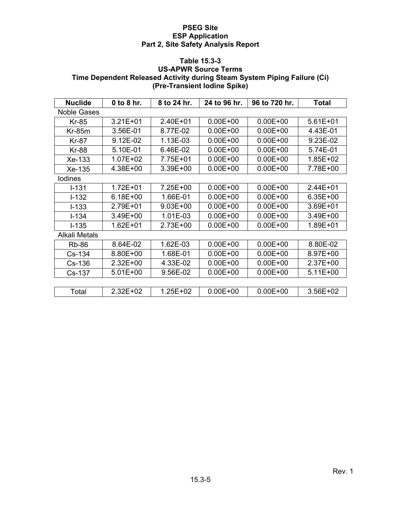#### **Table 15.3-3**

# **US-APWR Source Terms Time Dependent Released Activity during Steam System Piping Failure (Ci) (Pre-Transient Iodine Spike)**

| <b>Nuclide</b>       | $0$ to 8 hr. | 8 to 24 hr.  | 24 to 96 hr. | 96 to 720 hr. | <b>Total</b> |
|----------------------|--------------|--------------|--------------|---------------|--------------|
| Noble Gases          |              |              |              |               |              |
| <b>Kr-85</b>         | $3.21E + 01$ | 2.40E+01     | $0.00E + 00$ | $0.00E + 00$  | $5.61E + 01$ |
| $Kr-85m$             | 3.56E-01     | 8.77E-02     | $0.00E + 00$ | $0.00E + 00$  | 4.43E-01     |
| <b>Kr-87</b>         | 9.12E-02     | 1.13E-03     | $0.00E + 00$ | $0.00E + 00$  | 9.23E-02     |
| <b>Kr-88</b>         | 5.10E-01     | 6.46E-02     | $0.00E + 00$ | $0.00E + 00$  | 5.74E-01     |
| Xe-133               | $1.07E + 02$ | 7.75E+01     | $0.00E + 00$ | $0.00E + 00$  | 1.85E+02     |
| Xe-135               | 4.38E+00     | 3.39E+00     | $0.00E + 00$ | $0.00E + 00$  | 7.78E+00     |
| lodines              |              |              |              |               |              |
| $I - 131$            | $1.72E + 01$ | 7.25E+00     | $0.00E + 00$ | $0.00E + 00$  | 2.44E+01     |
| $I - 132$            | 6.18E+00     | 1.66E-01     | $0.00E + 00$ | $0.00E + 00$  | 6.35E+00     |
| $I - 133$            | 2.79E+01     | $9.03E + 00$ | $0.00E + 00$ | $0.00E + 00$  | 3.69E+01     |
| $I - 134$            | 3.49E+00     | 1.01E-03     | $0.00E + 00$ | $0.00E + 00$  | 3.49E+00     |
| $I - 135$            | $1.62E + 01$ | 2.73E+00     | $0.00E + 00$ | $0.00E + 00$  | 1.89E+01     |
| <b>Alkali Metals</b> |              |              |              |               |              |
| <b>Rb-86</b>         | 8.64E-02     | 1.62E-03     | $0.00E + 00$ | $0.00E + 00$  | 8.80E-02     |
| Cs-134               | 8.80E+00     | 1.68E-01     | $0.00E + 00$ | $0.00E + 00$  | 8.97E+00     |
| $Cs-136$             | 2.32E+00     | 4.33E-02     | $0.00E + 00$ | $0.00E + 00$  | $2.37E+00$   |
| Cs-137               | 5.01E+00     | 9.56E-02     | $0.00E + 00$ | $0.00E + 00$  | $5.11E+00$   |
|                      |              |              |              |               |              |
| Total                | 2.32E+02     | 1.25E+02     | $0.00E + 00$ | $0.00E + 00$  | 3.56E+02     |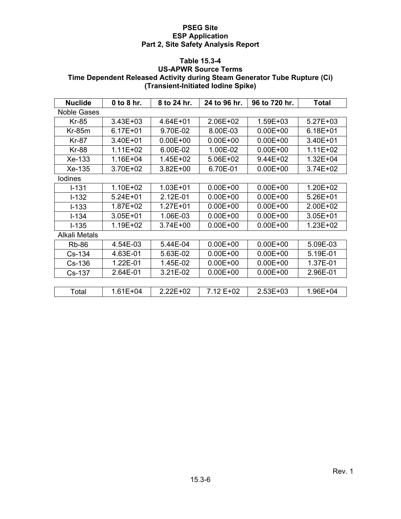## **Table 15.3-4**

## **US-APWR Source Terms Time Dependent Released Activity during Steam Generator Tube Rupture (Ci) (Transient-Initiated Iodine Spike)**

| <b>Nuclide</b> | 0 to 8 hr.   | 8 to 24 hr.  | 24 to 96 hr. | 96 to 720 hr. | Total        |
|----------------|--------------|--------------|--------------|---------------|--------------|
| Noble Gases    |              |              |              |               |              |
| Kr-85          | $3.43E + 03$ | 4.64E+01     | $2.06E + 02$ | 1.59E+03      | $5.27E + 03$ |
| $Kr-85m$       | $6.17E + 01$ | 9.70E-02     | 8.00E-03     | $0.00E + 00$  | $6.18E + 01$ |
| <b>Kr-87</b>   | 3.40E+01     | $0.00E + 00$ | $0.00E + 00$ | $0.00E + 00$  | $3.40E + 01$ |
| <b>Kr-88</b>   | $1.11E + 02$ | 6.00E-02     | 1.00E-02     | $0.00E + 00$  | $1.11E+02$   |
| Xe-133         | 1.16E+04     | 1.45E+02     | 5.06E+02     | 9.44E+02      | $1.32E + 04$ |
| Xe-135         | 3.70E+02     | $3.82E + 00$ | 6.70E-01     | $0.00E + 00$  | $3.74E + 02$ |
| lodines        |              |              |              |               |              |
| $I - 131$      | 1.10E+02     | $1.03E + 01$ | $0.00E + 00$ | $0.00E + 00$  | $1.20E + 02$ |
| $I - 132$      | $5.24E + 01$ | 2.12E-01     | $0.00E + 00$ | $0.00E + 00$  | $5.26E + 01$ |
| $I - 133$      | 1.87E+02     | 1.27E+01     | $0.00E + 00$ | $0.00E + 00$  | $2.00E + 02$ |
| $I - 134$      | $3.05E + 01$ | 1.06E-03     | $0.00E + 00$ | $0.00E + 00$  | $3.05E + 01$ |
| $I - 135$      | $1.19E + 02$ | $3.74E + 00$ | $0.00E + 00$ | $0.00E + 00$  | $1.23E + 02$ |
| Alkali Metals  |              |              |              |               |              |
| <b>Rb-86</b>   | 4.54E-03     | 5.44E-04     | $0.00E + 00$ | $0.00E + 00$  | 5.09E-03     |
| $Cs-134$       | 4.63E-01     | 5.63E-02     | $0.00E + 00$ | $0.00E + 00$  | 5.19E-01     |
| $Cs-136$       | 1.22E-01     | 1.45E-02     | $0.00E + 00$ | $0.00E + 00$  | 1.37E-01     |
| Cs-137         | 2.64E-01     | 3.21E-02     | $0.00E + 00$ | $0.00E + 00$  | 2.96E-01     |
|                |              |              |              |               |              |
| Total          | $1.61E + 04$ | $2.22E + 02$ | 7.12 E+02    | $2.53E+03$    | $1.96E + 04$ |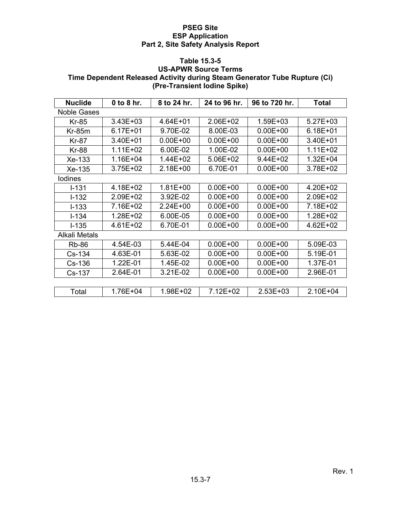#### **Table 15.3-5**

## **US-APWR Source Terms Time Dependent Released Activity during Steam Generator Tube Rupture (Ci) (Pre-Transient Iodine Spike)**

| <b>Nuclide</b> | 0 to 8 hr.   | 8 to 24 hr.  | 24 to 96 hr. | 96 to 720 hr. | Total        |
|----------------|--------------|--------------|--------------|---------------|--------------|
| Noble Gases    |              |              |              |               |              |
| <b>Kr-85</b>   | $3.43E + 03$ | 4.64E+01     | $2.06E + 02$ | 1.59E+03      | $5.27E + 03$ |
| Kr-85m         | $6.17E + 01$ | 9.70E-02     | 8.00E-03     | $0.00E + 00$  | $6.18E + 01$ |
| <b>Kr-87</b>   | 3.40E+01     | $0.00E + 00$ | $0.00E + 00$ | $0.00E + 00$  | $3.40E + 01$ |
| <b>Kr-88</b>   | 1.11E+02     | 6.00E-02     | 1.00E-02     | $0.00E + 00$  | $1.11E + 02$ |
| Xe-133         | 1.16E+04     | 1.44E+02     | 5.06E+02     | 9.44E+02      | $1.32E + 04$ |
| Xe-135         | 3.75E+02     | 2.18E+00     | 6.70E-01     | $0.00E + 00$  | 3.78E+02     |
| lodines        |              |              |              |               |              |
| $I - 131$      | 4.18E+02     | $1.81E + 00$ | $0.00E + 00$ | $0.00E + 00$  | 4.20E+02     |
| $I - 132$      | 2.09E+02     | 3.92E-02     | $0.00E + 00$ | $0.00E + 00$  | 2.09E+02     |
| $I - 133$      | 7.16E+02     | $2.24E + 00$ | $0.00E + 00$ | $0.00E + 00$  | 7.18E+02     |
| $I - 134$      | 1.28E+02     | 6.00E-05     | $0.00E + 00$ | $0.00E + 00$  | 1.28E+02     |
| $I - 135$      | 4.61E+02     | 6.70E-01     | $0.00E + 00$ | $0.00E + 00$  | $4.62E + 02$ |
| Alkali Metals  |              |              |              |               |              |
| <b>Rb-86</b>   | 4.54E-03     | 5.44E-04     | $0.00E + 00$ | $0.00E + 00$  | 5.09E-03     |
| $Cs-134$       | 4.63E-01     | 5.63E-02     | $0.00E + 00$ | $0.00E + 00$  | 5.19E-01     |
| Cs-136         | 1.22E-01     | 1.45E-02     | $0.00E + 00$ | $0.00E + 00$  | 1.37E-01     |
| Cs-137         | 2.64E-01     | 3.21E-02     | $0.00E + 00$ | $0.00E + 00$  | 2.96E-01     |
|                |              |              |              |               |              |
| Total          | 1.76E+04     | 1.98E+02     | 7.12E+02     | $2.53E + 03$  | $2.10E + 04$ |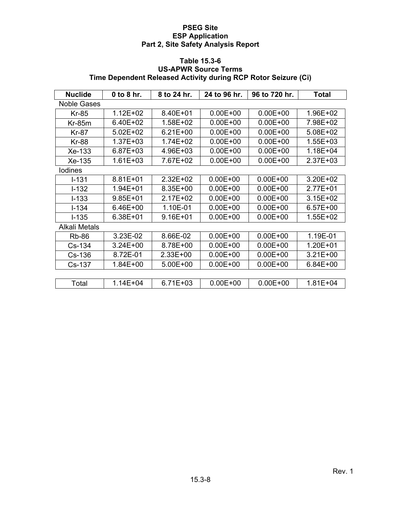# **Table 15.3-6 US-APWR Source Terms Time Dependent Released Activity during RCP Rotor Seizure (Ci)**

| <b>Nuclide</b>       | 0 to 8 hr.   | 8 to 24 hr.  | 24 to 96 hr. | 96 to 720 hr. | Total        |
|----------------------|--------------|--------------|--------------|---------------|--------------|
| <b>Noble Gases</b>   |              |              |              |               |              |
| <b>Kr-85</b>         | $1.12E + 02$ | 8.40E+01     | $0.00E + 00$ | $0.00E + 00$  | 1.96E+02     |
| $Kr-85m$             | 6.40E+02     | 1.58E+02     | $0.00E + 00$ | $0.00E + 00$  | 7.98E+02     |
| <b>Kr-87</b>         | $5.02E + 02$ | $6.21E + 00$ | $0.00E + 00$ | $0.00E + 00$  | $5.08E + 02$ |
| <b>Kr-88</b>         | 1.37E+03     | 1.74E+02     | $0.00E + 00$ | $0.00E + 00$  | 1.55E+03     |
| Xe-133               | 6.87E+03     | 4.96E+03     | $0.00E + 00$ | $0.00E + 00$  | 1.18E+04     |
| Xe-135               | $1.61E + 03$ | 7.67E+02     | $0.00E + 00$ | $0.00E + 00$  | $2.37E + 03$ |
| lodines              |              |              |              |               |              |
| $I - 131$            | 8.81E+01     | $2.32E + 02$ | $0.00E + 00$ | $0.00E + 00$  | $3.20E + 02$ |
| $I-132$              | 1.94E+01     | 8.35E+00     | $0.00E + 00$ | $0.00E + 00$  | 2.77E+01     |
| $I - 133$            | $9.85E + 01$ | $2.17E + 02$ | $0.00E + 00$ | $0.00E + 00$  | $3.15E + 02$ |
| $I - 134$            | 6.46E+00     | 1.10E-01     | $0.00E + 00$ | $0.00E + 00$  | $6.57E + 00$ |
| $I - 135$            | 6.38E+01     | $9.16E + 01$ | $0.00E + 00$ | $0.00E + 00$  | $1.55E + 02$ |
| <b>Alkali Metals</b> |              |              |              |               |              |
| <b>Rb-86</b>         | 3.23E-02     | 8.66E-02     | $0.00E + 00$ | $0.00E + 00$  | 1.19E-01     |
| $Cs-134$             | $3.24E + 00$ | 8.78E+00     | $0.00E + 00$ | $0.00E + 00$  | $1.20E + 01$ |
| $Cs-136$             | 8.72E-01     | 2.33E+00     | $0.00E + 00$ | $0.00E + 00$  | $3.21E + 00$ |
| Cs-137               | 1.84E+00     | 5.00E+00     | $0.00E + 00$ | $0.00E + 00$  | $6.84E + 00$ |
|                      |              |              |              |               |              |
| Total                | $1.14E + 04$ | $6.71E + 03$ | $0.00E + 00$ | $0.00E + 00$  | $1.81E + 04$ |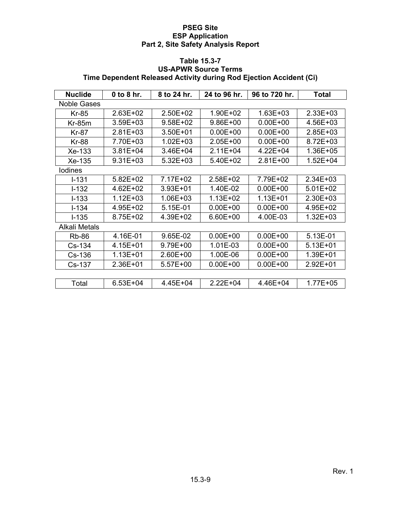# **Table 15.3-7 US-APWR Source Terms Time Dependent Released Activity during Rod Ejection Accident (Ci)**

| <b>Nuclide</b>       | $0$ to 8 hr. | 8 to 24 hr.  | 24 to 96 hr. | 96 to 720 hr. | Total        |
|----------------------|--------------|--------------|--------------|---------------|--------------|
| <b>Noble Gases</b>   |              |              |              |               |              |
| <b>Kr-85</b>         | 2.63E+02     | 2.50E+02     | 1.90E+02     | $1.63E + 03$  | $2.33E + 03$ |
| $Kr-85m$             | 3.59E+03     | 9.58E+02     | 9.86E+00     | $0.00E + 00$  | 4.56E+03     |
| <b>Kr-87</b>         | $2.81E + 03$ | $3.50E + 01$ | $0.00E + 00$ | $0.00E + 00$  | $2.85E + 03$ |
| <b>Kr-88</b>         | 7.70E+03     | $1.02E + 03$ | $2.05E+00$   | $0.00E + 00$  | 8.72E+03     |
| Xe-133               | $3.81E + 04$ | 3.46E+04     | $2.11E + 04$ | 4.22E+04      | 1.36E+05     |
| Xe-135               | 9.31E+03     | 5.32E+03     | 5.40E+02     | 2.81E+00      | $1.52E + 04$ |
| lodines              |              |              |              |               |              |
| $I - 131$            | $5.82E + 02$ | 7.17E+02     | $2.58E + 02$ | 7.79E+02      | $2.34E + 03$ |
| $I-132$              | 4.62E+02     | $3.93E + 01$ | 1.40E-02     | $0.00E + 00$  | $5.01E + 02$ |
| $I - 133$            | 1.12E+03     | 1.06E+03     | $1.13E + 02$ | $1.13E + 01$  | $2.30E + 03$ |
| $I - 134$            | 4.95E+02     | 5.15E-01     | $0.00E + 00$ | $0.00E + 00$  | $4.95E + 02$ |
| $I - 135$            | 8.75E+02     | 4.39E+02     | 6.60E+00     | 4.00E-03      | $1.32E + 03$ |
| <b>Alkali Metals</b> |              |              |              |               |              |
| <b>Rb-86</b>         | 4.16E-01     | 9.65E-02     | $0.00E + 00$ | $0.00E + 00$  | 5.13E-01     |
| $Cs-134$             | 4.15E+01     | 9.79E+00     | 1.01E-03     | $0.00E + 00$  | $5.13E + 01$ |
| $Cs-136$             | $1.13E + 01$ | 2.60E+00     | 1.00E-06     | $0.00E + 00$  | 1.39E+01     |
| Cs-137               | 2.36E+01     | 5.57E+00     | $0.00E + 00$ | $0.00E + 00$  | $2.92E + 01$ |
|                      |              |              |              |               |              |
| Total                | $6.53E + 04$ | 4.45E+04     | $2.22E + 04$ | 4.46E+04      | $1.77E + 05$ |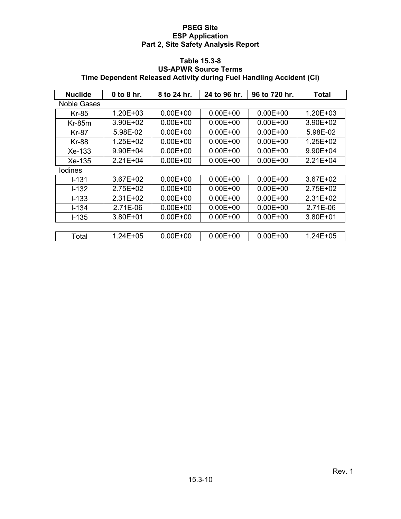### **Table 15.3-8 US-APWR Source Terms Time Dependent Released Activity during Fuel Handling Accident (Ci)**

| <b>Nuclide</b>     | 0 to 8 hr.   | 8 to 24 hr.  | 24 to 96 hr. | 96 to 720 hr. | Total        |
|--------------------|--------------|--------------|--------------|---------------|--------------|
| <b>Noble Gases</b> |              |              |              |               |              |
| <b>Kr-85</b>       | $1.20E + 03$ | $0.00E + 00$ | $0.00E + 00$ | $0.00E + 00$  | $1.20E + 03$ |
| $Kr-85m$           | 3.90E+02     | $0.00E + 00$ | $0.00E + 00$ | $0.00E + 00$  | 3.90E+02     |
| Kr-87              | 5.98E-02     | $0.00E + 00$ | $0.00E + 00$ | $0.00E + 00$  | 5.98E-02     |
| <b>Kr-88</b>       | 1.25E+02     | $0.00E + 00$ | $0.00E + 00$ | $0.00E + 00$  | 1.25E+02     |
| $Xe-133$           | $9.90E + 04$ | $0.00E + 00$ | $0.00E + 00$ | $0.00E + 00$  | $9.90E + 04$ |
| $Xe-135$           | $2.21E + 04$ | $0.00E + 00$ | $0.00E + 00$ | $0.00E + 00$  | $2.21E + 04$ |
| <b>lodines</b>     |              |              |              |               |              |
| $I - 131$          | $3.67E + 02$ | $0.00E + 00$ | $0.00E + 00$ | $0.00E + 00$  | $3.67E + 02$ |
| $I - 132$          | 2.75E+02     | $0.00E + 00$ | $0.00E + 00$ | $0.00E + 00$  | $2.75E+02$   |
| $I - 133$          | $2.31E+02$   | $0.00E + 00$ | $0.00E + 00$ | $0.00E + 00$  | $2.31E+02$   |
| $I - 134$          | 2.71E-06     | $0.00E + 00$ | $0.00E + 00$ | $0.00E + 00$  | 2.71E-06     |
| $I - 135$          | $3.80E + 01$ | $0.00E + 00$ | $0.00E + 00$ | $0.00E + 00$  | $3.80E + 01$ |
|                    |              |              |              |               |              |
| Total              | 1.24E+05     | $0.00E + 00$ | $0.00E + 00$ | $0.00E + 00$  | 1.24E+05     |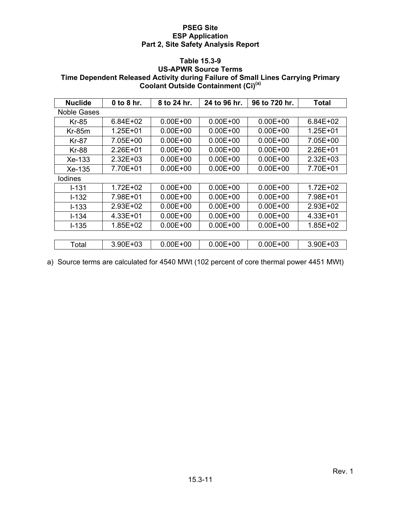## **Table 15.3-9**

# **US-APWR Source Terms Time Dependent Released Activity during Failure of Small Lines Carrying Primary Coolant Outside Containment (Ci)(a)**

| <b>Nuclide</b> | $0$ to $8$ hr. | 8 to 24 hr.  | 24 to 96 hr. | 96 to 720 hr. | Total        |
|----------------|----------------|--------------|--------------|---------------|--------------|
| Noble Gases    |                |              |              |               |              |
| <b>Kr-85</b>   | $6.84E + 02$   | $0.00E + 00$ | $0.00E + 00$ | $0.00E + 00$  | $6.84E + 02$ |
| $Kr-85m$       | $1.25E + 01$   | $0.00E + 00$ | $0.00E + 00$ | $0.00E + 00$  | $1.25E + 01$ |
| Kr-87          | 7.05E+00       | $0.00E + 00$ | $0.00E + 00$ | $0.00E + 00$  | 7.05E+00     |
| Kr-88          | 2.26E+01       | $0.00E + 00$ | $0.00E + 00$ | $0.00E + 00$  | $2.26E + 01$ |
| $Xe-133$       | $2.32E + 03$   | $0.00E + 00$ | $0.00E + 00$ | $0.00E + 00$  | $2.32E + 03$ |
| Xe-135         | 7.70E+01       | $0.00E + 00$ | $0.00E + 00$ | $0.00E + 00$  | 7.70E+01     |
| lodines        |                |              |              |               |              |
| $I - 131$      | 1.72E+02       | $0.00E + 00$ | $0.00E + 00$ | $0.00E + 00$  | $1.72E + 02$ |
| $I - 132$      | 7.98E+01       | $0.00E + 00$ | $0.00E + 00$ | $0.00E + 00$  | 7.98E+01     |
| $I - 133$      | $2.93E + 02$   | $0.00E + 00$ | $0.00E + 00$ | $0.00E + 00$  | $2.93E + 02$ |
| $I - 134$      | $4.33E + 01$   | $0.00E + 00$ | $0.00E + 00$ | $0.00E + 00$  | $4.33E + 01$ |
| $I - 135$      | 1.85E+02       | $0.00E + 00$ | $0.00E + 00$ | $0.00E + 00$  | 1.85E+02     |
|                |                |              |              |               |              |
| Total          | $3.90E + 03$   | $0.00E + 00$ | $0.00E + 00$ | $0.00E + 00$  | 3.90E+03     |

a) Source terms are calculated for 4540 MWt (102 percent of core thermal power 4451 MWt)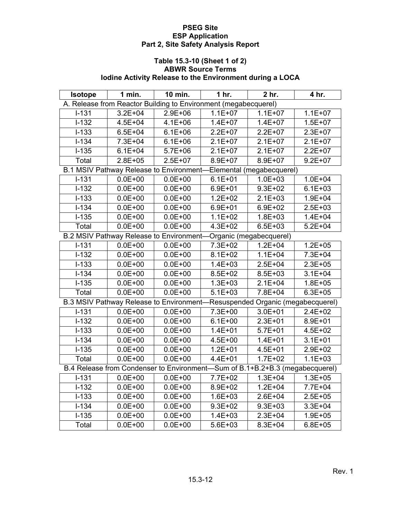## **Table 15.3-10 (Sheet 1 of 2) ABWR Source Terms Iodine Activity Release to the Environment during a LOCA**

| Isotope   | 1 min.                                                                       | 10 min.     | 1 hr.       | 2 hr.                               | 4 hr.       |
|-----------|------------------------------------------------------------------------------|-------------|-------------|-------------------------------------|-------------|
|           | A. Release from Reactor Building to Environment (megabecquerel)              |             |             |                                     |             |
| $I - 131$ | $3.2E + 04$                                                                  | $2.9E + 06$ | $1.1E + 07$ | $1.1E + 07$                         | $1.1E + 07$ |
| $1 - 132$ | $4.5E + 04$                                                                  | $4.1E + 06$ | $1.4E + 07$ | $1.4E + 07$                         | $1.5E + 07$ |
| $I-133$   | $6.5E + 04$                                                                  | $6.1E + 06$ | $2.2E+07$   | $2.2E + 07$                         | $2.3E + 07$ |
| $1 - 134$ | 7.3E+04                                                                      | $6.1E + 06$ | $2.1E+07$   | $2.1E+07$                           | $2.1E+07$   |
| $I-135$   | $6.1E + 04$                                                                  | $5.7E + 06$ | $2.1E+07$   | $2.1E+07$                           | $2.2E + 07$ |
| Total     | $2.8E + 05$                                                                  | $2.5E+07$   | 8.9E+07     | 8.9E+07                             | $9.2E + 07$ |
|           | B.1 MSIV Pathway Release to Environment-Elemental (megabecquerel)            |             |             |                                     |             |
| $I-131$   | $0.0E + 00$                                                                  | $0.0E + 00$ | $6.1E + 01$ | $1.0E + 03$                         | $1.0E + 04$ |
| $1 - 132$ | $0.0E + 00$                                                                  | $0.0E + 00$ | $6.9E + 01$ | $9.3E + 02$                         | $6.1E + 03$ |
| $I-133$   | $0.0E + 00$                                                                  | $0.0E + 00$ | $1.2E + 02$ | $2.1E + 03$                         | $1.9E + 04$ |
| $1 - 134$ | $0.0E + 00$                                                                  | $0.0E + 00$ | $6.9E + 01$ | $6.9E + 02$                         | $2.5E + 03$ |
| $1 - 135$ | $0.0E + 00$                                                                  | $0.0E + 00$ | $1.1E + 02$ | $1.8E + 03$                         | $1.4E + 04$ |
| Total     | $0.0E + 00$                                                                  | $0.0E + 00$ | $4.3E + 02$ | $6.5E + 03$                         | $5.2E + 04$ |
|           | <b>B.2 MSIV Pathway Release to Environment-</b>                              |             |             | Organic (megabecquerel)             |             |
| $I-131$   | $0.0E + 00$                                                                  | $0.0E + 00$ | 7.3E+02     | $1.2E + 04$                         | $1.2E + 05$ |
| $I-132$   | $0.0E + 00$                                                                  | $0.0E + 00$ | $8.1E + 02$ | $1.1E + 04$                         | $7.3E + 04$ |
| $I-133$   | $0.0E + 00$                                                                  | $0.0E + 00$ | $1.4E + 03$ | $2.5E + 04$                         | $2.3E + 05$ |
| $I-134$   | $0.0E + 00$                                                                  | $0.0E + 00$ | $8.5E + 02$ | 8.5E+03                             | $3.1E + 04$ |
| $1 - 135$ | $0.0E + 00$                                                                  | $0.0E + 00$ | $1.3E + 03$ | $2.1E + 04$                         | $1.8E + 05$ |
| Total     | $0.0E + 00$                                                                  | $0.0E + 00$ | $5.1E + 03$ | 7.8E+04                             | $6.3E + 05$ |
|           | B.3 MSIV Pathway Release to Environment-                                     |             |             | Resuspended Organic (megabecquerel) |             |
| $I-131$   | $0.0E + 00$                                                                  | $0.0E + 00$ | 7.3E+00     | $3.0E + 01$                         | $2.4E + 02$ |
| $I-132$   | $0.0E + 00$                                                                  | $0.0E + 00$ | $6.1E + 00$ | $2.3E + 01$                         | 8.9E+01     |
| $I-133$   | $0.0E + 00$                                                                  | $0.0E + 00$ | $1.4E + 01$ | $5.7E + 01$                         | $4.5E + 02$ |
| $1 - 134$ | $0.0E + 00$                                                                  | $0.0E + 00$ | $4.5E + 00$ | $1.4E + 01$                         | $3.1E + 01$ |
| $1 - 135$ | $0.0E + 00$                                                                  | $0.0E + 00$ | $1.2E + 01$ | $4.5E + 01$                         | $2.9E + 02$ |
| Total     | $0.0E + 00$                                                                  | $0.0E + 00$ | $4.4E + 01$ | $1.7E + 02$                         | $1.1E + 03$ |
|           | B.4 Release from Condenser to Environment-Sum of B.1+B.2+B.3 (megabecquerel) |             |             |                                     |             |
| $I-131$   | $0.0E + 00$                                                                  | $0.0E + 00$ | 7.7E+02     | $1.3E + 04$                         | $1.3E + 05$ |
| $I-132$   | $0.0E + 00$                                                                  | $0.0E + 00$ | 8.9E+02     | $1.2E + 04$                         | 7.7E+04     |
| $1 - 133$ | $0.0E + 00$                                                                  | $0.0E + 00$ | $1.6E + 03$ | $2.6E + 04$                         | $2.5E + 05$ |
| $I-134$   | $0.0E + 00$                                                                  | $0.0E + 00$ | $9.3E + 02$ | $9.3E + 03$                         | $3.3E + 04$ |
| $I-135$   | $0.0E + 00$                                                                  | $0.0E + 00$ | $1.4E + 03$ | $2.3E + 04$                         | $1.9E + 05$ |
| Total     | $0.0E + 00$                                                                  | $0.0E + 00$ | $5.6E + 03$ | 8.3E+04                             | $6.8E + 05$ |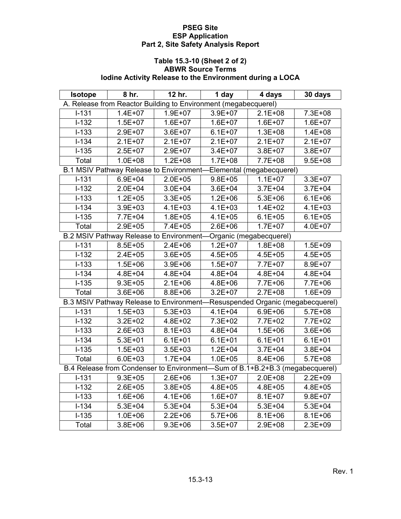## **Table 15.3-10 (Sheet 2 of 2) ABWR Source Terms Iodine Activity Release to the Environment during a LOCA**

| Isotope   | 8 hr.                                                                        | 12 hr.      | 1 day       | 4 days                    | 30 days     |
|-----------|------------------------------------------------------------------------------|-------------|-------------|---------------------------|-------------|
|           | A. Release from Reactor Building to Environment (megabecquerel)              |             |             |                           |             |
| $I-131$   | $1.4E + 07$                                                                  | $1.9E + 07$ | 3.9E+07     | $2.1E + 08$               | 7.3E+08     |
| $I-132$   | $1.5E + 07$                                                                  | $1.6E + 07$ | $1.6E + 07$ | $1.6E + 07$               | $1.6E + 07$ |
| $I-133$   | $2.9E + 07$                                                                  | 3.6E+07     | $6.1E + 07$ | $1.3E + 08$               | $1.4E + 08$ |
| $I-134$   | $2.1E+07$                                                                    | $2.1E+07$   | $2.1E+07$   | $2.1E+07$                 | $2.1E+07$   |
| $I-135$   | $2.5E + 07$                                                                  | 2.9E+07     | $3.4E + 07$ | $3.8E + 07$               | $3.8E + 07$ |
| Total     | $1.0E + 08$                                                                  | $1.2E + 08$ | $1.7E + 08$ | 7.7E+08                   | $9.5E + 08$ |
|           | B.1 MSIV Pathway Release to Environment-                                     |             |             | Elemental (megabecquerel) |             |
| $I-131$   | $6.9E + 04$                                                                  | $2.0E + 05$ | $9.8E + 05$ | $1.1E + 07$               | 3.3E+07     |
| $1 - 132$ | $2.0E + 04$                                                                  | $3.0E + 04$ | $3.6E + 04$ | $3.7E + 04$               | $3.7E + 04$ |
| $I-133$   | $1.2E + 05$                                                                  | $3.3E + 05$ | $1.2E + 06$ | $5.3E + 06$               | $6.1E + 06$ |
| $1 - 134$ | 3.9E+03                                                                      | $4.1E + 03$ | $4.1E + 03$ | $1.4E + 02$               | $4.1E + 03$ |
| $I-135$   | 7.7E+04                                                                      | $1.8E + 05$ | $4.1E + 05$ | $6.1E + 05$               | $6.1E + 05$ |
| Total     | $2.9E + 05$                                                                  | $7.4E + 05$ | $2.6E + 06$ | $1.7E + 07$               | $4.0E + 07$ |
|           | <b>B.2 MSIV Pathway Release to Environment-</b>                              |             |             | Organic (megabecquerel)   |             |
| $I-131$   | $8.5E + 05$                                                                  | $2.4E + 06$ | $1.2E + 07$ | $1.8E + 08$               | $1.5E + 09$ |
| $I-132$   | $2.4E + 05$                                                                  | $3.6E + 05$ | $4.5E + 05$ | $4.5E + 05$               | $4.5E + 05$ |
| $I-133$   | $1.5E + 06$                                                                  | 3.9E+06     | $1.5E + 07$ | 7.7E+07                   | 8.9E+07     |
| $I - 134$ | $4.8E + 04$                                                                  | $4.8E + 04$ | $4.8E + 04$ | $4.8E + 04$               | $4.8E + 04$ |
| $1 - 135$ | $9.3E + 05$                                                                  | $2.1E + 06$ | 4.8E+06     | 7.7E+06                   | 7.7E+06     |
| Total     | $3.6E + 06$                                                                  | $8.8E + 06$ | $3.2E + 07$ | $2.7E + 08$               | $1.6E + 09$ |
|           | B.3 MSIV Pathway Release to Environment-Resuspended Organic (megabecquerel)  |             |             |                           |             |
| $I - 131$ | $1.5E + 03$                                                                  | $5.3E + 03$ | $4.1E + 04$ | $6.9E + 06$               | $5.7E + 08$ |
| $I-132$   | $3.2E + 02$                                                                  | $4.8E + 02$ | 7.3E+02     | 7.7E+02                   | 7.7E+02     |
| $I-133$   | $2.6E + 03$                                                                  | $8.1E + 03$ | $4.8E + 04$ | $1.5E + 06$               | $3.6E + 06$ |
| $I-134$   | $5.3E + 01$                                                                  | $6.1E + 01$ | $6.1E + 01$ | $6.1E + 01$               | $6.1E + 01$ |
| $1 - 135$ | $1.5E + 03$                                                                  | $3.5E + 03$ | $1.2E + 04$ | $3.7E + 04$               | 3.8E+04     |
| Total     | $6.0E + 03$                                                                  | $1.7E + 04$ | $1.0E + 05$ | $8.4E + 06$               | $5.7E + 08$ |
|           | B.4 Release from Condenser to Environment-Sum of B.1+B.2+B.3 (megabecquerel) |             |             |                           |             |
| $I-131$   | $9.3E + 05$                                                                  | $2.6E + 06$ | $1.3E + 07$ | $2.0E + 08$               | $2.2E + 09$ |
| $I-132$   | $2.6E + 05$                                                                  | $3.8E + 05$ | $4.8E + 05$ | $4.8E + 05$               | $4.8E + 05$ |
| $1 - 133$ | 1.6E+06                                                                      | $4.1E + 06$ | $1.6E + 07$ | $8.1E + 07$               | $9.8E + 07$ |
| $I-134$   | $5.3E + 04$                                                                  | $5.3E + 04$ | $5.3E + 04$ | $5.3E + 04$               | $5.3E + 04$ |
| $I-135$   | $1.0E + 06$                                                                  | $2.2E + 06$ | $5.7E + 06$ | $8.1E + 06$               | $8.1E + 06$ |
| Total     | $3.8E + 06$                                                                  | $9.3E + 06$ | $3.5E + 07$ | 2.9E+08                   | $2.3E + 09$ |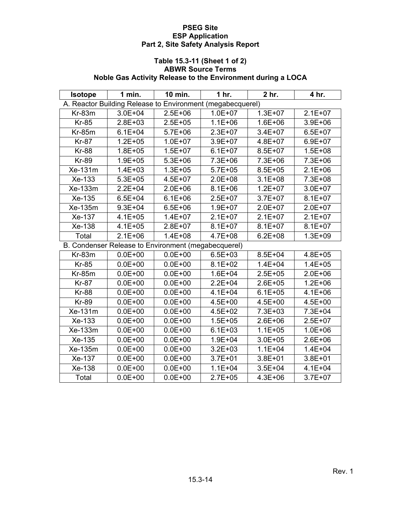## **Table 15.3-11 (Sheet 1 of 2) ABWR Source Terms Noble Gas Activity Release to the Environment during a LOCA**

| <b>Isotope</b> | 1 min.                                                     | 10 min.     | 1 hr.       | 2 hr.       | 4 hr.       |
|----------------|------------------------------------------------------------|-------------|-------------|-------------|-------------|
|                | A. Reactor Building Release to Environment (megabecquerel) |             |             |             |             |
| $Kr-83m$       | $3.0E + 04$                                                | $2.5E + 06$ | $1.0E + 07$ | $1.3E + 07$ | $2.1E+07$   |
| <b>Kr-85</b>   | $2.8E + 03$                                                | $2.5E + 05$ | $1.1E + 06$ | $1.6E + 06$ | 3.9E+06     |
| $Kr-85m$       | $6.1E + 04$                                                | $5.7E + 06$ | $2.3E + 07$ | $3.4E + 07$ | $6.5E + 07$ |
| <b>Kr-87</b>   | $1.2E + 05$                                                | $1.0E + 07$ | 3.9E+07     | $4.8E + 07$ | $6.9E + 07$ |
| <b>Kr-88</b>   | $1.8E + 05$                                                | $1.5E + 07$ | $6.1E + 07$ | $8.5E + 07$ | $1.5E + 08$ |
| <b>Kr-89</b>   | $1.9E + 05$                                                | $5.3E + 06$ | 7.3E+06     | 7.3E+06     | 7.3E+06     |
| Xe-131m        | $1.4E + 03$                                                | $1.3E + 05$ | $5.7E + 05$ | $8.5E + 05$ | $2.1E + 06$ |
| Xe-133         | $5.3E + 05$                                                | $4.5E + 07$ | 2.0E+08     | $3.1E + 08$ | 7.3E+08     |
| Xe-133m        | $2.2E + 04$                                                | $2.0E + 06$ | $8.1E + 06$ | $1.2E + 07$ | $3.0E + 07$ |
| Xe-135         | $6.5E + 04$                                                | $6.1E + 06$ | $2.5E + 07$ | $3.7E + 07$ | $8.1E + 07$ |
| Xe-135m        | $9.3E + 04$                                                | $6.5E + 06$ | $1.9E + 07$ | $2.0E + 07$ | $2.0E + 07$ |
| Xe-137         | $4.1E + 05$                                                | $1.4E + 07$ | $2.1E+07$   | $2.1E+07$   | $2.1E+07$   |
| Xe-138         | $4.1E + 05$                                                | $2.8E + 07$ | $8.1E + 07$ | $8.1E + 07$ | $8.1E + 07$ |
| Total          | $2.1E + 06$                                                | $1.4E + 08$ | $4.7E + 08$ | $6.2E + 08$ | $1.3E + 09$ |
|                | B. Condenser Release to Environment (megabecquerel)        |             |             |             |             |
| $Kr-83m$       | $0.0E + 00$                                                | $0.0E + 00$ | $6.5E + 03$ | $8.5E + 04$ | $4.8E + 05$ |
| <b>Kr-85</b>   | $0.0E + 00$                                                | $0.0E + 00$ | $8.1E + 02$ | $1.4E + 04$ | $1.4E + 05$ |
| $Kr-85m$       | $0.0E + 00$                                                | $0.0E + 00$ | $1.6E + 04$ | $2.5E + 05$ | $2.0E + 06$ |
| <b>Kr-87</b>   | $0.0E + 00$                                                | $0.0E + 00$ | $2.2E + 04$ | $2.6E + 05$ | $1.2E + 06$ |
| <b>Kr-88</b>   | $0.0E + 00$                                                | $0.0E + 00$ | $4.1E + 04$ | $6.1E + 05$ | $4.1E + 06$ |
| <b>Kr-89</b>   | $0.0E + 00$                                                | $0.0E + 00$ | $4.5E + 00$ | $4.5E + 00$ | $4.5E + 00$ |
| $Xe-131m$      | $0.0E + 00$                                                | $0.0E + 00$ | $4.5E + 02$ | 7.3E+03     | $7.3E + 04$ |
| Xe-133         | $0.0E + 00$                                                | $0.0E + 00$ | $1.5E + 05$ | $2.6E + 06$ | $2.5E + 07$ |
| Xe-133m        | $0.0E + 00$                                                | $0.0E + 00$ | $6.1E + 03$ | $1.1E + 05$ | $1.0E + 06$ |
| Xe-135         | $0.0E + 00$                                                | $0.0E + 00$ | $1.9E + 04$ | $3.0E + 05$ | $2.6E + 06$ |
| Xe-135m        | $0.0E + 00$                                                | $0.0E + 00$ | $3.2E + 03$ | $1.1E + 04$ | $1.4E + 04$ |
| Xe-137         | $0.0E + 00$                                                | $0.0E + 00$ | $3.7E + 01$ | $3.8E + 01$ | $3.8E + 01$ |
| Xe-138         | $0.0E + 00$                                                | $0.0E + 00$ | $1.1E + 04$ | $3.5E + 04$ | $4.1E + 04$ |
| Total          | $0.0E + 00$                                                | $0.0E + 00$ | $2.7E + 05$ | $4.3E + 06$ | $3.7E + 07$ |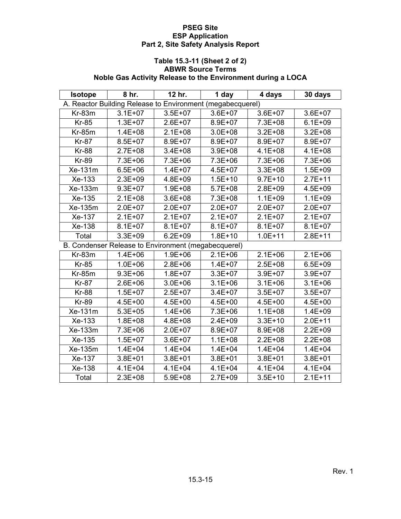## **Table 15.3-11 (Sheet 2 of 2) ABWR Source Terms Noble Gas Activity Release to the Environment during a LOCA**

| <b>Isotope</b> | 8 hr.                                                      | 12 hr.      | 1 day       | 4 days      | 30 days     |
|----------------|------------------------------------------------------------|-------------|-------------|-------------|-------------|
|                | A. Reactor Building Release to Environment (megabecquerel) |             |             |             |             |
| $Kr-83m$       | $3.1E + 07$                                                | $3.5E + 07$ | $3.6E + 07$ | $3.6E + 07$ | $3.6E + 07$ |
| <b>Kr-85</b>   | $1.3E + 07$                                                | $2.6E + 07$ | 8.9E+07     | 7.3E+08     | $6.1E + 09$ |
| $Kr-85m$       | $1.4E + 08$                                                | $2.1E + 08$ | $3.0E + 08$ | $3.2E + 08$ | $3.2E + 08$ |
| <b>Kr-87</b>   | $8.5E + 07$                                                | 8.9E+07     | 8.9E+07     | $8.9E + 07$ | 8.9E+07     |
| <b>Kr-88</b>   | $2.7E + 08$                                                | $3.4E + 08$ | $3.9E + 08$ | $4.1E + 08$ | $4.1E + 08$ |
| <b>Kr-89</b>   | 7.3E+06                                                    | 7.3E+06     | 7.3E+06     | 7.3E+06     | 7.3E+06     |
| Xe-131m        | $6.5E + 06$                                                | $1.4E + 07$ | $4.5E + 07$ | $3.3E + 08$ | $1.5E + 09$ |
| Xe-133         | $2.3E + 09$                                                | 4.8E+09     | $1.5E + 10$ | $9.7E + 10$ | $2.7E + 11$ |
| Xe-133m        | $9.3E + 07$                                                | $1.9E + 08$ | $5.7E + 08$ | $2.8E + 09$ | $4.5E + 09$ |
| Xe-135         | $2.1E + 08$                                                | $3.6E + 08$ | 7.3E+08     | $1.1E + 09$ | $1.1E + 09$ |
| Xe-135m        | $2.0E + 07$                                                | $2.0E + 07$ | $2.0E + 07$ | $2.0E + 07$ | $2.0E + 07$ |
| Xe-137         | $2.1E+07$                                                  | $2.1E+07$   | $2.1E+07$   | $2.1E + 07$ | $2.1E+07$   |
| Xe-138         | $8.1E + 07$                                                | $8.1E + 07$ | $8.1E + 07$ | $8.1E + 07$ | $8.1E + 07$ |
| Total          | $3.3E + 09$                                                | $6.2E + 09$ | $1.8E + 10$ | $1.0E + 11$ | $2.8E + 11$ |
|                | B. Condenser Release to Environment (megabecquerel)        |             |             |             |             |
| $Kr-83m$       | $1.4E + 06$                                                | $1.9E + 06$ | $2.1E + 06$ | $2.1E + 06$ | $2.1E + 06$ |
| <b>Kr-85</b>   | $1.0E + 06$                                                | $2.8E + 06$ | $1.4E + 07$ | $2.5E + 08$ | $6.5E + 09$ |
| $Kr-85m$       | $9.3E + 06$                                                | $1.8E + 07$ | $3.3E + 07$ | $3.9E + 07$ | $3.9E + 07$ |
| <b>Kr-87</b>   | $2.6E + 06$                                                | $3.0E + 06$ | $3.1E + 06$ | $3.1E + 06$ | $3.1E + 06$ |
| <b>Kr-88</b>   | $1.5E + 07$                                                | $2.5E + 07$ | $3.4E + 07$ | $3.5E + 07$ | $3.5E + 07$ |
| <b>Kr-89</b>   | $4.5E + 00$                                                | $4.5E + 00$ | $4.5E + 00$ | $4.5E + 00$ | $4.5E + 00$ |
| $Xe-131m$      | $5.3E + 05$                                                | $1.4E + 06$ | 7.3E+06     | $1.1E + 08$ | $1.4E + 09$ |
| Xe-133         | $1.8E + 08$                                                | 4.8E+08     | $2.4E + 09$ | $3.3E + 10$ | $2.0E + 11$ |
| Xe-133m        | 7.3E+06                                                    | $2.0E + 07$ | 8.9E+07     | 8.9E+08     | $2.2E + 09$ |
| Xe-135         | $1.5E + 07$                                                | $3.6E + 07$ | $1.1E + 08$ | $2.2E + 08$ | $2.2E + 08$ |
| Xe-135m        | $1.4E + 04$                                                | $1.4E + 04$ | $1.4E + 04$ | $1.4E + 04$ | $1.4E + 04$ |
| Xe-137         | $3.8E + 01$                                                | $3.8E + 01$ | $3.8E + 01$ | $3.8E + 01$ | $3.8E + 01$ |
| Xe-138         | $4.1E + 04$                                                | $4.1E + 04$ | $4.1E + 04$ | $4.1E + 04$ | $4.1E + 04$ |
| Total          | $2.3E + 08$                                                | $5.9E + 08$ | $2.7E + 09$ | $3.5E + 10$ | $2.1E + 11$ |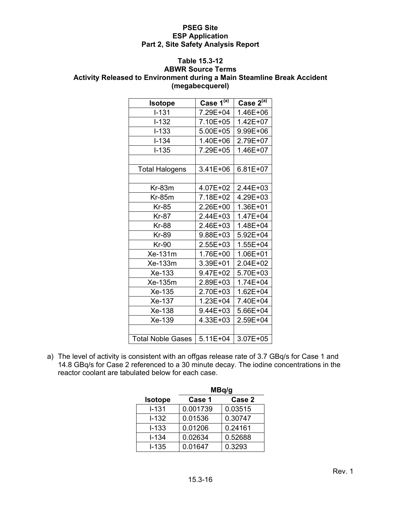#### **Table 15.3-12**

#### **ABWR Source Terms Activity Released to Environment during a Main Steamline Break Accident (megabecquerel)**

| <b>Isotope</b>           | Case $1^{(\overline{a})}$ | Case $2^{(\overline{a})}$ |
|--------------------------|---------------------------|---------------------------|
| $I - 131$                | 7.29E+04                  | 1.46E+06                  |
| $I-132$                  | 7.10E+05                  | 1.42E+07                  |
| $I - 133$                | $5.00E + 05$              | 9.99E+06                  |
| $I - 134$                | 1.40E+06                  | 2.79E+07                  |
| <b>I-135</b>             | 7.29E+05                  | 1.46E+07                  |
|                          |                           |                           |
| <b>Total Halogens</b>    | 3.41E+06                  | 6.81E+07                  |
|                          |                           |                           |
| $Kr-83m$                 | 4.07E+02                  | 2.44E+03                  |
| $Kr-85m$                 | 7.18E+02                  | 4.29E+03                  |
| Kr-85                    | 2.26E+00                  | 1.36E+01                  |
| <b>Kr-87</b>             | 2.44E+03                  | 1.47E+04                  |
| <b>Kr-88</b>             | 2.46E+03                  | 1.48E+04                  |
| <b>Kr-89</b>             | 9.88E+03                  | 5.92E+04                  |
| <b>Kr-90</b>             | 2.55E+03                  | 1.55E+04                  |
| Xe-131m                  | 1.76E+00                  | 1.06E+01                  |
| $Xe-133m$                | 3.39E+01                  | 2.04E+02                  |
| $Xe-133$                 | 9.47E+02                  | 5.70E+03                  |
| Xe-135m                  | 2.89E+03                  | 1.74E+04                  |
| Xe-135                   | 2.70E+03                  | 1.62E+04                  |
| Xe-137                   | 1.23E+04                  | 7.40E+04                  |
| Xe-138                   | 9.44E+03                  | 5.66E+04                  |
| Xe-139                   | 4.33E+03                  | 2.59E+04                  |
|                          |                           |                           |
| <b>Total Noble Gases</b> | $5.11E + 04$              | 3.07E+05                  |

a) The level of activity is consistent with an offgas release rate of 3.7 GBq/s for Case 1 and 14.8 GBq/s for Case 2 referenced to a 30 minute decay. The iodine concentrations in the reactor coolant are tabulated below for each case.

|                | MBq/g    |         |  |  |  |  |
|----------------|----------|---------|--|--|--|--|
| <b>Isotope</b> | Case 1   | Case 2  |  |  |  |  |
| $I - 131$      | 0.001739 | 0.03515 |  |  |  |  |
| $I - 132$      | 0.01536  | 0.30747 |  |  |  |  |
| $I - 133$      | 0.01206  | 0.24161 |  |  |  |  |
| $I - 134$      | 0.02634  | 0.52688 |  |  |  |  |
| $I-135$        | 0.01647  | 0.3293  |  |  |  |  |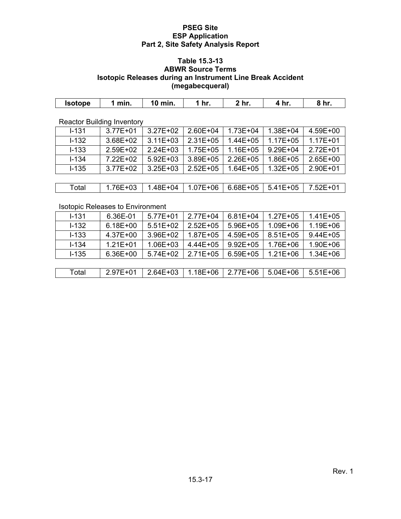#### **Table 15.3-13 ABWR Source Terms Isotopic Releases during an Instrument Line Break Accident (megabecqueral)**

| <br>min. | min. | 1 hr. | hr | . In r<br>T III. | hr. |
|----------|------|-------|----|------------------|-----|
|          |      |       |    |                  |     |

Reactor Building Inventory

| $1 - 131$ | $3.77E + 01$ | $3.27E + 02$ | $2.60E + 04$ | $1.73E + 04$ | $1.38E + 04$ | 4.59E+00     |
|-----------|--------------|--------------|--------------|--------------|--------------|--------------|
| $I - 132$ | 3.68E+02     | $3.11E + 03$ | $2.31E + 05$ | $1.44E + 05$ | $1.17E + 05$ | $1.17E + 01$ |
| $I - 133$ | 2.59E+02     | $2.24E + 03$ | $1.75E + 05$ | $1.16E + 05$ | $9.29E + 04$ | $2.72E + 01$ |
| $I - 134$ | 7.22E+02     | $5.92E + 03$ | 3.89E+05     | 2.26E+05     | 1.86E+05     | $2.65E+00$   |
| $I - 135$ | 3.77E+02     | $3.25E + 03$ | $2.52E + 05$ | $1.64E + 05$ | $1.32E + 05$ | 2.90E+01     |
|           |              |              |              |              |              |              |
| Total     | 1.76E+03     | 1.48E+04     | $1.07E + 06$ | 6.68E+05     | $5.41E + 05$ | 7.52E+01     |

Isotopic Releases to Environment

| $1 - 131$ | 6.36E-01     | $5.77E + 01$ | 2.77E+04      | $6.81E + 04$  | $1.27E + 05$ | $1.41E + 05$ |
|-----------|--------------|--------------|---------------|---------------|--------------|--------------|
| $1 - 132$ | $6.18E + 00$ | $5.51E+02$   | $2.52E + 05$  | $5.96E + 05$  | 1.09E+06     | 1.19E+06     |
| $I - 133$ | 4.37E+00     | $3.96E + 02$ | 1.87E+05      | 4.59E+05      | $8.51E + 05$ | $9.44E + 05$ |
| $I - 134$ | $1.21E + 01$ | $1.06E + 03$ | $4.44E + 0.5$ | $9.92E + 0.5$ | 1.76E+06     | 1.90E+06     |
| $I - 135$ | 6.36E+00     | 5.74E+02     | $2.71E + 05$  | $6.59E + 05$  | $1.21E + 06$ | $1.34E + 06$ |
|           |              |              |               |               |              |              |
| Total     | 2.97E+01     | $2.64E + 03$ | 1.18E+06      | 2.77E+06      | $5.04E + 06$ | $5.51E+06$   |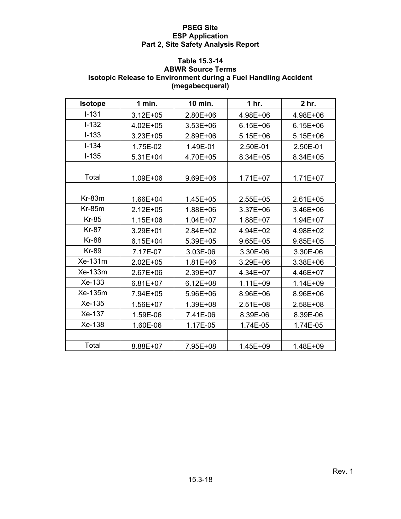# **Table 15.3-14**

# **ABWR Source Terms Isotopic Release to Environment during a Fuel Handling Accident (megabecqueral)**

| <b>Isotope</b> | $1$ min.     | 10 min.      | 1 <sub>hr.</sub> | 2 <sub>hr.</sub> |
|----------------|--------------|--------------|------------------|------------------|
| $I - 131$      | $3.12E + 05$ | 2.80E+06     | 4.98E+06         | 4.98E+06         |
| $I-132$        | 4.02E+05     | $3.53E + 06$ | $6.15E + 06$     | $6.15E + 06$     |
| $I-133$        | 3.23E+05     | 2.89E+06     | $5.15E + 06$     | $5.15E + 06$     |
| $I - 134$      | 1.75E-02     | 1.49E-01     | 2.50E-01         | 2.50E-01         |
| $I-135$        | $5.31E + 04$ | 4.70E+05     | 8.34E+05         | 8.34E+05         |
|                |              |              |                  |                  |
| Total          | 1.09E+06     | 9.69E+06     | $1.71E + 07$     | $1.71E + 07$     |
|                |              |              |                  |                  |
| Kr-83m         | 1.66E+04     | 1.45E+05     | 2.55E+05         | $2.61E + 05$     |
| <b>Kr-85m</b>  | $2.12E + 05$ | 1.88E+06     | 3.37E+06         | 3.46E+06         |
| <b>Kr-85</b>   | 1.15E+06     | $1.04E + 07$ | 1.88E+07         | 1.94E+07         |
| <b>Kr-87</b>   | 3.29E+01     | 2.84E+02     | 4.94E+02         | 4.98E+02         |
| <b>Kr-88</b>   | $6.15E + 04$ | 5.39E+05     | $9.65E + 05$     | $9.85E + 05$     |
| <b>Kr-89</b>   | 7.17E-07     | 3.03E-06     | 3.30E-06         | 3.30E-06         |
| Xe-131m        | $2.02E + 05$ | 1.81E+06     | 3.29E+06         | 3.38E+06         |
| Xe-133m        | 2.67E+06     | 2.39E+07     | 4.34E+07         | 4.46E+07         |
| Xe-133         | $6.81E + 07$ | $6.12E + 08$ | $1.11E + 09$     | 1.14E+09         |
| Xe-135m        | 7.94E+05     | 5.96E+06     | 8.96E+06         | 8.96E+06         |
| Xe-135         | 1.56E+07     | 1.39E+08     | 2.51E+08         | 2.58E+08         |
| Xe-137         | 1.59E-06     | 7.41E-06     | 8.39E-06         | 8.39E-06         |
| Xe-138         | 1.60E-06     | 1.17E-05     | 1.74E-05         | 1.74E-05         |
|                |              |              |                  |                  |
| Total          | 8.88E+07     | 7.95E+08     | 1.45E+09         | 1.48E+09         |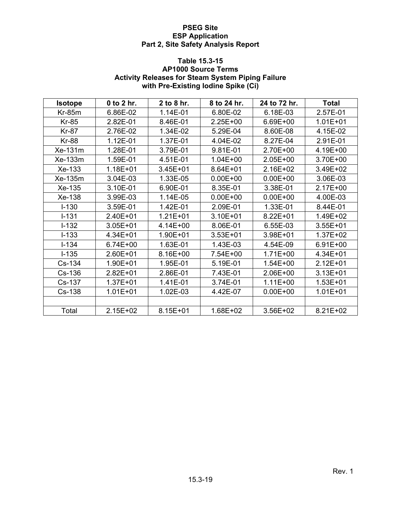# **Table 15.3-15**

#### **AP1000 Source Terms Activity Releases for Steam System Piping Failure with Pre-Existing Iodine Spike (Ci)**

| <b>Isotope</b> | 0 to 2 hr.   | 2 to 8 hr.   | 8 to 24 hr.  | 24 to 72 hr. | <b>Total</b> |
|----------------|--------------|--------------|--------------|--------------|--------------|
| $Kr-85m$       | 6.86E-02     | 1.14E-01     | 6.80E-02     | 6.18E-03     | 2.57E-01     |
| <b>Kr-85</b>   | 2.82E-01     | 8.46E-01     | 2.25E+00     | 6.69E+00     | $1.01E + 01$ |
| <b>Kr-87</b>   | 2.76E-02     | 1.34E-02     | 5.29E-04     | 8.60E-08     | 4.15E-02     |
| <b>Kr-88</b>   | 1.12E-01     | 1.37E-01     | 4.04E-02     | 8.27E-04     | 2.91E-01     |
| Xe-131m        | 1.28E-01     | 3.79E-01     | 9.81E-01     | 2.70E+00     | 4.19E+00     |
| Xe-133m        | 1.59E-01     | 4.51E-01     | $1.04E + 00$ | $2.05E+00$   | 3.70E+00     |
| Xe-133         | 1.18E+01     | $3.45E + 01$ | 8.64E+01     | 2.16E+02     | 3.49E+02     |
| Xe-135m        | 3.04E-03     | 1.33E-05     | $0.00E + 00$ | $0.00E + 00$ | 3.06E-03     |
| Xe-135         | 3.10E-01     | 6.90E-01     | 8.35E-01     | 3.38E-01     | $2.17E + 00$ |
| Xe-138         | 3.99E-03     | 1.14E-05     | $0.00E + 00$ | $0.00E + 00$ | 4.00E-03     |
| $I - 130$      | 3.59E-01     | 1.42E-01     | 2.09E-01     | 1.33E-01     | 8.44E-01     |
| $I - 131$      | 2.40E+01     | $1.21E + 01$ | 3.10E+01     | $8.22E + 01$ | 1.49E+02     |
| $I-132$        | $3.05E + 01$ | 4.14E+00     | 8.06E-01     | 6.55E-03     | $3.55E + 01$ |
| $I-133$        | 4.34E+01     | 1.90E+01     | $3.53E + 01$ | 3.98E+01     | $1.37E + 02$ |
| $I - 134$      | 6.74E+00     | 1.63E-01     | 1.43E-03     | 4.54E-09     | $6.91E + 00$ |
| $I-135$        | 2.60E+01     | 8.16E+00     | 7.54E+00     | $1.71E + 00$ | 4.34E+01     |
| Cs-134         | 1.90E+01     | 1.95E-01     | 5.19E-01     | $1.54E + 00$ | $2.12E + 01$ |
| Cs-136         | $2.82E + 01$ | 2.86E-01     | 7.43E-01     | 2.06E+00     | $3.13E + 01$ |
| Cs-137         | $1.37E + 01$ | 1.41E-01     | 3.74E-01     | $1.11E + 00$ | $1.53E + 01$ |
| Cs-138         | $1.01E + 01$ | 1.02E-03     | 4.42E-07     | $0.00E + 00$ | $1.01E + 01$ |
|                |              |              |              |              |              |
| Total          | 2.15E+02     | 8.15E+01     | 1.68E+02     | 3.56E+02     | 8.21E+02     |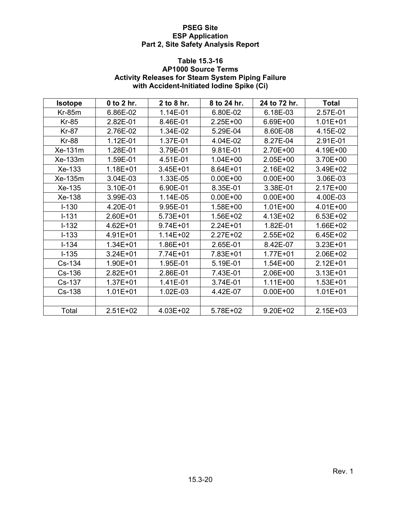## **Table 15.3-16**

## **AP1000 Source Terms Activity Releases for Steam System Piping Failure with Accident-Initiated Iodine Spike (Ci)**

| <b>Isotope</b> | 0 to 2 hr.   | 2 to 8 hr.   | 8 to 24 hr.  | 24 to 72 hr. | <b>Total</b> |
|----------------|--------------|--------------|--------------|--------------|--------------|
| $Kr-85m$       | 6.86E-02     | 1.14E-01     | 6.80E-02     | 6.18E-03     | 2.57E-01     |
| <b>Kr-85</b>   | 2.82E-01     | 8.46E-01     | 2.25E+00     | 6.69E+00     | $1.01E + 01$ |
| <b>Kr-87</b>   | 2.76E-02     | 1.34E-02     | 5.29E-04     | 8.60E-08     | 4.15E-02     |
| <b>Kr-88</b>   | 1.12E-01     | 1.37E-01     | 4.04E-02     | 8.27E-04     | 2.91E-01     |
| Xe-131m        | 1.28E-01     | 3.79E-01     | 9.81E-01     | 2.70E+00     | 4.19E+00     |
| Xe-133m        | 1.59E-01     | 4.51E-01     | $1.04E + 00$ | 2.05E+00     | 3.70E+00     |
| Xe-133         | 1.18E+01     | $3.45E + 01$ | 8.64E+01     | 2.16E+02     | 3.49E+02     |
| Xe-135m        | 3.04E-03     | 1.33E-05     | $0.00E + 00$ | $0.00E + 00$ | 3.06E-03     |
| Xe-135         | 3.10E-01     | 6.90E-01     | 8.35E-01     | 3.38E-01     | $2.17E + 00$ |
| Xe-138         | 3.99E-03     | 1.14E-05     | $0.00E + 00$ | $0.00E + 00$ | 4.00E-03     |
| $I - 130$      | 4.20E-01     | 9.95E-01     | 1.58E+00     | $1.01E + 00$ | 4.01E+00     |
| $I-131$        | 2.60E+01     | $5.73E + 01$ | 1.56E+02     | 4.13E+02     | $6.53E + 02$ |
| $I - 132$      | $4.62E + 01$ | $9.74E + 01$ | 2.24E+01     | 1.82E-01     | 1.66E+02     |
| $I - 133$      | 4.91E+01     | $1.14E + 02$ | 2.27E+02     | 2.55E+02     | 6.45E+02     |
| $I - 134$      | 1.34E+01     | 1.86E+01     | 2.65E-01     | 8.42E-07     | $3.23E + 01$ |
| $I-135$        | $3.24E + 01$ | 7.74E+01     | 7.83E+01     | $1.77E + 01$ | 2.06E+02     |
| Cs-134         | 1.90E+01     | 1.95E-01     | 5.19E-01     | $1.54E + 00$ | 2.12E+01     |
| Cs-136         | $2.82E + 01$ | 2.86E-01     | 7.43E-01     | 2.06E+00     | $3.13E + 01$ |
| Cs-137         | $1.37E + 01$ | 1.41E-01     | 3.74E-01     | $1.11E + 00$ | $1.53E + 01$ |
| Cs-138         | $1.01E + 01$ | 1.02E-03     | 4.42E-07     | $0.00E + 00$ | $1.01E + 01$ |
|                |              |              |              |              |              |
| Total          | $2.51E+02$   | 4.03E+02     | 5.78E+02     | $9.20E + 02$ | $2.15E + 03$ |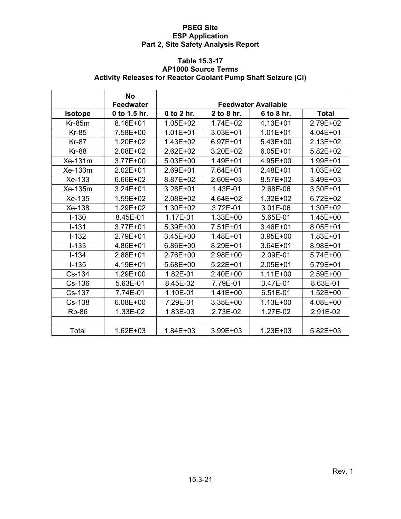### **Table 15.3-17 AP1000 Source Terms Activity Releases for Reactor Coolant Pump Shaft Seizure (Ci)**

|                | <b>No</b><br><b>Feedwater</b> |              |              | <b>Feedwater Available</b> |              |
|----------------|-------------------------------|--------------|--------------|----------------------------|--------------|
| <b>Isotope</b> | 0 to 1.5 hr.                  | 0 to 2 hr.   | 2 to 8 hr.   | 6 to 8 hr.                 | <b>Total</b> |
| $Kr-85m$       | 8.16E+01                      | 1.05E+02     | 1.74E+02     | 4.13E+01                   | 2.79E+02     |
| $Kr-85$        | 7.58E+00                      | $1.01E + 01$ | 3.03E+01     | $1.01E + 01$               | $4.04E + 01$ |
| <b>Kr-87</b>   | 1.20E+02                      | 1.43E+02     | $6.97E + 01$ | 5.43E+00                   | $2.13E+02$   |
| <b>Kr-88</b>   | 2.08E+02                      | $2.62E + 02$ | 3.20E+02     | $6.05E + 01$               | $5.82E + 02$ |
| Xe-131m        | 3.77E+00                      | $5.03E+00$   | 1.49E+01     | 4.95E+00                   | 1.99E+01     |
| Xe-133m        | $2.02E + 01$                  | $2.69E + 01$ | 7.64E+01     | $2.48E + 01$               | $1.03E + 02$ |
| Xe-133         | 6.66E+02                      | 8.87E+02     | 2.60E+03     | 8.57E+02                   | 3.49E+03     |
| Xe-135m        | $3.24E + 01$                  | 3.28E+01     | 1.43E-01     | 2.68E-06                   | 3.30E+01     |
| $Xe-135$       | 1.59E+02                      | 2.08E+02     | 4.64E+02     | $1.32E + 02$               | $6.72E + 02$ |
| Xe-138         | 1.29E+02                      | 1.30E+02     | 3.72E-01     | 3.01E-06                   | 1.30E+02     |
| $I - 130$      | 8.45E-01                      | 1.17E-01     | $1.33E + 00$ | 5.65E-01                   | 1.45E+00     |
| $I - 131$      | 3.77E+01                      | 5.39E+00     | 7.51E+01     | 3.46E+01                   | 8.05E+01     |
| $I - 132$      | $2.79E + 01$                  | $3.45E + 00$ | 1.48E+01     | $3.95E + 00$               | 1.83E+01     |
| $I - 133$      | 4.86E+01                      | 6.86E+00     | 8.29E+01     | $3.64E + 01$               | 8.98E+01     |
| $I - 134$      | $2.88E + 01$                  | 2.76E+00     | 2.98E+00     | 2.09E-01                   | 5.74E+00     |
| $I - 135$      | 4.19E+01                      | 5.68E+00     | $5.22E + 01$ | $2.05E + 01$               | 5.79E+01     |
| Cs-134         | 1.29E+00                      | 1.82E-01     | 2.40E+00     | $1.11E + 00$               | 2.59E+00     |
| $Cs-136$       | 5.63E-01                      | 8.45E-02     | 7.79E-01     | 3.47E-01                   | 8.63E-01     |
| Cs-137         | 7.74E-01                      | 1.10E-01     | 1.41E+00     | 6.51E-01                   | $1.52E + 00$ |
| Cs-138         | 6.08E+00                      | 7.29E-01     | 3.35E+00     | $1.13E + 00$               | 4.08E+00     |
| <b>Rb-86</b>   | 1.33E-02                      | 1.83E-03     | 2.73E-02     | 1.27E-02                   | 2.91E-02     |
|                |                               |              |              |                            |              |
| Total          | 1.62E+03                      | $1.84E + 03$ | 3.99E+03     | $1.23E + 03$               | $5.82E + 03$ |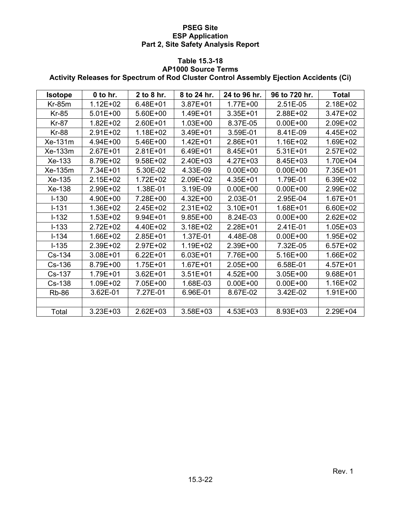#### **Table 15.3-18 AP1000 Source Terms**

# **Activity Releases for Spectrum of Rod Cluster Control Assembly Ejection Accidents (Ci)**

| <b>Isotope</b> | 0 to hr.     | 2 to 8 hr.   | 8 to 24 hr.  | 24 to 96 hr. | 96 to 720 hr. | <b>Total</b> |
|----------------|--------------|--------------|--------------|--------------|---------------|--------------|
| $Kr-85m$       | $1.12E + 02$ | 6.48E+01     | 3.87E+01     | 1.77E+00     | 2.51E-05      | 2.18E+02     |
| <b>Kr-85</b>   | $5.01E + 00$ | 5.60E+00     | 1.49E+01     | 3.35E+01     | 2.88E+02      | 3.47E+02     |
| <b>Kr-87</b>   | $1.82E + 02$ | 2.60E+01     | $1.03E + 00$ | 8.37E-05     | $0.00E + 00$  | 2.09E+02     |
| <b>Kr-88</b>   | 2.91E+02     | 1.18E+02     | 3.49E+01     | 3.59E-01     | 8.41E-09      | 4.45E+02     |
| Xe-131m        | 4.94E+00     | 5.46E+00     | 1.42E+01     | 2.86E+01     | 1.16E+02      | 1.69E+02     |
| Xe-133m        | $2.67E+01$   | $2.81E+01$   | 6.49E+01     | 8.45E+01     | $5.31E+01$    | $2.57E+02$   |
| Xe-133         | 8.79E+02     | 9.58E+02     | 2.40E+03     | 4.27E+03     | 8.45E+03      | 1.70E+04     |
| Xe-135m        | 7.34E+01     | 5.30E-02     | 4.33E-09     | $0.00E + 00$ | $0.00E + 00$  | 7.35E+01     |
| Xe-135         | 2.15E+02     | 1.72E+02     | 2.09E+02     | 4.35E+01     | 1.79E-01      | 6.39E+02     |
| Xe-138         | 2.99E+02     | 1.38E-01     | 3.19E-09     | $0.00E + 00$ | $0.00E + 00$  | 2.99E+02     |
| $I-130$        | 4.90E+00     | 7.28E+00     | 4.32E+00     | 2.03E-01     | 2.95E-04      | $1.67E + 01$ |
| $I-131$        | 1.36E+02     | 2.45E+02     | 2.31E+02     | 3.10E+01     | 1.68E+01      | 6.60E+02     |
| $I-132$        | 1.53E+02     | 9.94E+01     | $9.85E + 00$ | 8.24E-03     | $0.00E + 00$  | 2.62E+02     |
| $I-133$        | 2.72E+02     | 4.40E+02     | 3.18E+02     | 2.28E+01     | 2.41E-01      | $1.05E + 03$ |
| $I - 134$      | 1.66E+02     | 2.85E+01     | 1.37E-01     | 4.48E-08     | $0.00E + 00$  | 1.95E+02     |
| $I-135$        | 2.39E+02     | 2.97E+02     | $1.19E + 02$ | 2.39E+00     | 7.32E-05      | $6.57E + 02$ |
| Cs-134         | 3.08E+01     | $6.22E + 01$ | $6.03E + 01$ | 7.76E+00     | 5.16E+00      | 1.66E+02     |
| Cs-136         | 8.79E+00     | 1.75E+01     | $1.67E + 01$ | $2.05E+00$   | 6.58E-01      | 4.57E+01     |
| Cs-137         | 1.79E+01     | $3.62E + 01$ | $3.51E + 01$ | 4.52E+00     | $3.05E + 00$  | $9.68E + 01$ |
| Cs-138         | 1.09E+02     | 7.05E+00     | 1.68E-03     | $0.00E + 00$ | $0.00E + 00$  | 1.16E+02     |
| <b>Rb-86</b>   | 3.62E-01     | 7.27E-01     | 6.96E-01     | 8.67E-02     | 3.42E-02      | 1.91E+00     |
|                |              |              |              |              |               |              |
| Total          | $3.23E + 03$ | $2.62E + 03$ | 3.58E+03     | 4.53E+03     | 8.93E+03      | 2.29E+04     |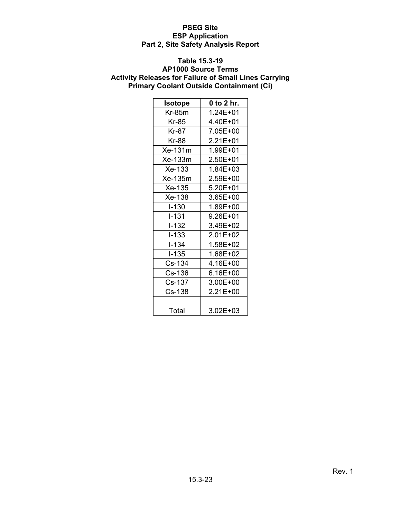#### **Table 15.3-19**

#### **AP1000 Source Terms Activity Releases for Failure of Small Lines Carrying Primary Coolant Outside Containment (Ci)**

| <b>Isotope</b> | 0 to 2 hr.   |
|----------------|--------------|
| Kr-85m         | 1.24E+01     |
| Kr-85          | 4.40E+01     |
| Kr-87          | 7.05E+00     |
| Kr-88          | $2.21E + 01$ |
| Xe-131m        | 1.99E+01     |
| Xe-133m        | 2.50E+01     |
| Xe-133         | 1.84E+03     |
| Xe-135m        | 2.59E+00     |
| Xe-135         | 5.20E+01     |
| Xe-138         | 3.65E+00     |
| $I - 130$      | 1.89E+00     |
| $I - 131$      | 9.26E+01     |
| I-132          | 3.49E+02     |
| $I - 133$      | 2.01E+02     |
| l-134          | 1.58E+02     |
| $I - 135$      | 1.68E+02     |
| Cs-134         | 4.16E+00     |
| Cs-136         | 6.16E+00     |
| Cs-137         | 3.00E+00     |
| Cs-138         | 2.21E+00     |
|                |              |
| Total          | $3.02E + 03$ |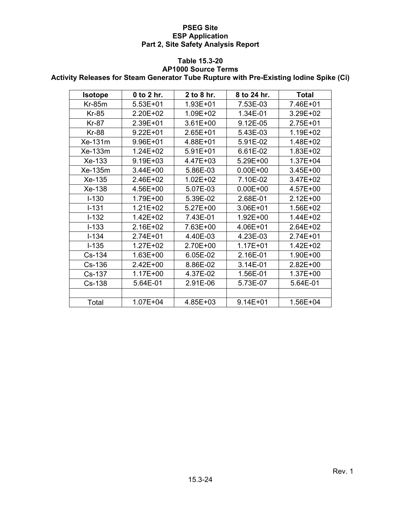#### **Table 15.3-20**

#### **AP1000 Source Terms**

**Activity Releases for Steam Generator Tube Rupture with Pre-Existing Iodine Spike (Ci)** 

| <b>Isotope</b> | 0 to 2 hr.   | 2 to 8 hr.   | 8 to 24 hr.  | <b>Total</b> |
|----------------|--------------|--------------|--------------|--------------|
| <b>Kr-85m</b>  | $5.53E+01$   | 1.93E+01     | 7.53E-03     | 7.46E+01     |
| Kr-85          | 2.20E+02     | 1.09E+02     | 1.34E-01     | 3.29E+02     |
| Kr-87          | 2.39E+01     | 3.61E+00     | 9.12E-05     | 2.75E+01     |
| <b>Kr-88</b>   | $9.22E + 01$ | 2.65E+01     | 5.43E-03     | 1.19E+02     |
| Xe-131m        | 9.96E+01     | 4.88E+01     | 5.91E-02     | 1.48E+02     |
| Xe-133m        | 1.24E+02     | 5.91E+01     | 6.61E-02     | $1.83E + 02$ |
| Xe-133         | 9.19E+03     | 4.47E+03     | 5.29E+00     | $1.37E + 04$ |
| Xe-135m        | 3.44E+00     | 5.86E-03     | $0.00E + 00$ | $3.45E + 00$ |
| Xe-135         | 2.46E+02     | $1.02E + 02$ | 7.10E-02     | 3.47E+02     |
| Xe-138         | 4.56E+00     | 5.07E-03     | $0.00E + 00$ | 4.57E+00     |
| $I - 130$      | 1.79E+00     | 5.39E-02     | 2.68E-01     | $2.12E+00$   |
| $I - 131$      | $1.21E + 02$ | 5.27E+00     | $3.06E + 01$ | 1.56E+02     |
| $I-132$        | 1.42E+02     | 7.43E-01     | 1.92E+00     | 1.44E+02     |
| $I - 133$      | 2.16E+02     | 7.63E+00     | 4.06E+01     | 2.64E+02     |
| $I - 134$      | 2.74E+01     | 4.40E-03     | 4.23E-03     | 2.74E+01     |
| $I - 135$      | $1.27E + 02$ | 2.70E+00     | $1.17E + 01$ | 1.42E+02     |
| Cs-134         | $1.63E + 00$ | 6.05E-02     | 2.16E-01     | 1.90E+00     |
| Cs-136         | 2.42E+00     | 8.86E-02     | 3.14E-01     | $2.82E+00$   |
| Cs-137         | $1.17E + 00$ | 4.37E-02     | 1.56E-01     | 1.37E+00     |
| Cs-138         | 5.64E-01     | 2.91E-06     | 5.73E-07     | 5.64E-01     |
|                |              |              |              |              |
| Total          | 1.07E+04     | 4.85E+03     | $9.14E + 01$ | 1.56E+04     |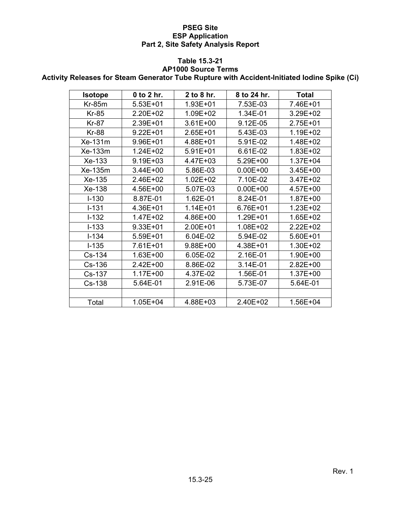## **Table 15.3-21**

#### **AP1000 Source Terms**

**Activity Releases for Steam Generator Tube Rupture with Accident-Initiated Iodine Spike (Ci)** 

| <b>Isotope</b> | 0 to 2 hr.   | 2 to 8 hr.   | 8 to 24 hr.  | <b>Total</b> |
|----------------|--------------|--------------|--------------|--------------|
|                |              |              |              |              |
| $Kr-85m$       | $5.53E + 01$ | 1.93E+01     | 7.53E-03     | 7.46E+01     |
| <b>Kr-85</b>   | 2.20E+02     | 1.09E+02     | 1.34E-01     | 3.29E+02     |
| <b>Kr-87</b>   | 2.39E+01     | $3.61E + 00$ | 9.12E-05     | 2.75E+01     |
| <b>Kr-88</b>   | $9.22E + 01$ | $2.65E + 01$ | 5.43E-03     | 1.19E+02     |
| Xe-131m        | 9.96E+01     | 4.88E+01     | 5.91E-02     | 1.48E+02     |
| Xe-133m        | 1.24E+02     | $5.91E+01$   | 6.61E-02     | 1.83E+02     |
| Xe-133         | 9.19E+03     | 4.47E+03     | 5.29E+00     | 1.37E+04     |
| Xe-135m        | 3.44E+00     | 5.86E-03     | $0.00E + 00$ | 3.45E+00     |
| Xe-135         | 2.46E+02     | $1.02E + 02$ | 7.10E-02     | 3.47E+02     |
| Xe-138         | 4.56E+00     | 5.07E-03     | $0.00E + 00$ | 4.57E+00     |
| $I - 130$      | 8.87E-01     | 1.62E-01     | 8.24E-01     | 1.87E+00     |
| $I - 131$      | 4.36E+01     | $1.14E + 01$ | 6.76E+01     | 1.23E+02     |
| $I-132$        | 1.47E+02     | 4.86E+00     | 1.29E+01     | 1.65E+02     |
| $I - 133$      | $9.33E + 01$ | 2.00E+01     | 1.08E+02     | $2.22E + 02$ |
| $I - 134$      | 5.59E+01     | 6.04E-02     | 5.94E-02     | $5.60E + 01$ |
| $I-135$        | 7.61E+01     | 9.88E+00     | 4.38E+01     | 1.30E+02     |
| Cs-134         | 1.63E+00     | 6.05E-02     | 2.16E-01     | 1.90E+00     |
| Cs-136         | 2.42E+00     | 8.86E-02     | 3.14E-01     | 2.82E+00     |
| Cs-137         | $1.17E + 00$ | 4.37E-02     | 1.56E-01     | 1.37E+00     |
| Cs-138         | 5.64E-01     | 2.91E-06     | 5.73E-07     | 5.64E-01     |
|                |              |              |              |              |
| Total          | $1.05E + 04$ | 4.88E+03     | 2.40E+02     | 1.56E+04     |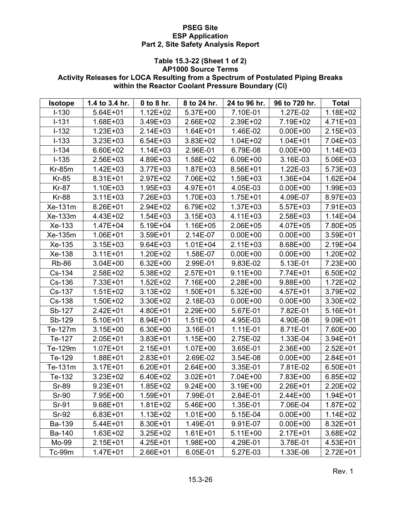# **Table 15.3-22 (Sheet 1 of 2)**

### **AP1000 Source Terms Activity Releases for LOCA Resulting from a Spectrum of Postulated Piping Breaks within the Reactor Coolant Pressure Boundary (Ci)**

| <b>Isotope</b> | 1.4 to 3.4 hr. | $0$ to $8$ hr. | 8 to 24 hr.  | 24 to 96 hr. | 96 to 720 hr. | <b>Total</b> |
|----------------|----------------|----------------|--------------|--------------|---------------|--------------|
| $I - 130$      | 5.64E+01       | $1.12E + 02$   | 5.37E+00     | 7.10E-01     | 1.27E-02      | 1.18E+02     |
| $I-131$        | 1.68E+03       | 3.49E+03       | 2.66E+02     | 2.39E+02     | 7.19E+02      | 4.71E+03     |
| $I-132$        | $1.23E + 03$   | 2.14E+03       | $1.64E + 01$ | 1.46E-02     | $0.00E + 00$  | $2.15E + 03$ |
| $I - 133$      | $3.23E + 03$   | $6.54E + 03$   | 3.83E+02     | $1.04E + 02$ | $1.04E + 01$  | 7.04E+03     |
| $I - 134$      | 6.60E+02       | 1.14E+03       | 2.96E-01     | 6.79E-08     | $0.00E + 00$  | $1.14E + 03$ |
| $I-135$        | 2.56E+03       | 4.89E+03       | 1.58E+02     | 6.09E+00     | 3.16E-03      | 5.06E+03     |
| $Kr-85m$       | $1.42E + 03$   | 3.77E+03       | 1.87E+03     | 8.56E+01     | 1.22E-03      | 5.73E+03     |
| <b>Kr-85</b>   | 8.31E+01       | 2.97E+02       | 7.06E+02     | 1.59E+03     | 1.36E+04      | $1.62E + 04$ |
| Kr-87          | $1.10E + 03$   | $1.95E + 03$   | 4.97E+01     | 4.05E-03     | $0.00E + 00$  | 1.99E+03     |
| <b>Kr-88</b>   | $3.11E + 03$   | 7.26E+03       | 1.70E+03     | 1.75E+01     | 4.09E-07      | 8.97E+03     |
| Xe-131m        | 8.26E+01       | 2.94E+02       | 6.79E+02     | 1.37E+03     | 5.57E+03      | 7.91E+03     |
| Xe-133m        | 4.43E+02       | 1.54E+03       | 3.15E+03     | 4.11E+03     | 2.58E+03      | $1.14E + 04$ |
| Xe-133         | $1.47E + 04$   | 5.19E+04       | 1.16E+05     | 2.06E+05     | 4.07E+05      | 7.80E+05     |
| Xe-135m        | 1.06E+01       | $3.59E + 01$   | 2.14E-07     | $0.00E + 00$ | $0.00E + 00$  | $3.59E + 01$ |
| Xe-135         | $3.15E + 03$   | 9.64E+03       | $1.01E + 04$ | $2.11E + 03$ | 8.68E+00      | 2.19E+04     |
| Xe-138         | $3.11E + 01$   | 1.20E+02       | 1.58E-07     | $0.00E + 00$ | $0.00E + 00$  | 1.20E+02     |
| <b>Rb-86</b>   | $3.04E + 00$   | $6.32E + 00$   | 2.99E-01     | 9.83E-02     | 5.13E-01      | 7.23E+00     |
| Cs-134         | 2.58E+02       | 5.38E+02       | 2.57E+01     | $9.11E + 00$ | 7.74E+01      | 6.50E+02     |
| Cs-136         | 7.33E+01       | $1.52E + 02$   | 7.16E+00     | 2.28E+00     | 9.88E+00      | $1.72E + 02$ |
| Cs-137         | $1.51E + 02$   | $3.13E + 02$   | 1.50E+01     | 5.32E+00     | 4.57E+01      | 3.79E+02     |
| Cs-138         | 1.50E+02       | 3.30E+02       | 2.18E-03     | $0.00E + 00$ | $0.00E + 00$  | 3.30E+02     |
| Sb-127         | 2.42E+01       | 4.80E+01       | 2.29E+00     | 5.67E-01     | 7.82E-01      | 5.16E+01     |
| Sb-129         | 5.10E+01       | 8.94E+01       | $1.51E+00$   | 4.95E-03     | 4.90E-08      | $9.09E + 01$ |
| Te-127m        | $3.15E + 00$   | 6.30E+00       | 3.16E-01     | 1.11E-01     | 8.71E-01      | 7.60E+00     |
| Te-127         | 2.05E+01       | $3.83E + 01$   | 1.15E+00     | 2.75E-02     | 1.33E-04      | 3.94E+01     |
| Te-129m        | $1.07E + 01$   | $2.15E + 01$   | 1.07E+00     | 3.65E-01     | 2.36E+00      | $2.52E+01$   |
| Te-129         | 1.88E+01       | $2.83E+01$     | 2.69E-02     | 3.54E-08     | $0.00E + 00$  | 2.84E+01     |
| Te-131m        | $3.17E + 01$   | $6.20E + 01$   | 2.64E+00     | 3.35E-01     | 7.81E-02      | $6.50E + 01$ |
| Te-132         | 3.23E+02       | 6.40E+02       | $3.02E + 01$ | 7.04E+00     | 7.83E+00      | 6.85E+02     |
| <b>Sr-89</b>   | $9.23E + 01$   | 1.85E+02       | $9.24E + 00$ | 3.19E+00     | 2.26E+01      | 2.20E+02     |
| <b>Sr-90</b>   | 7.95E+00       | 1.59E+01       | 7.99E-01     | 2.84E-01     | 2.44E+00      | 1.94E+01     |
| Sr-91          | $9.68E + 01$   | $1.81E + 02$   | 5.46E+00     | 1.35E-01     | 7.06E-04      | 1.87E+02     |
| $Sr-92$        | $6.83E + 01$   | $1.13E + 02$   | $1.01E + 00$ | 5.15E-04     | $0.00E + 00$  | $1.14E + 02$ |
| Ba-139         | 5.44E+01       | 8.30E+01       | 1.49E-01     | 9.91E-07     | $0.00E + 00$  | 8.32E+01     |
| Ba-140         | $1.63E + 02$   | $3.25E + 02$   | $1.61E + 01$ | $5.11E+00$   | $2.17E + 01$  | 3.68E+02     |
| Mo-99          | $2.15E + 01$   | 4.25E+01       | 1.98E+00     | 4.29E-01     | 3.78E-01      | 4.53E+01     |
| Tc-99m         | $1.47E + 01$   | $2.66E + 01$   | 6.05E-01     | 5.27E-03     | 1.33E-06      | $2.72E + 01$ |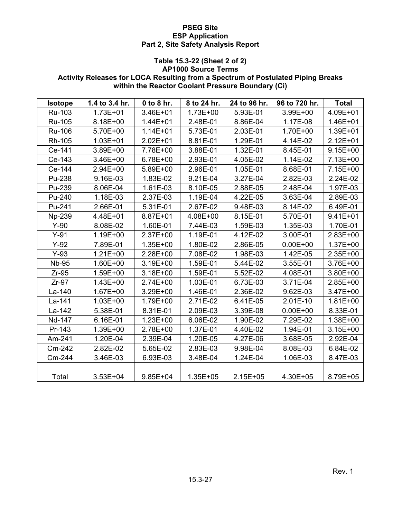# **Table 15.3-22 (Sheet 2 of 2)**

# **AP1000 Source Terms**

# **Activity Releases for LOCA Resulting from a Spectrum of Postulated Piping Breaks within the Reactor Coolant Pressure Boundary (Ci)**

| <b>Isotope</b> | 1.4 to 3.4 hr. | 0 to 8 hr.   | 8 to 24 hr.  | 24 to 96 hr. | 96 to 720 hr. | <b>Total</b> |
|----------------|----------------|--------------|--------------|--------------|---------------|--------------|
| Ru-103         | 1.73E+01       | 3.46E+01     | 1.73E+00     | 5.93E-01     | 3.99E+00      | 4.09E+01     |
| Ru-105         | 8.18E+00       | $1.44E + 01$ | 2.48E-01     | 8.86E-04     | 1.17E-08      | 1.46E+01     |
| Ru-106         | 5.70E+00       | $1.14E + 01$ | 5.73E-01     | 2.03E-01     | 1.70E+00      | 1.39E+01     |
| Rh-105         | $1.03E + 01$   | $2.02E + 01$ | 8.81E-01     | 1.29E-01     | 4.14E-02      | $2.12E + 01$ |
| Ce-141         | 3.89E+00       | 7.78E+00     | 3.88E-01     | 1.32E-01     | 8.45E-01      | $9.15E + 00$ |
| Ce-143         | 3.46E+00       | 6.78E+00     | 2.93E-01     | 4.05E-02     | 1.14E-02      | 7.13E+00     |
| Ce-144         | 2.94E+00       | 5.89E+00     | 2.96E-01     | 1.05E-01     | 8.68E-01      | 7.15E+00     |
| Pu-238         | 9.16E-03       | 1.83E-02     | 9.21E-04     | 3.27E-04     | 2.82E-03      | 2.24E-02     |
| Pu-239         | 8.06E-04       | 1.61E-03     | 8.10E-05     | 2.88E-05     | 2.48E-04      | 1.97E-03     |
| Pu-240         | 1.18E-03       | 2.37E-03     | 1.19E-04     | 4.22E-05     | 3.63E-04      | 2.89E-03     |
| Pu-241         | 2.66E-01       | 5.31E-01     | 2.67E-02     | 9.48E-03     | 8.14E-02      | 6.49E-01     |
| Np-239         | 4.48E+01       | 8.87E+01     | 4.08E+00     | 8.15E-01     | 5.70E-01      | $9.41E + 01$ |
| $Y-90$         | 8.08E-02       | 1.60E-01     | 7.44E-03     | 1.59E-03     | 1.35E-03      | 1.70E-01     |
| $Y-91$         | 1.19E+00       | 2.37E+00     | 1.19E-01     | 4.12E-02     | 3.00E-01      | 2.83E+00     |
| $Y-92$         | 7.89E-01       | 1.35E+00     | 1.80E-02     | 2.86E-05     | $0.00E + 00$  | 1.37E+00     |
| $Y-93$         | $1.21E + 00$   | 2.28E+00     | 7.08E-02     | 1.98E-03     | 1.42E-05      | 2.35E+00     |
| <b>Nb-95</b>   | 1.60E+00       | 3.19E+00     | 1.59E-01     | 5.44E-02     | 3.55E-01      | 3.76E+00     |
| $Zr-95$        | 1.59E+00       | 3.18E+00     | 1.59E-01     | 5.52E-02     | 4.08E-01      | 3.80E+00     |
| $Zr-97$        | 1.43E+00       | 2.74E+00     | 1.03E-01     | 6.73E-03     | 3.71E-04      | 2.85E+00     |
| La-140         | $1.67E + 00$   | 3.29E+00     | 1.46E-01     | 2.36E-02     | 9.62E-03      | 3.47E+00     |
| La-141         | 1.03E+00       | 1.79E+00     | 2.71E-02     | 6.41E-05     | 2.01E-10      | $1.81E + 00$ |
| La-142         | 5.38E-01       | 8.31E-01     | 2.09E-03     | 3.39E-08     | $0.00E + 00$  | 8.33E-01     |
| Nd-147         | 6.16E-01       | $1.23E + 00$ | 6.06E-02     | 1.90E-02     | 7.29E-02      | 1.38E+00     |
| Pr-143         | 1.39E+00       | 2.78E+00     | 1.37E-01     | 4.40E-02     | 1.94E-01      | $3.15E + 00$ |
| Am-241         | 1.20E-04       | 2.39E-04     | 1.20E-05     | 4.27E-06     | 3.68E-05      | 2.92E-04     |
| Cm-242         | 2.82E-02       | 5.65E-02     | 2.83E-03     | 9.98E-04     | 8.08E-03      | 6.84E-02     |
| Cm-244         | 3.46E-03       | 6.93E-03     | 3.48E-04     | 1.24E-04     | 1.06E-03      | 8.47E-03     |
|                |                |              |              |              |               |              |
| Total          | $3.53E + 04$   | $9.85E + 04$ | $1.35E + 05$ | $2.15E + 05$ | 4.30E+05      | 8.79E+05     |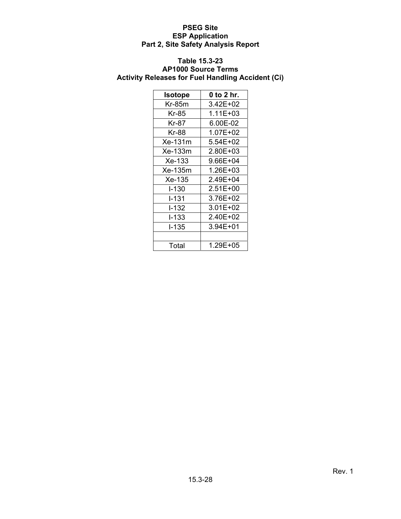# **Table 15.3-23**

# **AP1000 Source Terms Activity Releases for Fuel Handling Accident (Ci)**

| <b>Isotope</b> | 0 to 2 hr.   |
|----------------|--------------|
| Kr-85m         | 3.42E+02     |
| Kr-85          | 1.11E+03     |
| Kr-87          | 6.00E-02     |
| Kr-88          | 1.07E+02     |
| Xe-131m        | 5.54E+02     |
| Xe-133m        | 2.80E+03     |
| Xe-133         | 9.66E+04     |
| Xe-135m        | 1.26E+03     |
| Xe-135         | 2.49E+04     |
| $1 - 130$      | $2.51E + 00$ |
| I-131          | 3.76E+02     |
| l-132          | 3.01E+02     |
| I-133          | 2.40E+02     |
| $-135$         | $3.94E + 01$ |
|                |              |
| Total          | 1.29E+05     |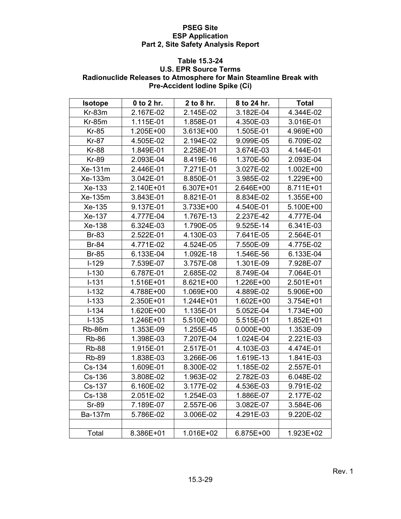#### **Table 15.3-24**

## **U.S. EPR Source Terms Radionuclide Releases to Atmosphere for Main Steamline Break with Pre-Accident Iodine Spike (Ci)**

| <b>Isotope</b> | 0 to 2 hr. | 2 to 8 hr. | 8 to 24 hr.   | <b>Total</b> |
|----------------|------------|------------|---------------|--------------|
| Kr-83m         | 2.167E-02  | 2.145E-02  | 3.182E-04     | 4.344E-02    |
| $Kr-85m$       | 1.115E-01  | 1.858E-01  | 4.350E-03     | 3.016E-01    |
| <b>Kr-85</b>   | 1.205E+00  | 3.613E+00  | 1.505E-01     | 4.969E+00    |
| <b>Kr-87</b>   | 4.505E-02  | 2.194E-02  | 9.099E-05     | 6.709E-02    |
| <b>Kr-88</b>   | 1.849E-01  | 2.258E-01  | 3.674E-03     | 4.144E-01    |
| <b>Kr-89</b>   | 2.093E-04  | 8.419E-16  | 1.370E-50     | 2.093E-04    |
| Xe-131m        | 2.446E-01  | 7.271E-01  | 3.027E-02     | 1.002E+00    |
| Xe-133m        | 3.042E-01  | 8.850E-01  | 3.985E-02     | 1.229E+00    |
| Xe-133         | 2.140E+01  | 6.307E+01  | 2.646E+00     | 8.711E+01    |
| Xe-135m        | 3.843E-01  | 8.821E-01  | 8.834E-02     | 1.355E+00    |
| Xe-135         | 9.137E-01  | 3.733E+00  | 4.540E-01     | 5.100E+00    |
| Xe-137         | 4.777E-04  | 1.767E-13  | 2.237E-42     | 4.777E-04    |
| Xe-138         | 6.324E-03  | 1.790E-05  | 9.525E-14     | 6.341E-03    |
| <b>Br-83</b>   | 2.522E-01  | 4.130E-03  | 7.641E-05     | 2.564E-01    |
| <b>Br-84</b>   | 4.771E-02  | 4.524E-05  | 7.550E-09     | 4.775E-02    |
| <b>Br-85</b>   | 6.133E-04  | 1.092E-18  | 1.546E-56     | 6.133E-04    |
| $I-129$        | 7.539E-07  | 3.757E-08  | 1.301E-09     | 7.928E-07    |
| $I-130$        | 6.787E-01  | 2.685E-02  | 8.749E-04     | 7.064E-01    |
| $I-131$        | 1.516E+01  | 8.621E+00  | 1.226E+00     | 2.501E+01    |
| $I-132$        | 4.788E+00  | 1.069E+00  | 4.889E-02     | 5.906E+00    |
| $I-133$        | 2.350E+01  | 1.244E+01  | 1.602E+00     | 3.754E+01    |
| $I-134$        | 1.620E+00  | 1.135E-01  | 5.052E-04     | 1.734E+00    |
| $I-135$        | 1.246E+01  | 5.510E+00  | 5.515E-01     | 1.852E+01    |
| <b>Rb-86m</b>  | 1.353E-09  | 1.255E-45  | $0.000E + 00$ | 1.353E-09    |
| <b>Rb-86</b>   | 1.398E-03  | 7.207E-04  | 1.024E-04     | 2.221E-03    |
| <b>Rb-88</b>   | 1.915E-01  | 2.517E-01  | 4.103E-03     | 4.474E-01    |
| <b>Rb-89</b>   | 1.838E-03  | 3.266E-06  | 1.619E-13     | 1.841E-03    |
| Cs-134         | 1.609E-01  | 8.300E-02  | 1.185E-02     | 2.557E-01    |
| Cs-136         | 3.808E-02  | 1.963E-02  | 2.782E-03     | 6.048E-02    |
| Cs-137         | 6.160E-02  | 3.177E-02  | 4.536E-03     | 9.791E-02    |
| Cs-138         | 2.051E-02  | 1.254E-03  | 1.886E-07     | 2.177E-02    |
| Sr-89          | 7.189E-07  | 2.557E-06  | 3.082E-07     | 3.584E-06    |
| Ba-137m        | 5.786E-02  | 3.006E-02  | 4.291E-03     | 9.220E-02    |
|                |            |            |               |              |
| Total          | 8.386E+01  | 1.016E+02  | 6.875E+00     | 1.923E+02    |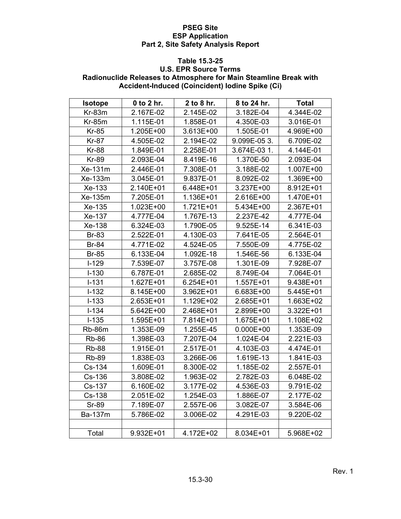#### **Table 15.3-25**

## **U.S. EPR Source Terms Radionuclide Releases to Atmosphere for Main Steamline Break with Accident-Induced (Coincident) Iodine Spike (Ci)**

| <b>Isotope</b> | 0 to 2 hr. | 2 to 8 hr. | 8 to 24 hr.   | <b>Total</b> |
|----------------|------------|------------|---------------|--------------|
| Kr-83m         | 2.167E-02  | 2.145E-02  | 3.182E-04     | 4.344E-02    |
| <b>Kr-85m</b>  | 1.115E-01  | 1.858E-01  | 4.350E-03     | 3.016E-01    |
| <b>Kr-85</b>   | 1.205E+00  | 3.613E+00  | 1.505E-01     | 4.969E+00    |
| <b>Kr-87</b>   | 4.505E-02  | 2.194E-02  | 9.099E-053.   | 6.709E-02    |
| <b>Kr-88</b>   | 1.849E-01  | 2.258E-01  | 3.674E-03 1.  | 4.144E-01    |
| <b>Kr-89</b>   | 2.093E-04  | 8.419E-16  | 1.370E-50     | 2.093E-04    |
| Xe-131m        | 2.446E-01  | 7.308E-01  | 3.188E-02     | 1.007E+00    |
| Xe-133m        | 3.045E-01  | 9.837E-01  | 8.092E-02     | 1.369E+00    |
| Xe-133         | 2.140E+01  | 6.448E+01  | 3.237E+00     | 8.912E+01    |
| Xe-135m        | 7.205E-01  | 1.136E+01  | 2.616E+00     | 1.470E+01    |
| Xe-135         | 1.023E+00  | 1.721E+01  | 5.434E+00     | 2.367E+01    |
| Xe-137         | 4.777E-04  | 1.767E-13  | 2.237E-42     | 4.777E-04    |
| Xe-138         | 6.324E-03  | 1.790E-05  | 9.525E-14     | 6.341E-03    |
| <b>Br-83</b>   | 2.522E-01  | 4.130E-03  | 7.641E-05     | 2.564E-01    |
| <b>Br-84</b>   | 4.771E-02  | 4.524E-05  | 7.550E-09     | 4.775E-02    |
| <b>Br-85</b>   | 6.133E-04  | 1.092E-18  | 1.546E-56     | 6.133E-04    |
| $I-129$        | 7.539E-07  | 3.757E-08  | 1.301E-09     | 7.928E-07    |
| $I-130$        | 6.787E-01  | 2.685E-02  | 8.749E-04     | 7.064E-01    |
| $I-131$        | 1.627E+01  | 6.254E+01  | 1.557E+01     | 9.438E+01    |
| $I-132$        | 8.145E+00  | 3.962E+01  | 6.683E+00     | 5.445E+01    |
| $I-133$        | 2.653E+01  | 1.129E+02  | 2.685E+01     | 1.663E+02    |
| $I-134$        | 5.642E+00  | 2.468E+01  | 2.899E+00     | 3.322E+01    |
| $I-135$        | 1.595E+01  | 7.814E+01  | 1.675E+01     | 1.108E+02    |
| <b>Rb-86m</b>  | 1.353E-09  | 1.255E-45  | $0.000E + 00$ | 1.353E-09    |
| <b>Rb-86</b>   | 1.398E-03  | 7.207E-04  | 1.024E-04     | 2.221E-03    |
| <b>Rb-88</b>   | 1.915E-01  | 2.517E-01  | 4.103E-03     | 4.474E-01    |
| <b>Rb-89</b>   | 1.838E-03  | 3.266E-06  | 1.619E-13     | 1.841E-03    |
| Cs-134         | 1.609E-01  | 8.300E-02  | 1.185E-02     | 2.557E-01    |
| Cs-136         | 3.808E-02  | 1.963E-02  | 2.782E-03     | 6.048E-02    |
| Cs-137         | 6.160E-02  | 3.177E-02  | 4.536E-03     | 9.791E-02    |
| Cs-138         | 2.051E-02  | 1.254E-03  | 1.886E-07     | 2.177E-02    |
| Sr-89          | 7.189E-07  | 2.557E-06  | 3.082E-07     | 3.584E-06    |
| Ba-137m        | 5.786E-02  | 3.006E-02  | 4.291E-03     | 9.220E-02    |
|                |            |            |               |              |
| Total          | 9.932E+01  | 4.172E+02  | 8.034E+01     | 5.968E+02    |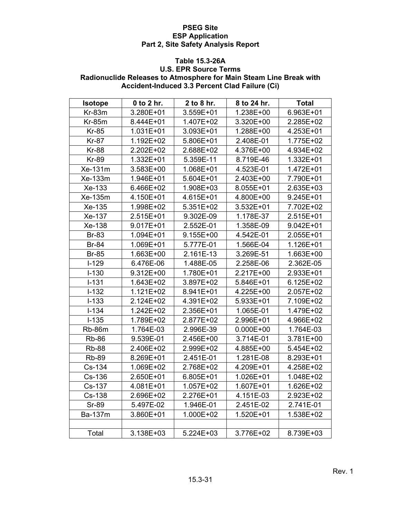#### **Table 15.3-26A**

## **U.S. EPR Source Terms Radionuclide Releases to Atmosphere for Main Steam Line Break with Accident-Induced 3.3 Percent Clad Failure (Ci)**

| <b>Isotope</b> | 0 to 2 hr. | 2 to 8 hr. | 8 to 24 hr.   | <b>Total</b>  |
|----------------|------------|------------|---------------|---------------|
| Kr-83m         | 3.280E+01  | 3.559E+01  | 1.238E+00     | 6.963E+01     |
| <b>Kr-85m</b>  | 8.444E+01  | 1.407E+02  | 3.320E+00     | 2.285E+02     |
| <b>Kr-85</b>   | 1.031E+01  | 3.093E+01  | 1.288E+00     | 4.253E+01     |
| <b>Kr-87</b>   | 1.192E+02  | 5.806E+01  | 2.408E-01     | 1.775E+02     |
| <b>Kr-88</b>   | 2.202E+02  | 2.688E+02  | 4.376E+00     | 4.934E+02     |
| <b>Kr-89</b>   | 1.332E+01  | 5.359E-11  | 8.719E-46     | 1.332E+01     |
| Xe-131m        | 3.583E+00  | 1.068E+01  | 4.523E-01     | 1.472E+01     |
| Xe-133m        | 1.946E+01  | 5.604E+01  | 2.403E+00     | 7.790E+01     |
| Xe-133         | 6.466E+02  | 1.908E+03  | 8.055E+01     | 2.635E+03     |
| Xe-135m        | 4.150E+01  | 4.615E+01  | 4.800E+00     | 9.245E+01     |
| Xe-135         | 1.998E+02  | 5.351E+02  | 3.532E+01     | 7.702E+02     |
| Xe-137         | 2.515E+01  | 9.302E-09  | 1.178E-37     | 2.515E+01     |
| Xe-138         | 9.017E+01  | 2.552E-01  | 1.358E-09     | $9.042E + 01$ |
| <b>Br-83</b>   | 1.094E+01  | 9.155E+00  | 4.542E-01     | 2.055E+01     |
| <b>Br-84</b>   | 1.069E+01  | 5.777E-01  | 1.566E-04     | 1.126E+01     |
| <b>Br-85</b>   | 1.663E+00  | 2.161E-13  | 3.269E-51     | 1.663E+00     |
| $I-129$        | 6.476E-06  | 1.488E-05  | 2.258E-06     | 2.362E-05     |
| $I-130$        | 9.312E+00  | 1.780E+01  | 2.217E+00     | 2.933E+01     |
| $I-131$        | 1.643E+02  | 3.897E+02  | 5.846E+01     | 6.125E+02     |
| $I-132$        | 1.121E+02  | 8.941E+01  | 4.225E+00     | 2.057E+02     |
| $I-133$        | 2.124E+02  | 4.391E+02  | 5.933E+01     | 7.109E+02     |
| $I-134$        | 1.242E+02  | 2.356E+01  | 1.065E-01     | 1.479E+02     |
| $I-135$        | 1.789E+02  | 2.877E+02  | 2.996E+01     | 4.966E+02     |
| Rb-86m         | 1.764E-03  | 2.996E-39  | $0.000E + 00$ | 1.764E-03     |
| <b>Rb-86</b>   | 9.539E-01  | 2.456E+00  | 3.714E-01     | 3.781E+00     |
| <b>Rb-88</b>   | 2.406E+02  | 2.999E+02  | 4.885E+00     | 5.454E+02     |
| <b>Rb-89</b>   | 8.269E+01  | 2.451E-01  | 1.281E-08     | 8.293E+01     |
| Cs-134         | 1.069E+02  | 2.768E+02  | 4.209E+01     | 4.258E+02     |
| Cs-136         | 2.650E+01  | 6.805E+01  | 1.026E+01     | 1.048E+02     |
| Cs-137         | 4.081E+01  | 1.057E+02  | 1.607E+01     | 1.626E+02     |
| Cs-138         | 2.696E+02  | 2.276E+01  | 4.151E-03     | 2.923E+02     |
| <b>Sr-89</b>   | 5.497E-02  | 1.946E-01  | 2.451E-02     | 2.741E-01     |
| Ba-137m        | 3.860E+01  | 1.000E+02  | 1.520E+01     | 1.538E+02     |
|                |            |            |               |               |
| Total          | 3.138E+03  | 5.224E+03  | 3.776E+02     | 8.739E+03     |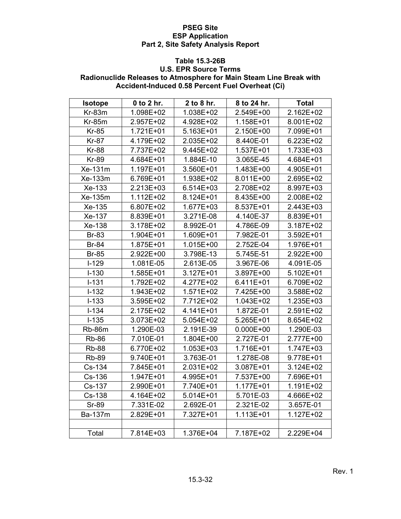#### **Table 15.3-26B**

## **U.S. EPR Source Terms Radionuclide Releases to Atmosphere for Main Steam Line Break with Accident-Induced 0.58 Percent Fuel Overheat (Ci)**

| Isotope       | 0 to 2 hr. | 2 to 8 hr. | 8 to 24 hr.   | <b>Total</b> |
|---------------|------------|------------|---------------|--------------|
| Kr-83m        | 1.098E+02  | 1.038E+02  | 2.549E+00     | 2.162E+02    |
| <b>Kr-85m</b> | 2.957E+02  | 4.928E+02  | 1.158E+01     | 8.001E+02    |
| <b>Kr-85</b>  | 1.721E+01  | 5.163E+01  | 2.150E+00     | 7.099E+01    |
| <b>Kr-87</b>  | 4.179E+02  | 2.035E+02  | 8.440E-01     | 6.223E+02    |
| <b>Kr-88</b>  | 7.737E+02  | 9.445E+02  | 1.537E+01     | 1.733E+03    |
| <b>Kr-89</b>  | 4.684E+01  | 1.884E-10  | 3.065E-45     | 4.684E+01    |
| Xe-131m       | 1.197E+01  | 3.560E+01  | 1.483E+00     | 4.905E+01    |
| Xe-133m       | 6.769E+01  | 1.938E+02  | 8.011E+00     | 2.695E+02    |
| Xe-133        | 2.213E+03  | 6.514E+03  | 2.708E+02     | 8.997E+03    |
| Xe-135m       | 1.112E+02  | 8.124E+01  | 8.435E+00     | 2.008E+02    |
| Xe-135        | 6.807E+02  | 1.677E+03  | 8.537E+01     | 2.443E+03    |
| Xe-137        | 8.839E+01  | 3.271E-08  | 4.140E-37     | 8.839E+01    |
| Xe-138        | 3.178E+02  | 8.992E-01  | 4.786E-09     | 3.187E+02    |
| <b>Br-83</b>  | 1.904E+01  | 1.609E+01  | 7.982E-01     | 3.592E+01    |
| <b>Br-84</b>  | 1.875E+01  | 1.015E+00  | 2.752E-04     | 1.976E+01    |
| <b>Br-85</b>  | 2.922E+00  | 3.798E-13  | 5.745E-51     | 2.922E+00    |
| $I-129$       | 1.081E-05  | 2.613E-05  | 3.967E-06     | 4.091E-05    |
| $I-130$       | 1.585E+01  | 3.127E+01  | 3.897E+00     | 5.102E+01    |
| $I-131$       | 1.792E+02  | 4.277E+02  | 6.411E+01     | 6.709E+02    |
| $I-132$       | 1.943E+02  | 1.571E+02  | 7.425E+00     | 3.588E+02    |
| $I-133$       | 3.595E+02  | 7.712E+02  | 1.043E+02     | 1.235E+03    |
| $I-134$       | 2.175E+02  | 4.141E+01  | 1.872E-01     | 2.591E+02    |
| $I-135$       | 3.073E+02  | 5.054E+02  | 5.265E+01     | 8.654E+02    |
| Rb-86m        | 1.290E-03  | 2.191E-39  | $0.000E + 00$ | 1.290E-03    |
| <b>Rb-86</b>  | 7.010E-01  | 1.804E+00  | 2.727E-01     | 2.777E+00    |
| <b>Rb-88</b>  | 6.770E+02  | 1.053E+03  | 1.716E+01     | 1.747E+03    |
| <b>Rb-89</b>  | 9.740E+01  | 3.763E-01  | 1.278E-08     | 9.778E+01    |
| Cs-134        | 7.845E+01  | 2.031E+02  | 3.087E+01     | 3.124E+02    |
| Cs-136        | 1.947E+01  | 4.995E+01  | 7.537E+00     | 7.696E+01    |
| Cs-137        | 2.990E+01  | 7.740E+01  | 1.177E+01     | 1.191E+02    |
| Cs-138        | 4.164E+02  | 5.014E+01  | 5.701E-03     | 4.666E+02    |
| <b>Sr-89</b>  | 7.331E-02  | 2.692E-01  | 2.321E-02     | 3.657E-01    |
| Ba-137m       | 2.829E+01  | 7.327E+01  | 1.113E+01     | 1.127E+02    |
|               |            |            |               |              |
| Total         | 7.814E+03  | 1.376E+04  | 7.187E+02     | 2.229E+04    |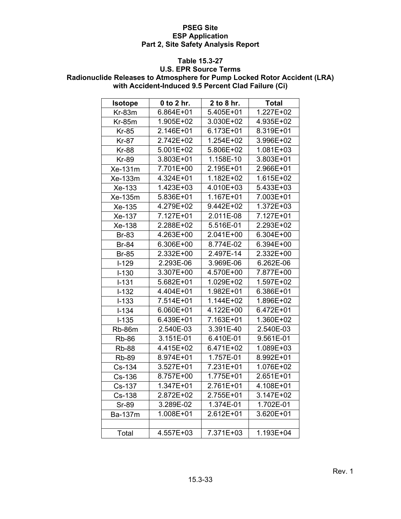## **Table 15.3-27**

# **U.S. EPR Source Terms Radionuclide Releases to Atmosphere for Pump Locked Rotor Accident (LRA) with Accident-Induced 9.5 Percent Clad Failure (Ci)**

| Isotope      | 0 to 2 hr. | 2 to 8 hr. | <b>Total</b>  |
|--------------|------------|------------|---------------|
| Kr-83m       | 6.864E+01  | 5.405E+01  | 1.227E+02     |
| $Kr-85m$     | 1.905E+02  | 3.030E+02  | 4.935E+02     |
| <b>Kr-85</b> | 2.146E+01  | 6.173E+01  | 8.319E+01     |
| <b>Kr-87</b> | 2.742E+02  | 1.254E+02  | 3.996E+02     |
| <b>Kr-88</b> | 5.001E+02  | 5.806E+02  | 1.081E+03     |
| <b>Kr-89</b> | 3.803E+01  | 1.158E-10  | 3.803E+01     |
| Xe-131m      | 7.701E+00  | 2.195E+01  | 2.966E+01     |
| Xe-133m      | 4.324E+01  | 1.182E+02  | 1.615E+02     |
| Xe-133       | 1.423E+03  | 4.010E+03  | 5.433E+03     |
| Xe-135m      | 5.836E+01  | 1.167E+01  | 7.003E+01     |
| Xe-135       | 4.279E+02  | 9.442E+02  | 1.372E+03     |
| Xe-137       | 7.127E+01  | 2.011E-08  | 7.127E+01     |
| Xe-138       | 2.288E+02  | 5.516E-01  | 2.293E+02     |
| <b>Br-83</b> | 4.263E+00  | 2.041E+00  | 6.304E+00     |
| <b>Br-84</b> | 6.306E+00  | 8.774E-02  | 6.394E+00     |
| <b>Br-85</b> | 2.332E+00  | 2.497E-14  | 2.332E+00     |
| $I-129$      | 2.293E-06  | 3.969E-06  | 6.262E-06     |
| $I-130$      | 3.307E+00  | 4.570E+00  | 7.877E+00     |
| $I-131$      | 5.682E+01  | 1.029E+02  | 1.597E+02     |
| $I-132$      | 4.404E+01  | 1.982E+01  | 6.386E+01     |
| $I-133$      | 7.514E+01  | 1.144E+02  | $1.896E + 02$ |
| $I - 134$    | 6.060E+01  | 4.122E+00  | 6.472E+01     |
| $I-135$      | 6.439E+01  | 7.163E+01  | 1.360E+02     |
| Rb-86m       | 2.540E-03  | 3.391E-40  | 2.540E-03     |
| <b>Rb-86</b> | 3.151E-01  | 6.410E-01  | 9.561E-01     |
| <b>Rb-88</b> | 4.415E+02  | 6.471E+02  | 1.089E+03     |
| <b>Rb-89</b> | 8.974E+01  | 1.757E-01  | 8.992E+01     |
| Cs-134       | 3.527E+01  | 7.231E+01  | 1.076E+02     |
| Cs-136       | 8.757E+00  | 1.775E+01  | 2.651E+01     |
| Cs-137       | 1.347E+01  | 2.761E+01  | 4.108E+01     |
| Cs-138       | 2.872E+02  | 2.755E+01  | 3.147E+02     |
| <b>Sr-89</b> | 3.289E-02  | 1.374E-01  | 1.702E-01     |
| Ba-137m      | 1.008E+01  | 2.612E+01  | 3.620E+01     |
|              |            |            |               |
| Total        | 4.557E+03  | 7.371E+03  | $1.193E + 04$ |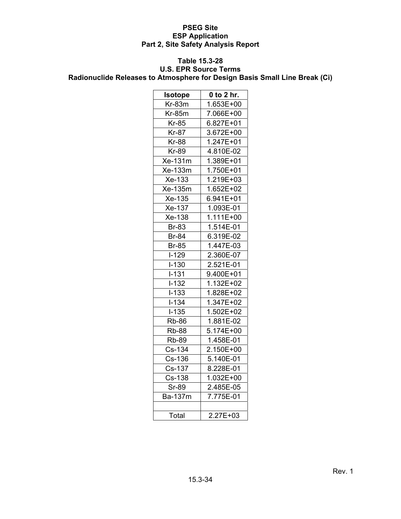# **Table 15.3-28**

# **U.S. EPR Source Terms**

**Radionuclide Releases to Atmosphere for Design Basis Small Line Break (Ci)** 

| <b>Isotope</b> | $0$ to $2$ hr. |  |  |
|----------------|----------------|--|--|
| $Kr-83m$       | 1.653E+00      |  |  |
| $Kr-85m$       | 7.066E+00      |  |  |
| Kr-85          | 6.827E+01      |  |  |
| <b>Kr-87</b>   | 3.672E+00      |  |  |
| <b>Kr-88</b>   | 1.247E+01      |  |  |
| Kr-89          | 4.810E-02      |  |  |
| Xe-131m        | 1.389E+01      |  |  |
| Xe-133m        | 1.750E+01      |  |  |
| Xe-133         | 1.219E+03      |  |  |
| Xe-135m        | 1.652E+02      |  |  |
| Xe-135         | 6.941E+01      |  |  |
| Xe-137         | 1.093E-01      |  |  |
| Xe-138         | 1.111E+00      |  |  |
| <b>Br-83</b>   | 1.514E-01      |  |  |
| <b>Br-84</b>   | 6.319E-02      |  |  |
| <b>Br-85</b>   | 1.447E-03      |  |  |
| $I-129$        | 2.360E-07      |  |  |
| $I-130$        | 2.521E-01      |  |  |
| $I - 131$      | 9.400E+01      |  |  |
| $I-132$        | $1.132E + 02$  |  |  |
| $I - 133$      | 1.828E+02      |  |  |
| $I - 134$      | 1.347E+02      |  |  |
| $I-135$        | 1.502E+02      |  |  |
| <b>Rb-86</b>   | 1.881E-02      |  |  |
| <b>Rb-88</b>   | 5.174E+00      |  |  |
| <b>Rb-89</b>   | 1.458E-01      |  |  |
| Cs-134         | 2.150E+00      |  |  |
| Cs-136         | $5.140E - 01$  |  |  |
| Cs-137         | 8.228E-01      |  |  |
| Cs-138         | 1.032E+00      |  |  |
| <b>Sr-89</b>   | 2.485E-05      |  |  |
| Ba-137m        | 7.775E-01      |  |  |
|                |                |  |  |
| Total          | 2.27E+03       |  |  |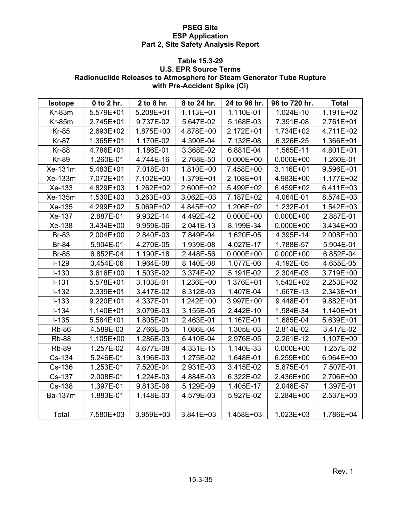#### **Table 15.3-29**

# **U.S. EPR Source Terms Radionuclide Releases to Atmosphere for Steam Generator Tube Rupture with Pre-Accident Spike (Ci)**

| <b>Isotope</b> | 0 to 2 hr. | 2 to 8 hr. | 8 to 24 hr. | 24 to 96 hr.  | 96 to 720 hr. | <b>Total</b> |
|----------------|------------|------------|-------------|---------------|---------------|--------------|
| Kr-83m         | 5.579E+01  | 5.208E+01  | 1.113E+01   | 1.110E-01     | 1.024E-10     | 1.191E+02    |
| $Kr-85m$       | 2.745E+01  | 9.737E-02  | 5.647E-02   | 5.168E-03     | 7.391E-08     | 2.761E+01    |
| <b>Kr-85</b>   | 2.693E+02  | 1.875E+00  | 4.878E+00   | 2.172E+01     | 1.734E+02     | 4.711E+02    |
| Kr-87          | 1.365E+01  | 1.170E-02  | 4.390E-04   | 7.132E-08     | 6.326E-25     | 1.366E+01    |
| <b>Kr-88</b>   | 4.786E+01  | 1.186E-01  | 3.368E-02   | 6.881E-04     | 1.565E-11     | 4.801E+01    |
| <b>Kr-89</b>   | 1.260E-01  | 4.744E-16  | 2.768E-50   | $0.000E+00$   | $0.000E + 00$ | 1.260E-01    |
| Xe-131m        | 5.483E+01  | 7.018E-01  | 1.810E+00   | 7.458E+00     | 3.116E+01     | 9.596E+01    |
| Xe-133m        | 7.072E+01  | 7.102E+00  | 1.379E+01   | 2.108E+01     | 4.983E+00     | 1.177E+02    |
| Xe-133         | 4.829E+03  | 1.262E+02  | 2.600E+02   | 5.499E+02     | 6.459E+02     | 6.411E+03    |
| Xe-135m        | 1.530E+03  | 3.263E+03  | 3.062E+03   | 7.187E+02     | 4.064E-01     | 8.574E+03    |
| Xe-135         | 4.299E+02  | 5.069E+02  | 4.845E+02   | 1.206E+02     | 1.232E-01     | 1.542E+03    |
| Xe-137         | 2.887E-01  | 9.932E-14  | 4.492E-42   | $0.000E + 00$ | $0.000E + 00$ | 2.887E-01    |
| Xe-138         | 3.434E+00  | 9.959E-06  | 2.041E-13   | 8.199E-34     | $0.000E + 00$ | 3.434E+00    |
| <b>Br-83</b>   | 2.004E+00  | 2.840E-03  | 7.849E-04   | 1.620E-05     | 4.395E-14     | 2.008E+00    |
| <b>Br-84</b>   | 5.904E-01  | 4.270E-05  | 1.939E-08   | 4.027E-17     | 1.788E-57     | 5.904E-01    |
| <b>Br-85</b>   | 6.852E-04  | 1.190E-18  | 2.448E-56   | $0.000E + 00$ | $0.000E + 00$ | 6.852E-04    |
| $I-129$        | 3.454E-06  | 1.964E-08  | 8.140E-08   | 1.077E-06     | 4.192E-05     | 4.655E-05    |
| $I-130$        | 3.616E+00  | 1.503E-02  | 3.374E-02   | 5.191E-02     | 2.304E-03     | 3.719E+00    |
| $I-131$        | 5.578E+01  | 3.103E-01  | 1.236E+00   | 1.376E+01     | 1.542E+02     | 2.253E+02    |
| $I-132$        | 2.339E+01  | 3.417E-02  | 8.312E-03   | 1.407E-04     | 1.667E-13     | 2.343E+01    |
| $I-133$        | 9.220E+01  | 4.337E-01  | 1.242E+00   | 3.997E+00     | 9.448E-01     | 9.882E+01    |
| $I-134$        | 1.140E+01  | 3.079E-03  | 3.155E-05   | 2.442E-10     | 1.584E-34     | 1.140E+01    |
| $I-135$        | 5.584E+01  | 1.805E-01  | 2.463E-01   | 1.167E-01     | 1.685E-04     | 5.639E+01    |
| <b>Rb-86</b>   | 4.589E-03  | 2.766E-05  | 1.086E-04   | 1.305E-03     | 2.814E-02     | 3.417E-02    |
| <b>Rb-88</b>   | 1.105E+00  | 1.286E-03  | 6.410E-04   | 2.976E-05     | 2.261E-12     | 1.107E+00    |
| <b>Rb-89</b>   | 1.257E-02  | 4.677E-08  | 4.331E-15   | 1.140E-33     | $0.000E + 00$ | 1.257E-02    |
| Cs-134         | 5.246E-01  | 3.196E-03  | 1.275E-02   | 1.648E-01     | 6.259E+00     | 6.964E+00    |
| Cs-136         | 1.253E-01  | 7.520E-04  | 2.931E-03   | 3.415E-02     | 5.875E-01     | 7.507E-01    |
| Cs-137         | 2.008E-01  | 1.224E-03  | 4.884E-03   | 6.322E-02     | 2.436E+00     | 2.706E+00    |
| Cs-138         | 1.397E-01  | 9.813E-06  | 5.129E-09   | 1.405E-17     | 2.046E-57     | 1.397E-01    |
| Ba-137m        | 1.883E-01  | 1.148E-03  | 4.579E-03   | 5.927E-02     | 2.284E+00     | 2.537E+00    |
|                |            |            |             |               |               |              |
| Total          | 7.580E+03  | 3.959E+03  | 3.841E+03   | 1.458E+03     | 1.023E+03     | 1.786E+04    |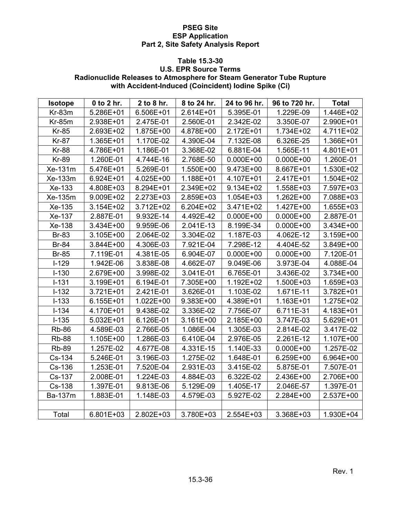## **Table 15.3-30**

# **U.S. EPR Source Terms Radionuclide Releases to Atmosphere for Steam Generator Tube Rupture with Accident-Induced (Coincident) Iodine Spike (Ci)**

| <b>Isotope</b> | 0 to 2 hr. | 2 to 8 hr. | 8 to 24 hr. | 24 to 96 hr.  | 96 to 720 hr. | <b>Total</b> |
|----------------|------------|------------|-------------|---------------|---------------|--------------|
| $Kr-83m$       | 5.286E+01  | 6.506E+01  | 2.614E+01   | 5.395E-01     | 1.229E-09     | 1.446E+02    |
| $Kr-85m$       | 2.938E+01  | 2.475E-01  | 2.560E-01   | 2.342E-02     | 3.350E-07     | 2.990E+01    |
| <b>Kr-85</b>   | 2.693E+02  | 1.875E+00  | 4.878E+00   | 2.172E+01     | 1.734E+02     | 4.711E+02    |
| Kr-87          | 1.365E+01  | 1.170E-02  | 4.390E-04   | 7.132E-08     | 6.326E-25     | 1.366E+01    |
| <b>Kr-88</b>   | 4.786E+01  | 1.186E-01  | 3.368E-02   | 6.881E-04     | 1.565E-11     | 4.801E+01    |
| <b>Kr-89</b>   | 1.260E-01  | 4.744E-16  | 2.768E-50   | $0.000E+00$   | $0.000E + 00$ | 1.260E-01    |
| Xe-131m        | 5.476E+01  | 5.269E-01  | 1.550E+00   | 9.473E+00     | 8.667E+01     | 1.530E+02    |
| Xe-133m        | 6.924E+01  | 4.025E+00  | 1.188E+01   | 4.107E+01     | 2.417E+01     | 1.504E+02    |
| Xe-133         | 4.808E+03  | 8.294E+01  | 2.349E+02   | 9.134E+02     | 1.558E+03     | 7.597E+03    |
| Xe-135m        | 9.009E+02  | 2.273E+03  | 2.859E+03   | 1.054E+03     | 1.262E+00     | 7.088E+03    |
| Xe-135         | 3.154E+02  | 3.712E+02  | 6.204E+02   | 3.471E+02     | 1.427E+00     | 1.655E+03    |
| Xe-137         | 2.887E-01  | 9.932E-14  | 4.492E-42   | $0.000E + 00$ | $0.000E + 00$ | 2.887E-01    |
| Xe-138         | 3.434E+00  | 9.959E-06  | 2.041E-13   | 8.199E-34     | $0.000E + 00$ | 3.434E+00    |
| <b>Br-83</b>   | 3.105E+00  | 2.064E-02  | 3.304E-02   | 1.187E-03     | 4.062E-12     | 3.159E+00    |
| <b>Br-84</b>   | 3.844E+00  | 4.306E-03  | 7.921E-04   | 7.298E-12     | 4.404E-52     | 3.849E+00    |
| <b>Br-85</b>   | 7.119E-01  | 4.381E-05  | 6.904E-07   | $0.000E + 00$ | $0.000E + 00$ | 7.120E-01    |
| $I-129$        | 1.942E-06  | 3.838E-08  | 4.662E-07   | 9.049E-06     | 3.973E-04     | 4.088E-04    |
| $I-130$        | 2.679E+00  | 3.998E-02  | 3.041E-01   | 6.765E-01     | 3.436E-02     | 3.734E+00    |
| $I-131$        | 3.199E+01  | 6.194E-01  | 7.305E+00   | 1.192E+02     | 1.500E+03     | 1.659E+03    |
| $I-132$        | 3.721E+01  | 2.421E-01  | 3.626E-01   | 1.103E-02     | 1.671E-11     | 3.782E+01    |
| $I-133$        | 6.155E+01  | 1.022E+00  | 9.383E+00   | 4.389E+01     | 1.163E+01     | 1.275E+02    |
| $I-134$        | 4.170E+01  | 9.438E-02  | 3.336E-02   | 7.756E-07     | 6.711E-31     | 4.183E+01    |
| $I-135$        | 5.032E+01  | 6.126E-01  | 3.161E+00   | 2.185E+00     | 3.747E-03     | 5.629E+01    |
| <b>Rb-86</b>   | 4.589E-03  | 2.766E-05  | 1.086E-04   | 1.305E-03     | 2.814E-02     | 3.417E-02    |
| <b>Rb-88</b>   | 1.105E+00  | 1.286E-03  | 6.410E-04   | 2.976E-05     | 2.261E-12     | 1.107E+00    |
| <b>Rb-89</b>   | 1.257E-02  | 4.677E-08  | 4.331E-15   | 1.140E-33     | $0.000E + 00$ | 1.257E-02    |
| Cs-134         | 5.246E-01  | 3.196E-03  | 1.275E-02   | 1.648E-01     | 6.259E+00     | 6.964E+00    |
| Cs-136         | 1.253E-01  | 7.520E-04  | 2.931E-03   | 3.415E-02     | 5.875E-01     | 7.507E-01    |
| Cs-137         | 2.008E-01  | 1.224E-03  | 4.884E-03   | 6.322E-02     | 2.436E+00     | 2.706E+00    |
| Cs-138         | 1.397E-01  | 9.813E-06  | 5.129E-09   | 1.405E-17     | 2.046E-57     | 1.397E-01    |
| Ba-137m        | 1.883E-01  | 1.148E-03  | 4.579E-03   | 5.927E-02     | 2.284E+00     | 2.537E+00    |
|                |            |            |             |               |               |              |
| Total          | 6.801E+03  | 2.802E+03  | 3.780E+03   | 2.554E+03     | 3.368E+03     | 1.930E+04    |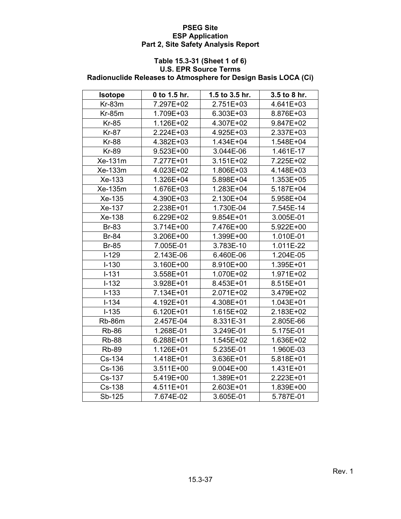#### **Table 15.3-31 (Sheet 1 of 6) U.S. EPR Source Terms Radionuclide Releases to Atmosphere for Design Basis LOCA (Ci)**

| <b>Isotope</b> | 0 to 1.5 hr. | 1.5 to 3.5 hr. | 3.5 to 8 hr. |
|----------------|--------------|----------------|--------------|
| $Kr-83m$       | 7.297E+02    | 2.751E+03      | 4.641E+03    |
| $Kr-85m$       | 1.709E+03    | 6.303E+03      | 8.876E+03    |
| <b>Kr-85</b>   | 1.126E+02    | 4.307E+02      | 9.847E+02    |
| <b>Kr-87</b>   | 2.224E+03    | 4.925E+03      | 2.337E+03    |
| <b>Kr-88</b>   | 4.382E+03    | 1.434E+04      | 1.548E+04    |
| <b>Kr-89</b>   | 9.523E+00    | 3.044E-06      | 1.461E-17    |
| Xe-131m        | 7.277E+01    | 3.151E+02      | 7.225E+02    |
| Xe-133m        | 4.023E+02    | 1.806E+03      | 4.148E+03    |
| Xe-133         | 1.326E+04    | 5.898E+04      | 1.353E+05    |
| Xe-135m        | 1.676E+03    | 1.283E+04      | 5.187E+04    |
| Xe-135         | 4.390E+03    | 2.130E+04      | 5.958E+04    |
| Xe-137         | 2.238E+01    | 1.730E-04      | 7.545E-14    |
| Xe-138         | 6.229E+02    | 9.854E+01      | 3.005E-01    |
| <b>Br-83</b>   | 3.714E+00    | 7.476E+00      | 5.922E+00    |
| <b>Br-84</b>   | 3.206E+00    | 1.399E+00      | 1.010E-01    |
| <b>Br-85</b>   | 7.005E-01    | 3.783E-10      | 1.011E-22    |
| $I-129$        | 2.143E-06    | 6.460E-06      | 1.204E-05    |
| $I-130$        | 3.160E+00    | 8.910E+00      | 1.395E+01    |
| $I-131$        | 3.558E+01    | 1.070E+02      | 1.971E+02    |
| $I-132$        | 3.928E+01    | 8.453E+01      | 8.515E+01    |
| $I-133$        | 7.134E+01    | 2.071E+02      | 3.479E+02    |
| $I - 134$      | 4.192E+01    | 4.308E+01      | 1.043E+01    |
| $I-135$        | 6.120E+01    | 1.615E+02      | 2.183E+02    |
| <b>Rb-86m</b>  | 2.457E-04    | 8.331E-31      | 2.805E-66    |
| <b>Rb-86</b>   | 1.268E-01    | 3.249E-01      | 5.175E-01    |
| <b>Rb-88</b>   | 6.288E+01    | 1.545E+02      | 1.636E+02    |
| <b>Rb-89</b>   | 1.126E+01    | 5.235E-01      | 1.960E-03    |
| Cs-134         | 1.418E+01    | 3.636E+01      | 5.818E+01    |
| Cs-136         | 3.511E+00    | 9.004E+00      | 1.431E+01    |
| Cs-137         | 5.419E+00    | 1.389E+01      | 2.223E+01    |
| Cs-138         | 4.511E+01    | 2.603E+01      | 1.839E+00    |
| Sb-125         | 7.674E-02    | 3.605E-01      | 5.787E-01    |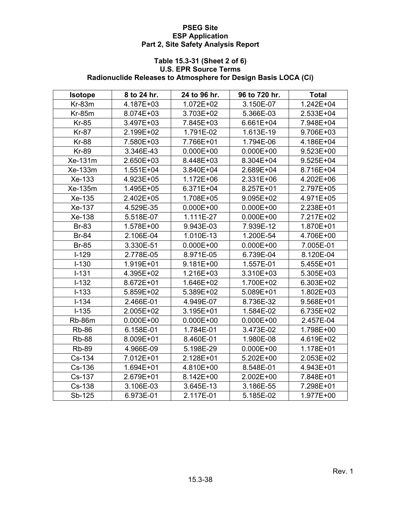#### **Table 15.3-31 (Sheet 2 of 6) U.S. EPR Source Terms Radionuclide Releases to Atmosphere for Design Basis LOCA (Ci)**

| <b>Isotope</b> | 8 to 24 hr.   | 24 to 96 hr.  | 96 to 720 hr. | <b>Total</b> |
|----------------|---------------|---------------|---------------|--------------|
| $Kr-83m$       | 4.187E+03     | 1.072E+02     | 3.150E-07     | 1.242E+04    |
| $Kr-85m$       | 8.074E+03     | 3.703E+02     | 5.366E-03     | 2.533E+04    |
| <b>Kr-85</b>   | 3.497E+03     | 7.845E+03     | 6.661E+04     | 7.948E+04    |
| <b>Kr-87</b>   | 2.199E+02     | 1.791E-02     | 1.613E-19     | 9.706E+03    |
| <b>Kr-88</b>   | 7.580E+03     | 7.766E+01     | 1.794E-06     | 4.186E+04    |
| <b>Kr-89</b>   | 3.346E-43     | $0.000E + 00$ | $0.000E + 00$ | 9.523E+00    |
| Xe-131m        | 2.650E+03     | 8.448E+03     | 8.304E+04     | 9.525E+04    |
| Xe-133m        | 1.551E+04     | 3.840E+04     | 2.689E+04     | 8.716E+04    |
| Xe-133         | 4.923E+05     | 1.172E+06     | 2.331E+06     | 4.202E+06    |
| Xe-135m        | 1.495E+05     | 6.371E+04     | 8.257E+01     | 2.797E+05    |
| Xe-135         | 2.402E+05     | 1.708E+05     | 9.095E+02     | 4.971E+05    |
| Xe-137         | 4.529E-35     | $0.000E + 00$ | $0.000E + 00$ | 2.238E+01    |
| Xe-138         | 5.518E-07     | 1.111E-27     | $0.000E + 00$ | 7.217E+02    |
| <b>Br-83</b>   | 1.578E+00     | 9.943E-03     | 7.939E-12     | 1.870E+01    |
| <b>Br-84</b>   | 2.106E-04     | 1.010E-13     | 1.200E-54     | 4.706E+00    |
| <b>Br-85</b>   | 3.330E-51     | $0.000E + 00$ | $0.000E + 00$ | 7.005E-01    |
| $I-129$        | 2.778E-05     | 8.971E-05     | 6.739E-04     | 8.120E-04    |
| $I-130$        | 1.919E+01     | 9.181E+00     | 1.557E-01     | 5.455E+01    |
| $I-131$        | 4.395E+02     | 1.216E+03     | 3.310E+03     | 5.305E+03    |
| $I-132$        | 8.672E+01     | 1.646E+02     | 1.700E+02     | 6.303E+02    |
| $I-133$        | 5.859E+02     | 5.389E+02     | 5.089E+01     | 1.802E+03    |
| $I - 134$      | 2.466E-01     | 4.949E-07     | 8.736E-32     | 9.568E+01    |
| $I-135$        | 2.005E+02     | 3.195E+01     | 1.584E-02     | 6.735E+02    |
| <b>Rb-86m</b>  | $0.000E + 00$ | $0.000E + 00$ | $0.000E + 00$ | 2.457E-04    |
| <b>Rb-86</b>   | 6.158E-01     | 1.784E-01     | 3.473E-02     | 1.798E+00    |
| <b>Rb-88</b>   | 8.009E+01     | 8.460E-01     | 1.980E-08     | 4.619E+02    |
| <b>Rb-89</b>   | 4.966E-09     | 5.198E-29     | $0.000E + 00$ | 1.178E+01    |
| Cs-134         | 7.012E+01     | 2.128E+01     | 5.202E+00     | 2.053E+02    |
| Cs-136         | 1.694E+01     | 4.810E+00     | 8.548E-01     | 4.943E+01    |
| Cs-137         | 2.679E+01     | 8.142E+00     | 2.002E+00     | 7.848E+01    |
| Cs-138         | 3.106E-03     | 3.645E-13     | 3.186E-55     | 7.298E+01    |
| Sb-125         | 6.973E-01     | 2.117E-01     | 5.185E-02     | 1.977E+00    |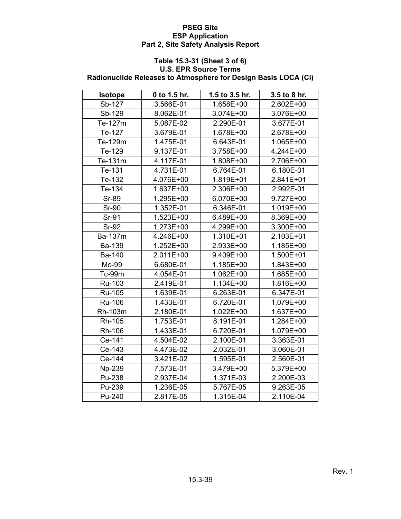#### **Table 15.3-31 (Sheet 3 of 6) U.S. EPR Source Terms Radionuclide Releases to Atmosphere for Design Basis LOCA (Ci)**

| <b>Isotope</b> | 0 to 1.5 hr. | 1.5 to 3.5 hr. | 3.5 to 8 hr. |
|----------------|--------------|----------------|--------------|
| Sb-127         | 3.566E-01    | 1.658E+00      | 2.602E+00    |
| Sb-129         | 8.062E-01    | 3.074E+00      | 3.076E+00    |
| Te-127m        | 5.087E-02    | 2.290E-01      | 3.677E-01    |
| Te-127         | 3.679E-01    | 1.678E+00      | 2.678E+00    |
| Te-129m        | 1.475E-01    | 6.643E-01      | 1.065E+00    |
| Te-129         | 9.137E-01    | 3.758E+00      | 4.244E+00    |
| Te-131m        | 4.117E-01    | 1.808E+00      | 2.706E+00    |
| Te-131         | 4.731E-01    | 6.764E-01      | 6.180E-01    |
| Te-132         | 4.076E+00    | 1.819E+01      | 2.841E+01    |
| Te-134         | 1.637E+00    | 2.306E+00      | 2.992E-01    |
| <b>Sr-89</b>   | 1.295E+00    | 6.070E+00      | 9.727E+00    |
| <b>Sr-90</b>   | 1.352E-01    | 6.346E-01      | 1.019E+00    |
| Sr-91          | 1.523E+00    | 6.489E+00      | 8.369E+00    |
| <b>Sr-92</b>   | 1.273E+00    | 4.299E+00      | 3.300E+00    |
| Ba-137m        | 4.246E+00    | 1.310E+01      | 2.103E+01    |
| Ba-139         | 1.252E+00    | 2.933E+00      | 1.185E+00    |
| Ba-140         | 2.011E+00    | 9.409E+00      | 1.500E+01    |
| Mo-99          | 6.680E-01    | 1.185E+00      | 1.843E+00    |
| Tc-99m         | 4.054E-01    | 1.062E+00      | 1.685E+00    |
| Ru-103         | 2.419E-01    | 1.134E+00      | 1.816E+00    |
| Ru-105         | 1.639E-01    | 6.263E-01      | 6.347E-01    |
| Ru-106         | 1.433E-01    | 6.720E-01      | 1.079E+00    |
| Rh-103m        | 2.180E-01    | 1.022E+00      | 1.637E+00    |
| Rh-105         | 1.753E-01    | 8.191E-01      | 1.284E+00    |
| Rh-106         | 1.433E-01    | 6.720E-01      | 1.079E+00    |
| Ce-141         | 4.504E-02    | 2.100E-01      | 3.363E-01    |
| Ce-143         | 4.473E-02    | 2.032E-01      | 3.060E-01    |
| Ce-144         | 3.421E-02    | 1.595E-01      | 2.560E-01    |
| Np-239         | 7.573E-01    | 3.479E+00      | 5.379E+00    |
| Pu-238         | 2.937E-04    | 1.371E-03      | 2.200E-03    |
| Pu-239         | 1.236E-05    | 5.767E-05      | 9.263E-05    |
| Pu-240         | 2.817E-05    | 1.315E-04      | 2.110E-04    |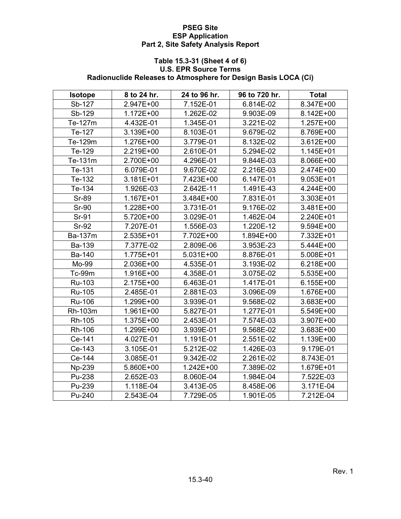#### **Table 15.3-31 (Sheet 4 of 6) U.S. EPR Source Terms Radionuclide Releases to Atmosphere for Design Basis LOCA (Ci)**

| <b>Isotope</b> | 8 to 24 hr. | 24 to 96 hr. | 96 to 720 hr. | <b>Total</b> |
|----------------|-------------|--------------|---------------|--------------|
| Sb-127         | 2.947E+00   | 7.152E-01    | 6.814E-02     | 8.347E+00    |
| Sb-129         | 1.172E+00   | 1.262E-02    | 9.903E-09     | 8.142E+00    |
| Te-127m        | 4.432E-01   | 1.345E-01    | 3.221E-02     | 1.257E+00    |
| Te-127         | 3.139E+00   | 8.103E-01    | 9.679E-02     | 8.769E+00    |
| Te-129m        | 1.276E+00   | 3.779E-01    | 8.132E-02     | 3.612E+00    |
| Te-129         | 2.219E+00   | 2.610E-01    | 5.294E-02     | 1.145E+01    |
| Te-131m        | 2.700E+00   | 4.296E-01    | 9.844E-03     | 8.066E+00    |
| Te-131         | 6.079E-01   | 9.670E-02    | 2.216E-03     | 2.474E+00    |
| Te-132         | 3.181E+01   | 7.423E+00    | 6.147E-01     | 9.053E+01    |
| Te-134         | 1.926E-03   | 2.642E-11    | 1.491E-43     | 4.244E+00    |
| <b>Sr-89</b>   | 1.167E+01   | 3.484E+00    | 7.831E-01     | 3.303E+01    |
| <b>Sr-90</b>   | 1.228E+00   | 3.731E-01    | 9.176E-02     | 3.481E+00    |
| Sr-91          | 5.720E+00   | 3.029E-01    | 1.462E-04     | 2.240E+01    |
| <b>Sr-92</b>   | 7.207E-01   | 1.556E-03    | 1.220E-12     | 9.594E+00    |
| Ba-137m        | 2.535E+01   | 7.702E+00    | 1.894E+00     | 7.332E+01    |
| Ba-139         | 7.377E-02   | 2.809E-06    | 3.953E-23     | 5.444E+00    |
| Ba-140         | 1.775E+01   | 5.031E+00    | 8.876E-01     | 5.008E+01    |
| Mo-99          | 2.036E+00   | 4.535E-01    | 3.193E-02     | 6.218E+00    |
| Tc-99m         | 1.916E+00   | 4.358E-01    | 3.075E-02     | 5.535E+00    |
| Ru-103         | 2.175E+00   | 6.463E-01    | 1.417E-01     | 6.155E+00    |
| <b>Ru-105</b>  | 2.485E-01   | 2.881E-03    | 3.096E-09     | 1.676E+00    |
| Ru-106         | 1.299E+00   | 3.939E-01    | 9.568E-02     | 3.683E+00    |
| Rh-103m        | 1.961E+00   | 5.827E-01    | 1.277E-01     | 5.549E+00    |
| Rh-105         | 1.375E+00   | 2.453E-01    | 7.574E-03     | 3.907E+00    |
| Rh-106         | 1.299E+00   | 3.939E-01    | 9.568E-02     | 3.683E+00    |
| Ce-141         | 4.027E-01   | 1.191E-01    | 2.551E-02     | 1.139E+00    |
| Ce-143         | 3.105E-01   | 5.212E-02    | 1.426E-03     | 9.179E-01    |
| Ce-144         | 3.085E-01   | 9.342E-02    | 2.261E-02     | 8.743E-01    |
| Np-239         | 5.860E+00   | 1.242E+00    | 7.389E-02     | 1.679E+01    |
| Pu-238         | 2.652E-03   | 8.060E-04    | 1.984E-04     | 7.522E-03    |
| Pu-239         | 1.118E-04   | 3.413E-05    | 8.458E-06     | 3.171E-04    |
| Pu-240         | 2.543E-04   | 7.729E-05    | 1.901E-05     | 7.212E-04    |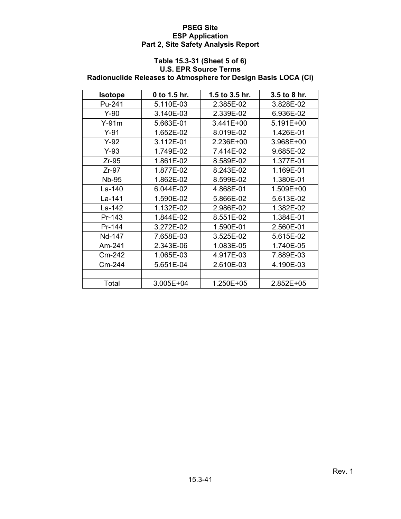#### **Table 15.3-31 (Sheet 5 of 6) U.S. EPR Source Terms Radionuclide Releases to Atmosphere for Design Basis LOCA (Ci)**

| <b>Isotope</b> | 0 to 1.5 hr. | 1.5 to $3.5$ hr. | $3.5$ to 8 hr. |
|----------------|--------------|------------------|----------------|
| Pu-241         | 5.110E-03    |                  | 3.828E-02      |
| $Y-90$         | 3.140E-03    | 2.339E-02        | 6.936E-02      |
| $Y-91m$        | 5.663E-01    | 3.441E+00        | 5.191E+00      |
| $Y-91$         | 1.652E-02    | 8.019E-02        | 1.426E-01      |
| $Y-92$         | 3.112E-01    | 2.236E+00        | 3.968E+00      |
| $Y-93$         | 1.749E-02    | 7.414E-02        | 9.685E-02      |
| $Zr-95$        | 1.861E-02    | 8.589E-02        | 1.377E-01      |
| $Zr-97$        | 1.877E-02    | 8.243E-02        | 1.169E-01      |
| Nb-95          | 1.862E-02    | 8.599E-02        | 1.380E-01      |
| La-140         | 6.044E-02    | 4.868E-01        | 1.509E+00      |
| La-141         | 1.590E-02    | 5.866E-02        | 5.613E-02      |
| La-142         | 1.132E-02    | 2.986E-02        | 1.382E-02      |
| Pr-143         | 1.844E-02    | 8.551E-02        | 1.384E-01      |
| Pr-144         | 3.272E-02    | 1.590E-01        | 2.560E-01      |
| Nd-147         | 7.658E-03    | 3.525E-02        | 5.615E-02      |
| Am-241         | 2.343E-06    | 1.083E-05        | 1.740E-05      |
| Cm-242         | 1.065E-03    | 4.917E-03        | 7.889E-03      |
| Cm-244         | 5.651E-04    | 2.610E-03        | 4.190E-03      |
|                |              |                  |                |
| Total          | 3.005E+04    | 1.250E+05        | 2.852E+05      |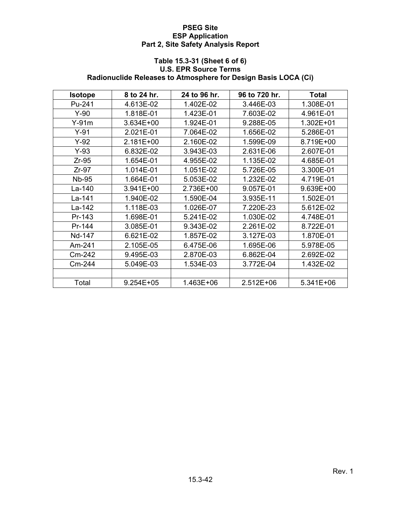## **Table 15.3-31 (Sheet 6 of 6) U.S. EPR Source Terms Radionuclide Releases to Atmosphere for Design Basis LOCA (Ci)**

| <b>Isotope</b> | 8 to 24 hr.            | 24 to 96 hr. | 96 to 720 hr. | <b>Total</b> |
|----------------|------------------------|--------------|---------------|--------------|
| Pu-241         | 4.613E-02              | 1.402E-02    | 3.446E-03     | 1.308E-01    |
| $Y-90$         | 1.818E-01              | 1.423E-01    | 7.603E-02     | 4.961E-01    |
| $Y-91m$        | 3.634E+00              | 1.924E-01    | 9.288E-05     | 1.302E+01    |
| $Y-91$         | 2.021E-01              | 7.064E-02    | 1.656E-02     | 5.286E-01    |
| $Y-92$         | 2.181E+00              | 2.160E-02    | 1.599E-09     | 8.719E+00    |
| $Y-93$         | 6.832E-02              | 3.943E-03    | 2.631E-06     | 2.607E-01    |
| $Zr-95$        | 1.654E-01              | 4.955E-02    | 1.135E-02     | 4.685E-01    |
| $Zr-97$        | 1.014E-01              | 1.051E-02    | 5.726E-05     | 3.300E-01    |
| <b>Nb-95</b>   | 1.664E-01<br>5.053E-02 |              | 1.232E-02     | 4.719E-01    |
| La-140         | 3.941E+00              | 2.736E+00    | 9.057E-01     | 9.639E+00    |
| La-141         | 1.940E-02              | 1.590E-04    | 3.935E-11     | 1.502E-01    |
| La-142         | 1.118E-03              | 1.026E-07    | 7.220E-23     | 5.612E-02    |
| Pr-143         | 1.698E-01              | 5.241E-02    | 1.030E-02     | 4.748E-01    |
| Pr-144         | 3.085E-01              | 9.343E-02    | 2.261E-02     | 8.722E-01    |
| Nd-147         | 6.621E-02              | 1.857E-02    | 3.127E-03     | 1.870E-01    |
| Am-241         | 2.105E-05              | 6.475E-06    | 1.695E-06     | 5.978E-05    |
| Cm-242         | 9.495E-03              | 2.870E-03    | 6.862E-04     | 2.692E-02    |
| Cm-244         | 5.049E-03              | 1.534E-03    | 3.772E-04     | 1.432E-02    |
|                |                        |              |               |              |
| Total          | 9.254E+05              | 1.463E+06    | 2.512E+06     | 5.341E+06    |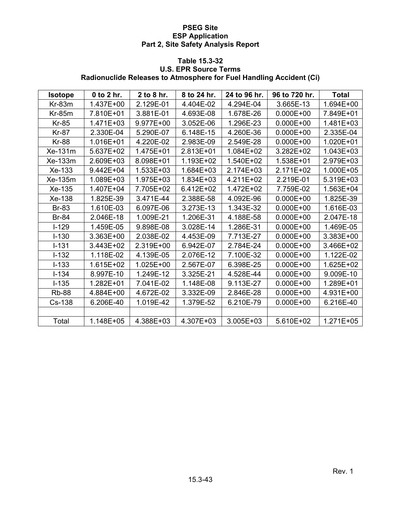## **Table 15.3-32 U.S. EPR Source Terms Radionuclide Releases to Atmosphere for Fuel Handling Accident (Ci)**

| <b>Isotope</b> | 0 to 2 hr. | 2 to 8 hr. | 8 to 24 hr. | 24 to 96 hr. | 96 to 720 hr. | <b>Total</b> |
|----------------|------------|------------|-------------|--------------|---------------|--------------|
| $Kr-83m$       | 1.437E+00  | 2.129E-01  | 4.404E-02   | 4.294E-04    | 3.665E-13     | 1.694E+00    |
| $Kr-85m$       | 7.810E+01  | 3.881E-01  | 4.693E-08   | 1.678E-26    | $0.000E + 00$ | 7.849E+01    |
| <b>Kr-85</b>   | 1.471E+03  | 9.977E+00  | 3.052E-06   | 1.296E-23    | $0.000E + 00$ | 1.481E+03    |
| <b>Kr-87</b>   | 2.330E-04  | 5.290E-07  | 6.148E-15   | 4.260E-36    | $0.000E + 00$ | 2.335E-04    |
| <b>Kr-88</b>   | 1.016E+01  | 4.220E-02  | 2.983E-09   | 2.549E-28    | $0.000E + 00$ | 1.020E+01    |
| Xe-131m        | 5.637E+02  | 1.475E+01  | 2.813E+01   | 1.084E+02    | 3.282E+02     | 1.043E+03    |
| Xe-133m        | 2.609E+03  | 8.098E+01  | 1.193E+02   | 1.540E+02    | 1.538E+01     | 2.979E+03    |
| Xe-133         | 9.442E+04  | 1.533E+03  | 1.684E+03   | 2.174E+03    | 2.171E+02     | 1.000E+05    |
| Xe-135m        | 1.089E+03  | 1.975E+03  | 1.834E+03   | 4.211E+02    | 2.219E-01     | 5.319E+03    |
| Xe-135         | 1.407E+04  | 7.705E+02  | 6.412E+02   | 1.472E+02    | 7.759E-02     | 1.563E+04    |
| Xe-138         | 1.825E-39  | 3.471E-44  | 2.388E-58   | 4.092E-96    | $0.000E + 00$ | 1.825E-39    |
| <b>Br-83</b>   | 1.610E-03  | 6.097E-06  | 3.273E-13   | 1.343E-32    | $0.000E + 00$ | 1.616E-03    |
| <b>Br-84</b>   | 2.046E-18  | 1.009E-21  | 1.206E-31   | 4.188E-58    | $0.000E + 00$ | 2.047E-18    |
| $I-129$        | 1.459E-05  | 9.898E-08  | 3.028E-14   | 1.286E-31    | $0.000E + 00$ | 1.469E-05    |
| $I - 130$      | 3.363E+00  | 2.038E-02  | 4.453E-09   | 7.713E-27    | $0.000E + 00$ | 3.383E+00    |
| $I-131$        | 3.443E+02  | 2.319E+00  | 6.942E-07   | 2.784E-24    | $0.000E + 00$ | 3.466E+02    |
| $I - 132$      | 1.118E-02  | 4.139E-05  | 2.076E-12   | 7.100E-32    | $0.000E + 00$ | 1.122E-02    |
| $I - 133$      | 1.615E+02  | 1.025E+00  | 2.567E-07   | 6.398E-25    | $0.000E + 00$ | 1.625E+02    |
| $I - 134$      | 8.997E-10  | 1.249E-12  | 3.325E-21   | 4.528E-44    | $0.000E + 00$ | 9.009E-10    |
| $I - 135$      | 1.282E+01  | 7.041E-02  | 1.148E-08   | 9.113E-27    | $0.000E + 00$ | 1.289E+01    |
| <b>Rb-88</b>   | 4.884E+00  | 4.672E-02  | 3.332E-09   | 2.846E-28    | $0.000E + 00$ | 4.931E+00    |
| Cs-138         | 6.206E-40  | 1.019E-42  | 1.379E-52   | 6.210E-79    | $0.000E + 00$ | 6.216E-40    |
|                |            |            |             |              |               |              |
| Total          | 1.148E+05  | 4.388E+03  | 4.307E+03   | 3.005E+03    | 5.610E+02     | 1.271E+05    |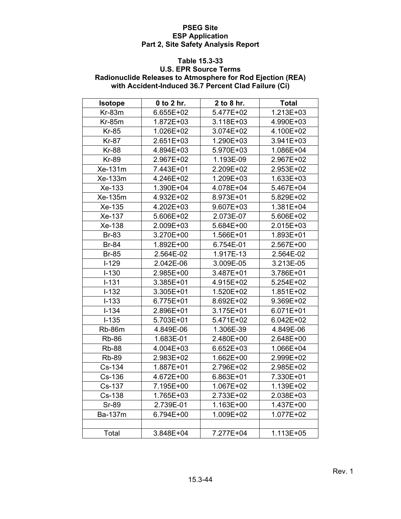#### **Table 15.3-33**

## **U.S. EPR Source Terms Radionuclide Releases to Atmosphere for Rod Ejection (REA) with Accident-Induced 36.7 Percent Clad Failure (Ci)**

| <b>Isotope</b> | 0 to 2 hr. | 2 to 8 hr. | <b>Total</b> |
|----------------|------------|------------|--------------|
| $Kr-83m$       | 6.655E+02  | 5.477E+02  | 1.213E+03    |
| <b>Kr-85m</b>  | 1.872E+03  | 3.118E+03  | 4.990E+03    |
| <b>Kr-85</b>   | 1.026E+02  | 3.074E+02  | 4.100E+02    |
| <b>Kr-87</b>   | 2.651E+03  | 1.290E+03  | 3.941E+03    |
| <b>Kr-88</b>   | 4.894E+03  | 5.970E+03  | 1.086E+04    |
| <b>Kr-89</b>   | 2.967E+02  | 1.193E-09  | 2.967E+02    |
| Xe-131m        | 7.443E+01  | 2.209E+02  | 2.953E+02    |
| Xe-133m        | 4.246E+02  | 1.209E+03  | 1.633E+03    |
| Xe-133         | 1.390E+04  | 4.078E+04  | 5.467E+04    |
| Xe-135m        | 4.932E+02  | 8.973E+01  | 5.829E+02    |
| Xe-135         | 4.202E+03  | 9.607E+03  | 1.381E+04    |
| Xe-137         | 5.606E+02  | 2.073E-07  | 5.606E+02    |
| Xe-138         | 2.009E+03  | 5.684E+00  | 2.015E+03    |
| <b>Br-83</b>   | 3.270E+00  | 1.566E+01  | 1.893E+01    |
| <b>Br-84</b>   | 1.892E+00  | 6.754E-01  | 2.567E+00    |
| <b>Br-85</b>   | 2.564E-02  | 1.917E-13  | 2.564E-02    |
| $I-129$        | 2.042E-06  | 3.009E-05  | 3.213E-05    |
| $I-130$        | 2.985E+00  | 3.487E+01  | 3.786E+01    |
| $I-131$        | 3.385E+01  | 4.915E+02  | 5.254E+02    |
| $I-132$        | 3.305E+01  | 1.520E+02  | 1.851E+02    |
| $I-133$        | 6.775E+01  | 8.692E+02  | 9.369E+02    |
| $I-134$        | 2.896E+01  | 3.175E+01  | 6.071E+01    |
| $I-135$        | 5.703E+01  | 5.471E+02  | 6.042E+02    |
| Rb-86m         | 4.849E-06  | 1.306E-39  | 4.849E-06    |
| <b>Rb-86</b>   | 1.683E-01  | 2.480E+00  | 2.648E+00    |
| <b>Rb-88</b>   | 4.004E+03  | 6.652E+03  | 1.066E+04    |
| <b>Rb-89</b>   | 2.983E+02  | 1.662E+00  | 2.999E+02    |
| Cs-134         | 1.887E+01  | 2.796E+02  | 2.985E+02    |
| Cs-136         | 4.672E+00  | 6.863E+01  | 7.330E+01    |
| Cs-137         | 7.195E+00  | 1.067E+02  | 1.139E+02    |
| Cs-138         | 1.765E+03  | 2.733E+02  | 2.038E+03    |
| <b>Sr-89</b>   | 2.739E-01  | 1.163E+00  | 1.437E+00    |
| Ba-137m        | 6.794E+00  | 1.009E+02  | 1.077E+02    |
|                |            |            |              |
| Total          | 3.848E+04  | 7.277E+04  | 1.113E+05    |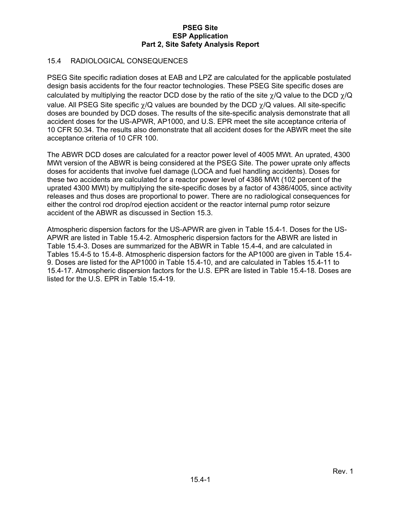## 15.4 RADIOLOGICAL CONSEQUENCES

PSEG Site specific radiation doses at EAB and LPZ are calculated for the applicable postulated design basis accidents for the four reactor technologies. These PSEG Site specific doses are calculated by multiplying the reactor DCD dose by the ratio of the site  $\gamma/Q$  value to the DCD  $\gamma/Q$ value. All PSEG Site specific  $\chi$ /Q values are bounded by the DCD  $\chi$ /Q values. All site-specific doses are bounded by DCD doses. The results of the site-specific analysis demonstrate that all accident doses for the US-APWR, AP1000, and U.S. EPR meet the site acceptance criteria of 10 CFR 50.34. The results also demonstrate that all accident doses for the ABWR meet the site acceptance criteria of 10 CFR 100.

The ABWR DCD doses are calculated for a reactor power level of 4005 MWt. An uprated, 4300 MWt version of the ABWR is being considered at the PSEG Site. The power uprate only affects doses for accidents that involve fuel damage (LOCA and fuel handling accidents). Doses for these two accidents are calculated for a reactor power level of 4386 MWt (102 percent of the uprated 4300 MWt) by multiplying the site-specific doses by a factor of 4386/4005, since activity releases and thus doses are proportional to power. There are no radiological consequences for either the control rod drop/rod ejection accident or the reactor internal pump rotor seizure accident of the ABWR as discussed in Section 15.3.

Atmospheric dispersion factors for the US-APWR are given in Table 15.4-1. Doses for the US-APWR are listed in Table 15.4-2. Atmospheric dispersion factors for the ABWR are listed in Table 15.4-3. Doses are summarized for the ABWR in Table 15.4-4, and are calculated in Tables 15.4-5 to 15.4-8. Atmospheric dispersion factors for the AP1000 are given in Table 15.4- 9. Doses are listed for the AP1000 in Table 15.4-10, and are calculated in Tables 15.4-11 to 15.4-17. Atmospheric dispersion factors for the U.S. EPR are listed in Table 15.4-18. Doses are listed for the U.S. EPR in Table 15.4-19.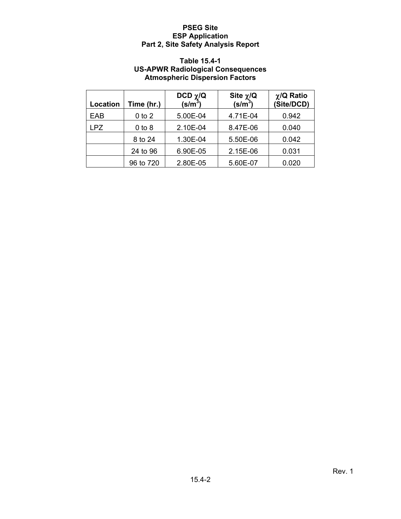### **Table 15.4-1 US-APWR Radiological Consequences Atmospheric Dispersion Factors**

| Location   | Time (hr.) | DCD $\chi$ /Q<br>(s/m <sup>3</sup> ) | Site $\chi/\mathbf{Q}$<br>(s/m <sup>3</sup> ) | $\chi$ /Q Ratio<br>(Site/DCD) |
|------------|------------|--------------------------------------|-----------------------------------------------|-------------------------------|
| EAB        | $0$ to $2$ | 5.00E-04                             | 4.71E-04                                      | 0.942                         |
| <b>LPZ</b> | $0$ to $8$ | 2.10E-04                             | 8.47E-06                                      | 0.040                         |
|            | 8 to 24    | 1.30E-04                             | 5.50E-06                                      | 0.042                         |
|            | 24 to 96   | 6.90E-05                             | 2.15E-06                                      | 0.031                         |
|            | 96 to 720  | 2.80E-05                             | 5.60E-07                                      | 0.020                         |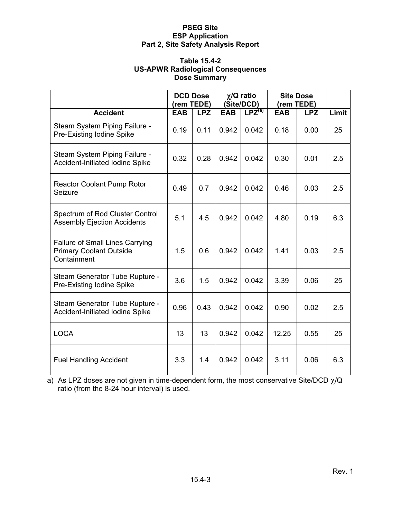#### **Table 15.4-2 US-APWR Radiological Consequences Dose Summary**

|                                                                                         | <b>DCD Dose</b><br>(rem TEDE) |            | $\chi$ /Q ratio<br>(Site/DCD) |             | <b>Site Dose</b><br>(rem TEDE) |            |       |
|-----------------------------------------------------------------------------------------|-------------------------------|------------|-------------------------------|-------------|--------------------------------|------------|-------|
| <b>Accident</b>                                                                         | <b>EAB</b>                    | <b>LPZ</b> | <b>EAB</b>                    | $LPZ^{(a)}$ | <b>EAB</b>                     | <b>LPZ</b> | Limit |
| Steam System Piping Failure -<br>Pre-Existing Iodine Spike                              | 0.19                          | 0.11       | 0.942                         | 0.042       | 0.18                           | 0.00       | 25    |
| Steam System Piping Failure -<br><b>Accident-Initiated Iodine Spike</b>                 | 0.32                          | 0.28       | 0.942                         | 0.042       | 0.30                           | 0.01       | 2.5   |
| <b>Reactor Coolant Pump Rotor</b><br>Seizure                                            | 0.49                          | 0.7        | 0.942                         | 0.042       | 0.46                           | 0.03       | 2.5   |
| Spectrum of Rod Cluster Control<br><b>Assembly Ejection Accidents</b>                   | 5.1                           | 4.5        | 0.942                         | 0.042       | 4.80                           | 0.19       | 6.3   |
| <b>Failure of Small Lines Carrying</b><br><b>Primary Coolant Outside</b><br>Containment | 1.5                           | 0.6        | 0.942                         | 0.042       | 1.41                           | 0.03       | 2.5   |
| Steam Generator Tube Rupture -<br>Pre-Existing Iodine Spike                             | 3.6                           | 1.5        | 0.942                         | 0.042       | 3.39                           | 0.06       | 25    |
| Steam Generator Tube Rupture -<br><b>Accident-Initiated Iodine Spike</b>                | 0.96                          | 0.43       | 0.942                         | 0.042       | 0.90                           | 0.02       | 2.5   |
| <b>LOCA</b>                                                                             | 13                            | 13         | 0.942                         | 0.042       | 12.25                          | 0.55       | 25    |
| <b>Fuel Handling Accident</b>                                                           | 3.3                           | 1.4        | 0.942                         | 0.042       | 3.11                           | 0.06       | 6.3   |

a) As LPZ doses are not given in time-dependent form, the most conservative Site/DCD  $\chi$ /Q ratio (from the 8-24 hour interval) is used.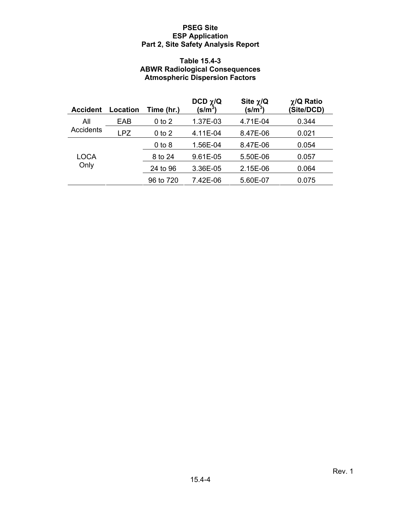### **Table 15.4-3 ABWR Radiological Consequences Atmospheric Dispersion Factors**

| <b>Accident</b> | <b>Location</b> | Time (hr.) | DCD $\chi$ /Q<br>(s/m $^3\,$ | Site $\chi$ /Q<br>(s/m $^3$ ) | $\chi$ /Q Ratio<br>(Site/DCD) |
|-----------------|-----------------|------------|------------------------------|-------------------------------|-------------------------------|
| All             | EAB             | $0$ to $2$ | 1.37E-03                     | 4.71E-04                      | 0.344                         |
| Accidents       | LPZ             | $0$ to $2$ | 4.11E-04                     | 8.47E-06                      | 0.021                         |
|                 |                 | $0$ to $8$ | 1.56E-04                     | 8.47E-06                      | 0.054                         |
| LOCA            |                 | 8 to 24    | 9.61E-05                     | 5.50E-06                      | 0.057                         |
| Only            |                 | 24 to 96   | 3.36E-05                     | 2.15E-06                      | 0.064                         |
|                 |                 | 96 to 720  | 7.42E-06                     | 5.60E-07                      | 0.075                         |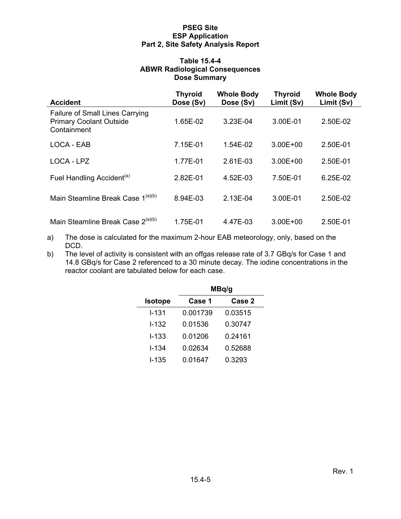#### **Table 15.4-4 ABWR Radiological Consequences Dose Summary**

| <b>Accident</b>                                                                  | <b>Thyroid</b><br>Dose (Sv) | <b>Whole Body</b><br>Dose (Sv) | <b>Thyroid</b><br>Limit (Sv) | <b>Whole Body</b><br>Limit (Sv) |
|----------------------------------------------------------------------------------|-----------------------------|--------------------------------|------------------------------|---------------------------------|
| Failure of Small Lines Carrying<br><b>Primary Coolant Outside</b><br>Containment | 1.65E-02                    | 3.23E-04                       | 3.00E-01                     | 2.50E-02                        |
| LOCA - EAB                                                                       | 7.15E-01                    | $1.54E-02$                     | $3.00E + 00$                 | 2.50E-01                        |
| LOCA - LPZ                                                                       | 1.77E-01                    | 2.61E-03                       | $3.00E + 00$                 | 2.50E-01                        |
| Fuel Handling Accident <sup>(a)</sup>                                            | 2.82E-01                    | 4.52E-03                       | 7.50E-01                     | 6.25E-02                        |
| Main Steamline Break Case 1 <sup>(a)(b)</sup>                                    | 8.94E-03                    | 2.13E-04                       | 3.00E-01                     | 2.50E-02                        |
| Main Steamline Break Case 2 <sup>(a)(b)</sup>                                    | 1.75E-01                    | 4.47E-03                       | $3.00E + 00$                 | 2.50E-01                        |

- a) The dose is calculated for the maximum 2-hour EAB meteorology, only, based on the DCD.
- b) The level of activity is consistent with an offgas release rate of 3.7 GBq/s for Case 1 and 14.8 GBq/s for Case 2 referenced to a 30 minute decay. The iodine concentrations in the reactor coolant are tabulated below for each case.

|                | MBq/g    |         |  |  |  |
|----------------|----------|---------|--|--|--|
| <b>Isotope</b> | Case 1   | Case 2  |  |  |  |
| l-131          | 0.001739 | 0.03515 |  |  |  |
| $I - 132$      | 0.01536  | 0.30747 |  |  |  |
| I-133          | 0.01206  | 0.24161 |  |  |  |
| I-134          | 0.02634  | 0.52688 |  |  |  |
| <b>I-135</b>   | 0.01647  | 0.3293  |  |  |  |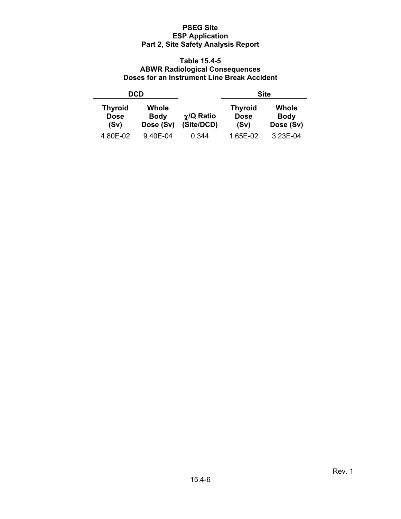### **Table 15.4-5 ABWR Radiological Consequences Doses for an Instrument Line Break Accident**

|                                                                            | DCD      |                               |                                       | <b>Site</b>                       |
|----------------------------------------------------------------------------|----------|-------------------------------|---------------------------------------|-----------------------------------|
| <b>Thyroid</b><br>Whole<br><b>Dose</b><br><b>Body</b><br>Dose (Sv)<br>(Sv) |          | $\chi$ /Q Ratio<br>(Site/DCD) | <b>Thyroid</b><br><b>Dose</b><br>(Sv) | Whole<br><b>Body</b><br>Dose (Sv) |
| 4.80E-02                                                                   | 9.40E-04 | 0.344                         | 1.65E-02                              | 3.23E-04                          |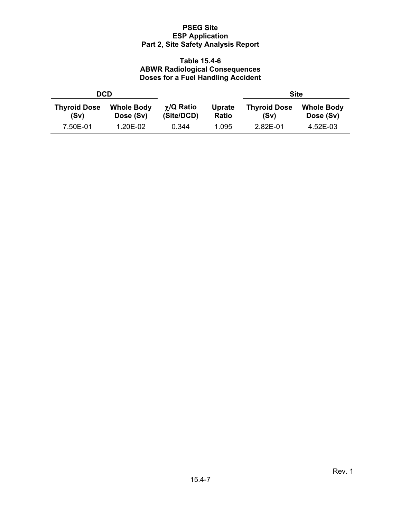### **Table 15.4-6 ABWR Radiological Consequences Doses for a Fuel Handling Accident**

|                             | DCD                            |                                 |                 | <b>Site</b>                 |                                |
|-----------------------------|--------------------------------|---------------------------------|-----------------|-----------------------------|--------------------------------|
| <b>Thyroid Dose</b><br>(Sv) | <b>Whole Body</b><br>Dose (Sv) | $\gamma$ /Q Ratio<br>(Site/DCD) | Uprate<br>Ratio | <b>Thyroid Dose</b><br>(Sv) | <b>Whole Body</b><br>Dose (Sv) |
| 7.50E-01                    | 1.20E-02                       | 0.344                           | 1.095           | 2.82E-01                    | 4.52E-03                       |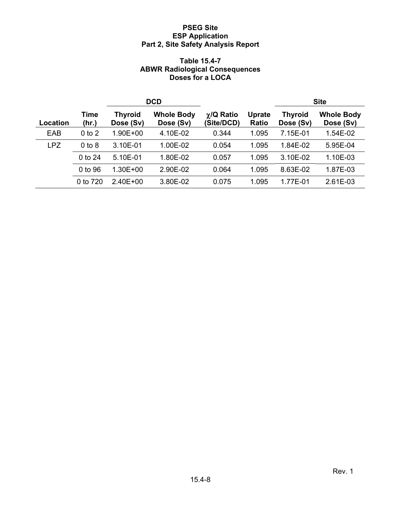### **Table 15.4-7 ABWR Radiological Consequences Doses for a LOCA**

|                 |               | <b>DCD</b>                  |                                |                                 |                               | <b>Site</b>                 |                                |
|-----------------|---------------|-----------------------------|--------------------------------|---------------------------------|-------------------------------|-----------------------------|--------------------------------|
| <b>Location</b> | Time<br>(hr.) | <b>Thyroid</b><br>Dose (Sv) | <b>Whole Body</b><br>Dose (Sv) | $\gamma$ /Q Ratio<br>(Site/DCD) | <b>Uprate</b><br><b>Ratio</b> | <b>Thyroid</b><br>Dose (Sv) | <b>Whole Body</b><br>Dose (Sv) |
| EAB             | $0$ to $2$    | 1.90E+00                    | 4.10E-02                       | 0.344                           | 1.095                         | 7.15E-01                    | 1.54E-02                       |
| <b>LPZ</b>      | $0$ to $8$    | 3.10E-01                    | 1.00E-02                       | 0.054                           | 1.095                         | 1.84E-02                    | 5.95E-04                       |
|                 | 0 to 24       | 5.10E-01                    | 1.80E-02                       | 0.057                           | 1.095                         | 3.10E-02                    | 1.10E-03                       |
|                 | 0 to 96       | $1.30E + 00$                | 2.90E-02                       | 0.064                           | 1.095                         | 8.63E-02                    | 1.87E-03                       |
|                 | 0 to 720      | $2.40E + 00$                | 3.80E-02                       | 0.075                           | 1.095                         | 1.77E-01                    | 2.61E-03                       |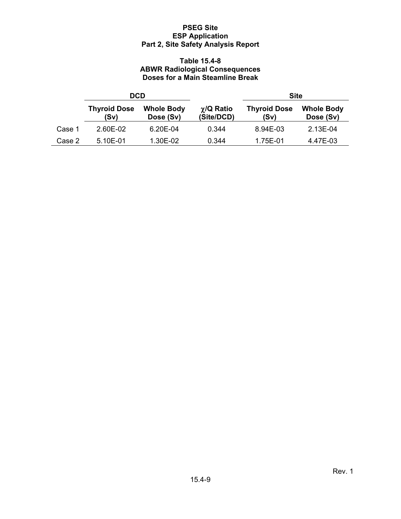### **Table 15.4-8 ABWR Radiological Consequences Doses for a Main Steamline Break**

|        | <b>DCD</b>                  |                                |                                 | <b>Site</b>                 |                                |  |
|--------|-----------------------------|--------------------------------|---------------------------------|-----------------------------|--------------------------------|--|
|        | <b>Thyroid Dose</b><br>(Sv) | <b>Whole Body</b><br>Dose (Sv) | $\gamma$ /Q Ratio<br>(Site/DCD) | <b>Thyroid Dose</b><br>(Sv) | <b>Whole Body</b><br>Dose (Sv) |  |
| Case 1 | 2.60E-02                    | 6.20E-04                       | 0.344                           | 8.94E-03                    | 2.13E-04                       |  |
| Case 2 | 5.10E-01                    | 1.30E-02                       | 0.344                           | 1.75E-01                    | 4.47E-03                       |  |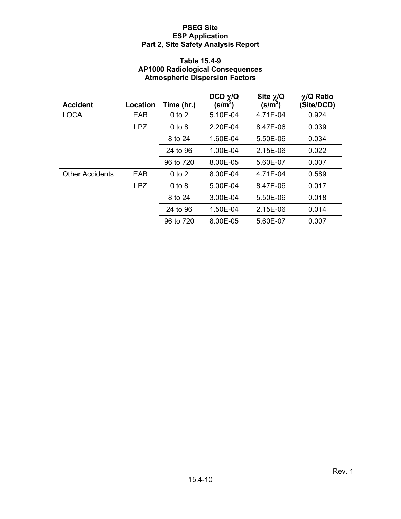### **Table 15.4-9 AP1000 Radiological Consequences Atmospheric Dispersion Factors**

| <b>Accident</b>        | Location   | Time (hr.) | DCD $\chi$ /Q<br>(s/m <sup>3</sup> ) | Site $\chi/Q$<br>(s/m <sup>3</sup> ) | $\chi$ /Q Ratio<br>(Site/DCD) |
|------------------------|------------|------------|--------------------------------------|--------------------------------------|-------------------------------|
| <b>LOCA</b>            | EAB        | $0$ to $2$ | 5.10E-04                             | 4.71E-04                             | 0.924                         |
|                        | <b>LPZ</b> | $0$ to $8$ | 2.20E-04                             | 8.47E-06                             | 0.039                         |
|                        |            | 8 to 24    | 1.60E-04                             | 5.50E-06                             | 0.034                         |
|                        |            | 24 to 96   | 1.00E-04                             | 2.15E-06                             | 0.022                         |
|                        |            | 96 to 720  | 8.00E-05                             | 5.60E-07                             | 0.007                         |
| <b>Other Accidents</b> | EAB        | $0$ to $2$ | 8.00E-04                             | 4.71E-04                             | 0.589                         |
|                        | <b>LPZ</b> | $0$ to $8$ | 5.00E-04                             | 8.47E-06                             | 0.017                         |
|                        |            | 8 to 24    | 3.00E-04                             | 5.50E-06                             | 0.018                         |
|                        |            | 24 to 96   | 1.50E-04                             | 2.15E-06                             | 0.014                         |
|                        |            | 96 to 720  | 8.00E-05                             | 5.60E-07                             | 0.007                         |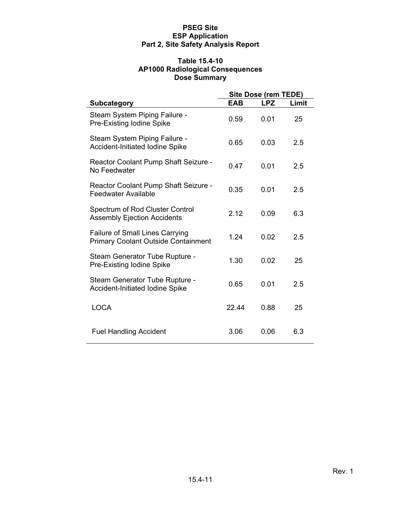### **Table 15.4-10 AP1000 Radiological Consequences Dose Summary**

|                                                                                      |            | Site Dose (rem TEDE) |       |
|--------------------------------------------------------------------------------------|------------|----------------------|-------|
| <b>Subcategory</b>                                                                   | <b>EAB</b> | <b>LPZ</b>           | Limit |
| Steam System Piping Failure -<br>Pre-Existing Iodine Spike                           | 0.59       | 0.01                 | 25    |
| Steam System Piping Failure -<br><b>Accident-Initiated Iodine Spike</b>              | 0.65       | 0.03                 | 2.5   |
| Reactor Coolant Pump Shaft Seizure -<br>No Feedwater                                 | 0.47       | 0.01                 | 2.5   |
| Reactor Coolant Pump Shaft Seizure -<br><b>Feedwater Available</b>                   | 0.35       | 0.01                 | 2.5   |
| Spectrum of Rod Cluster Control<br><b>Assembly Ejection Accidents</b>                | 2.12       | 0.09                 | 6.3   |
| <b>Failure of Small Lines Carrying</b><br><b>Primary Coolant Outside Containment</b> | 1.24       | 0.02                 | 2.5   |
| Steam Generator Tube Rupture -<br>Pre-Existing Iodine Spike                          | 1.30       | 0.02                 | 25    |
| Steam Generator Tube Rupture -<br><b>Accident-Initiated Iodine Spike</b>             | 0.65       | 0.01                 | 2.5   |
| <b>LOCA</b>                                                                          | 22.44      | 0.88                 | 25    |
| <b>Fuel Handling Accident</b>                                                        | 3.06       | 0.06                 | 6.3   |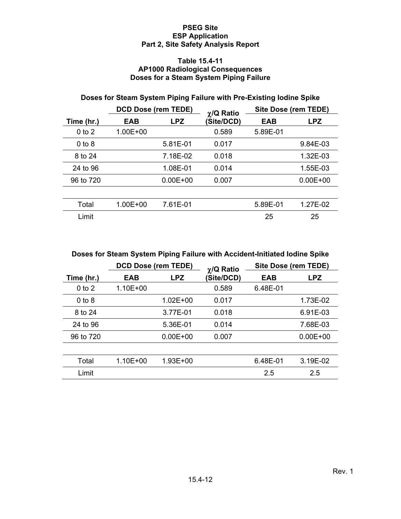#### **Table 15.4-11 AP1000 Radiological Consequences Doses for a Steam System Piping Failure**

# **Doses for Steam System Piping Failure with Pre-Existing Iodine Spike**

|            | <b>DCD Dose (rem TEDE)</b> |              | $\chi$ /Q Ratio | Site Dose (rem TEDE) |              |  |
|------------|----------------------------|--------------|-----------------|----------------------|--------------|--|
| Time (hr.) | <b>EAB</b>                 | <b>LPZ</b>   | (Site/DCD)      | EAB                  | <b>LPZ</b>   |  |
| $0$ to $2$ | $1.00E + 00$               |              | 0.589           | 5.89E-01             |              |  |
| $0$ to $8$ |                            | 5.81E-01     | 0.017           |                      | 9.84E-03     |  |
| 8 to 24    |                            | 7.18E-02     | 0.018           |                      | 1.32E-03     |  |
| 24 to 96   |                            | 1.08E-01     | 0.014           |                      | 1.55E-03     |  |
| 96 to 720  |                            | $0.00E + 00$ | 0.007           |                      | $0.00E + 00$ |  |
|            |                            |              |                 |                      |              |  |
| Total      | 1.00E+00                   | 7.61E-01     |                 | 5.89E-01             | 1.27E-02     |  |
| Limit      |                            |              |                 | 25                   | 25           |  |

**Doses for Steam System Piping Failure with Accident-Initiated Iodine Spike** 

|            | <b>DCD Dose (rem TEDE)</b> |              | $\chi$ /Q Ratio | Site Dose (rem TEDE) |              |  |
|------------|----------------------------|--------------|-----------------|----------------------|--------------|--|
| Time (hr.) | <b>EAB</b>                 | LPZ.         | (Site/DCD)      | EAB                  | <b>LPZ</b>   |  |
| $0$ to $2$ | $1.10E + 00$               |              | 0.589           | 6.48E-01             |              |  |
| $0$ to $8$ |                            | 1.02E+00     | 0.017           |                      | 1.73E-02     |  |
| 8 to 24    |                            | 3.77E-01     | 0.018           |                      | 6.91E-03     |  |
| 24 to 96   |                            | 5.36E-01     | 0.014           |                      | 7.68E-03     |  |
| 96 to 720  |                            | $0.00E + 00$ | 0.007           |                      | $0.00E + 00$ |  |
|            |                            |              |                 |                      |              |  |
| Total      | $1.10E + 00$               | 1.93E+00     |                 | 6.48E-01             | 3.19E-02     |  |
| Limit      |                            |              |                 | 2.5                  | 2.5          |  |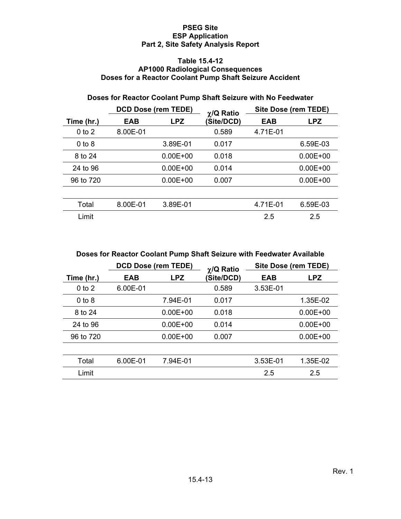#### **Table 15.4-12 AP1000 Radiological Consequences Doses for a Reactor Coolant Pump Shaft Seizure Accident**

# **Doses for Reactor Coolant Pump Shaft Seizure with No Feedwater**

|            | <b>DCD Dose (rem TEDE)</b> |              | $\gamma$ /Q Ratio |          |              |  | Site Dose (rem TEDE) |
|------------|----------------------------|--------------|-------------------|----------|--------------|--|----------------------|
| Time (hr.) | <b>EAB</b>                 | <b>LPZ</b>   | (Site/DCD)        | EAB      | <b>LPZ</b>   |  |                      |
| $0$ to $2$ | 8.00E-01                   |              | 0.589             | 4.71E-01 |              |  |                      |
| $0$ to $8$ |                            | 3.89E-01     | 0.017             |          | 6.59E-03     |  |                      |
| 8 to 24    |                            | $0.00E + 00$ | 0.018             |          | $0.00E + 00$ |  |                      |
| 24 to 96   |                            | $0.00E + 00$ | 0.014             |          | $0.00E + 00$ |  |                      |
| 96 to 720  |                            | $0.00E + 00$ | 0.007             |          | $0.00E + 00$ |  |                      |
|            |                            |              |                   |          |              |  |                      |
| Total      | 8.00E-01                   | 3.89E-01     |                   | 4.71E-01 | 6.59E-03     |  |                      |
| Limit      |                            |              |                   | 2.5      | 2.5          |  |                      |

|  |  |  | Doses for Reactor Coolant Pump Shaft Seizure with Feedwater Available |  |
|--|--|--|-----------------------------------------------------------------------|--|
|  |  |  |                                                                       |  |

|            | <b>DCD Dose (rem TEDE)</b> |              | $\chi$ /Q Ratio | Site Dose (rem TEDE) |              |  |
|------------|----------------------------|--------------|-----------------|----------------------|--------------|--|
| Time (hr.) | EAB                        | <b>LPZ</b>   | (Site/DCD)      | EAB                  | <b>LPZ</b>   |  |
| $0$ to $2$ | 6.00E-01                   |              | 0.589           | 3.53E-01             |              |  |
| $0$ to $8$ |                            | 7.94E-01     | 0.017           |                      | 1.35E-02     |  |
| 8 to 24    |                            | $0.00E + 00$ | 0.018           |                      | $0.00E + 00$ |  |
| 24 to 96   |                            | $0.00E + 00$ | 0.014           |                      | $0.00E + 00$ |  |
| 96 to 720  |                            | $0.00E + 00$ | 0.007           |                      | $0.00E + 00$ |  |
|            |                            |              |                 |                      |              |  |
| Total      | 6.00E-01                   | 7.94E-01     |                 | 3.53E-01             | 1.35E-02     |  |
| Limit      |                            |              |                 | 2.5                  | 2.5          |  |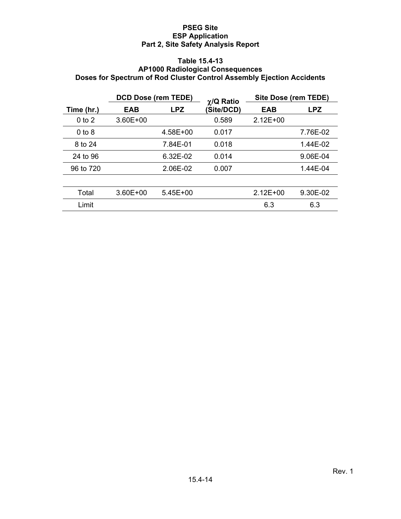### **Table 15.4-13 AP1000 Radiological Consequences Doses for Spectrum of Rod Cluster Control Assembly Ejection Accidents**

|            | <b>DCD Dose (rem TEDE)</b> |            | $\chi$ /Q Ratio | Site Dose (rem TEDE) |          |
|------------|----------------------------|------------|-----------------|----------------------|----------|
| Time (hr.) | <b>EAB</b>                 | <b>LPZ</b> | (Site/DCD)      | EAB                  | LPZ.     |
| $0$ to $2$ | $3.60E + 00$               |            | 0.589           | $2.12E + 00$         |          |
| $0$ to $8$ |                            | 4.58E+00   | 0.017           |                      | 7.76E-02 |
| 8 to 24    |                            | 7.84E-01   | 0.018           |                      | 1.44E-02 |
| 24 to 96   |                            | 6.32E-02   | 0.014           |                      | 9.06E-04 |
| 96 to 720  |                            | 2.06E-02   | 0.007           |                      | 1.44E-04 |
|            |                            |            |                 |                      |          |
| Total      | $3.60E + 00$               | $5.45E+00$ |                 | $2.12E + 00$         | 9.30E-02 |
| Limit      |                            |            |                 | 6.3                  | 6.3      |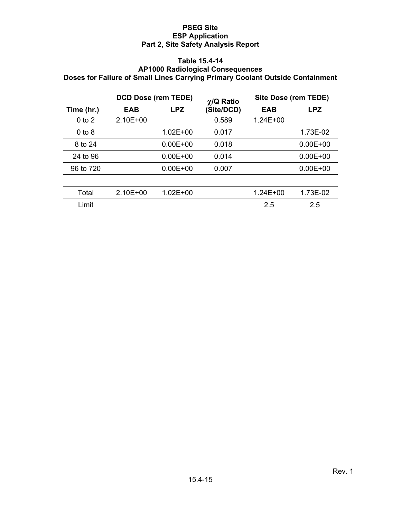#### **Table 15.4-14 AP1000 Radiological Consequences Doses for Failure of Small Lines Carrying Primary Coolant Outside Containment**

|            | <b>DCD Dose (rem TEDE)</b> |              | $\chi$ /Q Ratio |              |              | Site Dose (rem TEDE) |  |
|------------|----------------------------|--------------|-----------------|--------------|--------------|----------------------|--|
| Time (hr.) | <b>EAB</b>                 | <b>LPZ</b>   | (Site/DCD)      | EAB          | <b>LPZ</b>   |                      |  |
| $0$ to $2$ | $2.10E + 00$               |              | 0.589           | $1.24E + 00$ |              |                      |  |
| $0$ to $8$ |                            | $1.02E + 00$ | 0.017           |              | 1.73E-02     |                      |  |
| 8 to 24    |                            | $0.00E + 00$ | 0.018           |              | $0.00E + 00$ |                      |  |
| 24 to 96   |                            | $0.00E + 00$ | 0.014           |              | $0.00E + 00$ |                      |  |
| 96 to 720  |                            | $0.00E + 00$ | 0.007           |              | $0.00E + 00$ |                      |  |
|            |                            |              |                 |              |              |                      |  |
| Total      | $2.10E + 00$               | $1.02E + 00$ |                 | 1.24E+00     | 1.73E-02     |                      |  |
| Limit      |                            |              |                 | 2.5          | 2.5          |                      |  |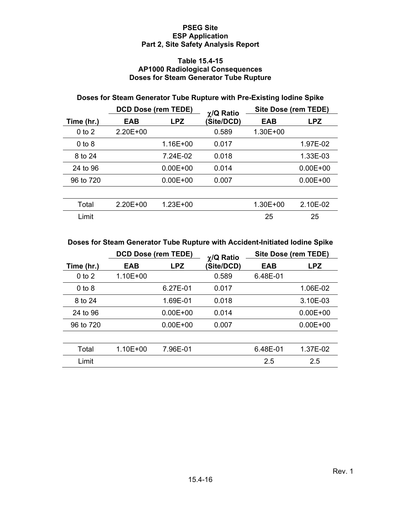#### **Table 15.4-15 AP1000 Radiological Consequences Doses for Steam Generator Tube Rupture**

# **Doses for Steam Generator Tube Rupture with Pre-Existing Iodine Spike**

|            | <b>DCD Dose (rem TEDE)</b> |              | $\gamma$ /Q Ratio |              |              | Site Dose (rem TEDE) |  |  |
|------------|----------------------------|--------------|-------------------|--------------|--------------|----------------------|--|--|
| Time (hr.) | <b>EAB</b>                 | <b>LPZ</b>   | (Site/DCD)        | EAB          | <b>LPZ</b>   |                      |  |  |
| $0$ to $2$ | $2.20E + 00$               |              | 0.589             | $1.30E + 00$ |              |                      |  |  |
| $0$ to $8$ |                            | 1.16E+00     | 0.017             |              | 1.97E-02     |                      |  |  |
| 8 to 24    |                            | 7.24E-02     | 0.018             |              | 1.33E-03     |                      |  |  |
| 24 to 96   |                            | $0.00E + 00$ | 0.014             |              | $0.00E + 00$ |                      |  |  |
| 96 to 720  |                            | $0.00E + 00$ | 0.007             |              | $0.00E + 00$ |                      |  |  |
|            |                            |              |                   |              |              |                      |  |  |
| Total      | $2.20E + 00$               | $1.23E + 00$ |                   | 1.30E+00     | 2.10E-02     |                      |  |  |
| Limit      |                            |              |                   | 25           | 25           |                      |  |  |

## **Doses for Steam Generator Tube Rupture with Accident-Initiated Iodine Spike**

|            | <b>DCD Dose (rem TEDE)</b> |              | $\chi$ /Q Ratio | Site Dose (rem TEDE) |              |
|------------|----------------------------|--------------|-----------------|----------------------|--------------|
| Time (hr.) | EAB                        | <b>LPZ</b>   | (Site/DCD)      | EAB                  | <b>LPZ</b>   |
| $0$ to $2$ | $1.10E + 00$               |              | 0.589           | 6.48E-01             |              |
| $0$ to $8$ |                            | 6.27E-01     | 0.017           |                      | 1.06E-02     |
| 8 to 24    |                            | 1.69E-01     | 0.018           |                      | 3.10E-03     |
| 24 to 96   |                            | $0.00E + 00$ | 0.014           |                      | $0.00E + 00$ |
| 96 to 720  |                            | $0.00E + 00$ | 0.007           |                      | $0.00E + 00$ |
|            |                            |              |                 |                      |              |
| Total      | 1.10E+00                   | 7.96E-01     |                 | 6.48E-01             | 1.37E-02     |
| Limit      |                            |              |                 | 2.5                  | 2.5          |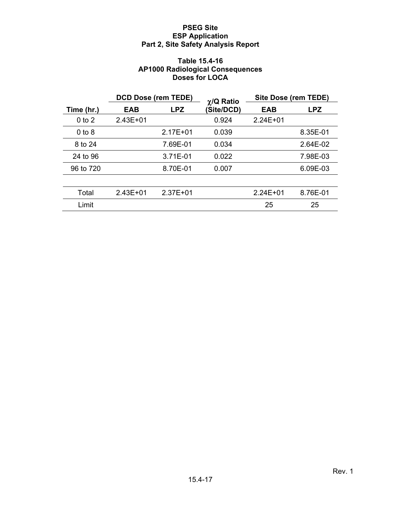### **Table 15.4-16 AP1000 Radiological Consequences Doses for LOCA**

|            | <b>DCD Dose (rem TEDE)</b> |              | $\chi$ /Q Ratio | Site Dose (rem TEDE) |            |
|------------|----------------------------|--------------|-----------------|----------------------|------------|
| Time (hr.) | EAB                        | <b>LPZ</b>   | (Site/DCD)      | EAB                  | <b>LPZ</b> |
| $0$ to $2$ | $2.43E + 01$               |              | 0.924           | $2.24E + 01$         |            |
| $0$ to $8$ |                            | $2.17E + 01$ | 0.039           |                      | 8.35E-01   |
| 8 to 24    |                            | 7.69E-01     | 0.034           |                      | 2.64E-02   |
| 24 to 96   |                            | 3.71E-01     | 0.022           |                      | 7.98E-03   |
| 96 to 720  |                            | 8.70E-01     | 0.007           |                      | 6.09E-03   |
|            |                            |              |                 |                      |            |
| Total      | $2.43E + 01$               | $2.37E + 01$ |                 | $2.24E + 01$         | 8.76E-01   |
| Limit      |                            |              |                 | 25                   | 25         |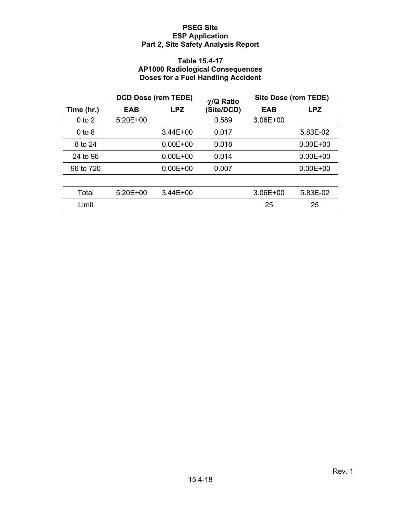### **Table 15.4-17 AP1000 Radiological Consequences Doses for a Fuel Handling Accident**

|            | <b>DCD Dose (rem TEDE)</b> |              | $\chi$ /Q Ratio | <b>Site Dose (rem TEDE)</b> |              |
|------------|----------------------------|--------------|-----------------|-----------------------------|--------------|
| Time (hr.) | <b>EAB</b>                 | <b>LPZ</b>   | (Site/DCD)      | <b>EAB</b>                  | <b>LPZ</b>   |
| $0$ to $2$ | $5.20E + 00$               |              | 0.589           | $3.06E + 00$                |              |
| $0$ to $8$ |                            | $3.44E + 00$ | 0.017           |                             | 5.83E-02     |
| 8 to 24    |                            | $0.00E + 00$ | 0.018           |                             | $0.00E + 00$ |
| 24 to 96   |                            | $0.00E + 00$ | 0.014           |                             | $0.00E + 00$ |
| 96 to 720  |                            | $0.00E + 00$ | 0.007           |                             | $0.00E + 00$ |
|            |                            |              |                 |                             |              |
| Total      | $5.20E + 00$               | $3.44E + 00$ |                 | $3.06E + 00$                | 5.83E-02     |
| Limit      |                            |              |                 | 25                          | 25           |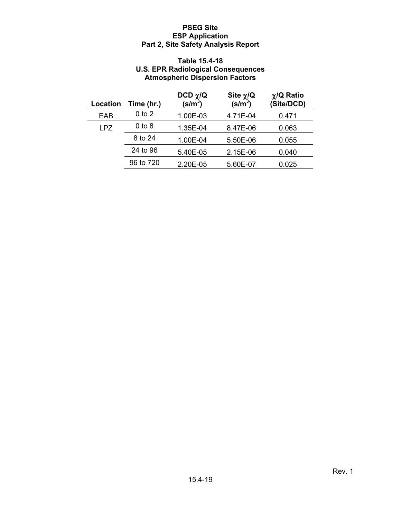## **Table 15.4-18 U.S. EPR Radiological Consequences Atmospheric Dispersion Factors**

| Location   | Time (hr.) | DCD $\chi$ /Q<br>$(\mathsf{s/m}^3)$ | Site $\chi/\mathbf{Q}$<br>$(s/m^3)$ | $\chi$ /Q Ratio<br>(Site/DCD) |
|------------|------------|-------------------------------------|-------------------------------------|-------------------------------|
| EAB        | $0$ to $2$ | 1.00E-03                            | 4.71E-04                            | 0.471                         |
| <b>LPZ</b> | $0$ to $8$ | 1.35E-04                            | 8.47E-06                            | 0.063                         |
|            | 8 to 24    | 1.00E-04                            | 5.50E-06                            | 0.055                         |
|            | 24 to 96   | 5.40E-05                            | 2.15E-06                            | 0.040                         |
|            | 96 to 720  | 2.20E-05                            | 5.60E-07                            | 0.025                         |